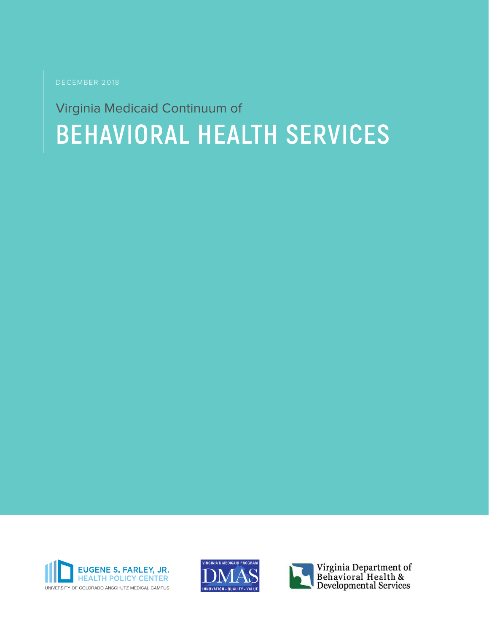DECEMBER 2018

# Virginia Medicaid Continuum of **BEHAVIORAL HEALTH SERVICES**





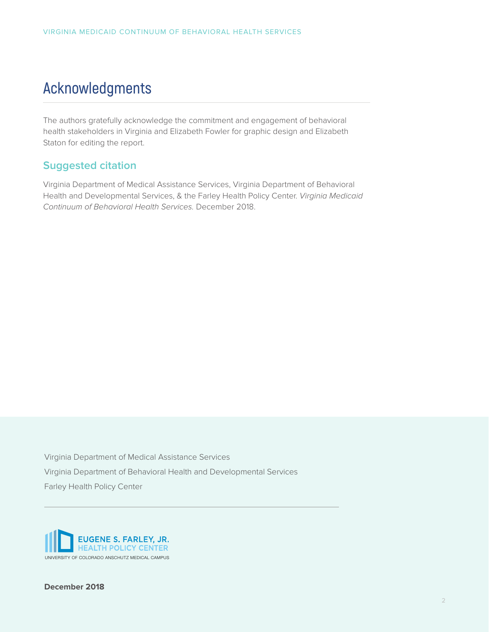## **Acknowledgments**

The authors gratefully acknowledge the commitment and engagement of behavioral health stakeholders in Virginia and Elizabeth Fowler for graphic design and Elizabeth Staton for editing the report.

## **Suggested citation**

Virginia Department of Medical Assistance Services, Virginia Department of Behavioral Health and Developmental Services, & the Farley Health Policy Center. *Virginia Medicaid Continuum of Behavioral Health Services.* December 2018.

Virginia Department of Medical Assistance Services Virginia Department of Behavioral Health and Developmental Services Farley Health Policy Center

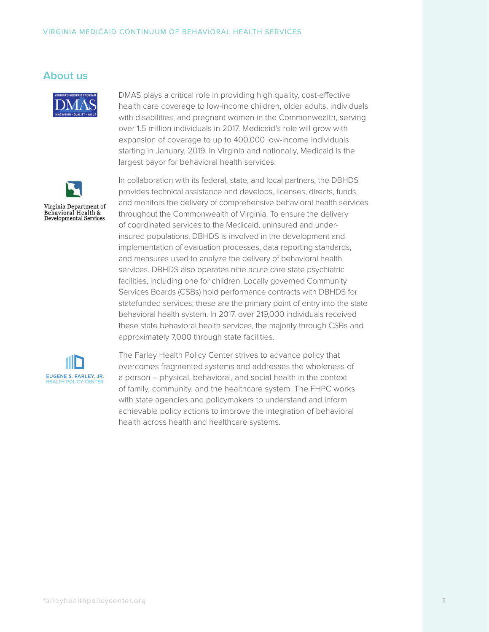### **About us**



DMAS plays a critical role in providing high quality, cost-effective health care coverage to low-income children, older adults, individuals with disabilities, and pregnant women in the Commonwealth, serving over 1.5 million individuals in 2017. Medicaid's role will grow with expansion of coverage to up to 400,000 low-income individuals starting in January, 2019. In Virginia and nationally, Medicaid is the largest payor for behavioral health services.



In collaboration with its federal, state, and local partners, the DBHDS provides technical assistance and develops, licenses, directs, funds, and monitors the delivery of comprehensive behavioral health services throughout the Commonwealth of Virginia. To ensure the delivery of coordinated services to the Medicaid, uninsured and underinsured populations, DBHDS is involved in the development and implementation of evaluation processes, data reporting standards, and measures used to analyze the delivery of behavioral health services. DBHDS also operates nine acute care state psychiatric facilities, including one for children. Locally governed Community Services Boards (CSBs) hold performance contracts with DBHDS for statefunded services; these are the primary point of entry into the state behavioral health system. In 2017, over 219,000 individuals received these state behavioral health services, the majority through CSBs and approximately 7,000 through state facilities.



The Farley Health Policy Center strives to advance policy that overcomes fragmented systems and addresses the wholeness of a person – physical, behavioral, and social health in the context of family, community, and the healthcare system. The FHPC works with state agencies and policymakers to understand and inform achievable policy actions to improve the integration of behavioral health across health and healthcare systems.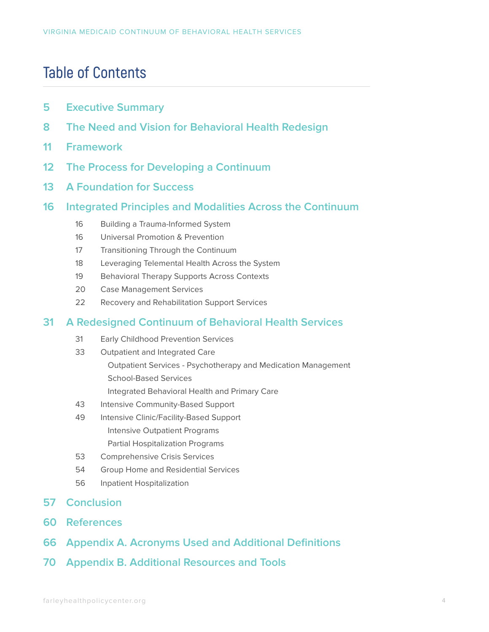## **Table of Contents**

- **Executive Summary**
- **The Need and Vision for Behavioral Health Redesign**
- **Framework**
- **The Process for Developing a Continuum**
- **A Foundation for Success**
- **Integrated Principles and Modalities Across the Continuum**
	- Building a Trauma-Informed System
	- Universal Promotion & Prevention
	- 17 Transitioning Through the Continuum
	- Leveraging Telemental Health Across the System
	- 19 Behavioral Therapy Supports Across Contexts
	- Case Management Services
	- Recovery and Rehabilitation Support Services

## **A Redesigned Continuum of Behavioral Health Services**

- Early Childhood Prevention Services
- Outpatient and Integrated Care
	- Outpatient Services Psychotherapy and Medication Management School-Based Services
	- Integrated Behavioral Health and Primary Care
- Intensive Community-Based Support
- Intensive Clinic/Facility-Based Support Intensive Outpatient Programs
	- Partial Hospitalization Programs
- Comprehensive Crisis Services
- Group Home and Residential Services
- Inpatient Hospitalization
- **Conclusion**
- **References**
- **Appendix A. Acronyms Used and Additional Definitions**
- **Appendix B. Additional Resources and Tools**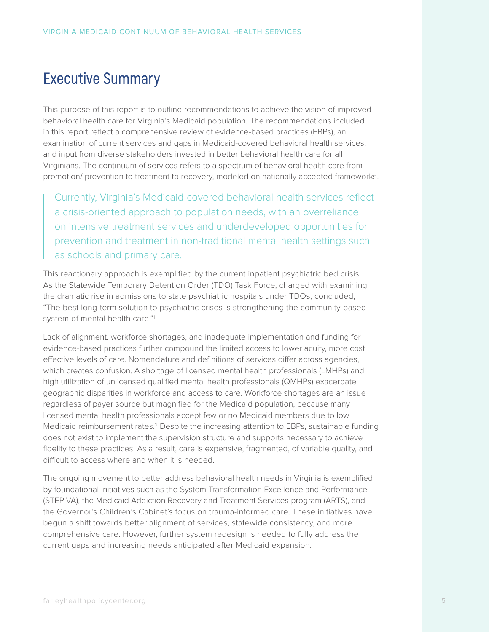## **Executive Summary**

This purpose of this report is to outline recommendations to achieve the vision of improved behavioral health care for Virginia's Medicaid population. The recommendations included in this report reflect a comprehensive review of evidence-based practices (EBPs), an examination of current services and gaps in Medicaid-covered behavioral health services, and input from diverse stakeholders invested in better behavioral health care for all Virginians. The continuum of services refers to a spectrum of behavioral health care from promotion/ prevention to treatment to recovery, modeled on nationally accepted frameworks.

Currently, Virginia's Medicaid-covered behavioral health services reflect a crisis-oriented approach to population needs, with an overreliance on intensive treatment services and underdeveloped opportunities for prevention and treatment in non-traditional mental health settings such as schools and primary care.

This reactionary approach is exemplified by the current inpatient psychiatric bed crisis. As the Statewide Temporary Detention Order (TDO) Task Force, charged with examining the dramatic rise in admissions to state psychiatric hospitals under TDOs, concluded, "The best long-term solution to psychiatric crises is strengthening the community-based system of mental health care."1

Lack of alignment, workforce shortages, and inadequate implementation and funding for evidence-based practices further compound the limited access to lower acuity, more cost effective levels of care. Nomenclature and definitions of services differ across agencies, which creates confusion. A shortage of licensed mental health professionals (LMHPs) and high utilization of unlicensed qualified mental health professionals (QMHPs) exacerbate geographic disparities in workforce and access to care. Workforce shortages are an issue regardless of payer source but magnified for the Medicaid population, because many licensed mental health professionals accept few or no Medicaid members due to low Medicaid reimbursement rates.<sup>2</sup> Despite the increasing attention to EBPs, sustainable funding does not exist to implement the supervision structure and supports necessary to achieve fidelity to these practices. As a result, care is expensive, fragmented, of variable quality, and difficult to access where and when it is needed.

The ongoing movement to better address behavioral health needs in Virginia is exemplified by foundational initiatives such as the System Transformation Excellence and Performance (STEP-VA), the Medicaid Addiction Recovery and Treatment Services program (ARTS), and the Governor's Children's Cabinet's focus on trauma-informed care. These initiatives have begun a shift towards better alignment of services, statewide consistency, and more comprehensive care. However, further system redesign is needed to fully address the current gaps and increasing needs anticipated after Medicaid expansion.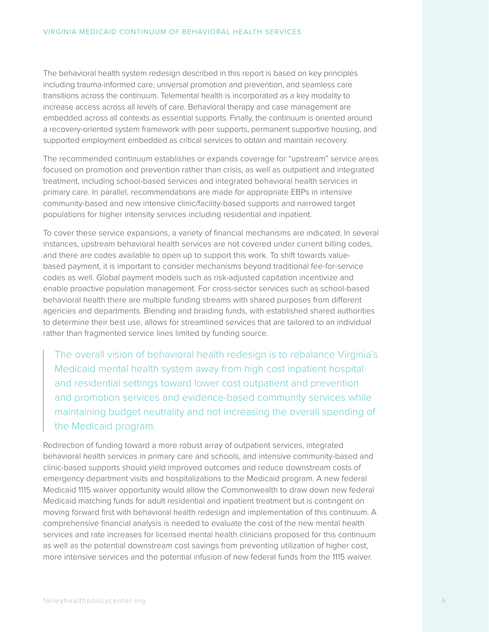The behavioral health system redesign described in this report is based on key principles including trauma-informed care, universal promotion and prevention, and seamless care transitions across the continuum. Telemental health is incorporated as a key modality to increase access across all levels of care. Behavioral therapy and case management are embedded across all contexts as essential supports. Finally, the continuum is oriented around a recovery-oriented system framework with peer supports, permanent supportive housing, and supported employment embedded as critical services to obtain and maintain recovery.

The recommended continuum establishes or expands coverage for "upstream" service areas focused on promotion and prevention rather than crisis, as well as outpatient and integrated treatment, including school-based services and integrated behavioral health services in primary care. In parallel, recommendations are made for appropriate EBPs in intensive community-based and new intensive clinic/facility-based supports and narrowed target populations for higher intensity services including residential and inpatient.

To cover these service expansions, a variety of financial mechanisms are indicated. In several instances, upstream behavioral health services are not covered under current billing codes, and there are codes available to open up to support this work. To shift towards valuebased payment, it is important to consider mechanisms beyond traditional fee-for-service codes as well. Global payment models such as risk-adjusted capitation incentivize and enable proactive population management. For cross-sector services such as school-based behavioral health there are multiple funding streams with shared purposes from different agencies and departments. Blending and braiding funds, with established shared authorities to determine their best use, allows for streamlined services that are tailored to an individual rather than fragmented service lines limited by funding source.

The overall vision of behavioral health redesign is to rebalance Virginia's Medicaid mental health system away from high cost inpatient hospital and residential settings toward lower cost outpatient and prevention and promotion services and evidence-based community services while maintaining budget neutrality and not increasing the overall spending of the Medicaid program.

Redirection of funding toward a more robust array of outpatient services, integrated behavioral health services in primary care and schools, and intensive community-based and clinic-based supports should yield improved outcomes and reduce downstream costs of emergency department visits and hospitalizations to the Medicaid program. A new federal Medicaid 1115 waiver opportunity would allow the Commonwealth to draw down new federal Medicaid matching funds for adult residential and inpatient treatment but is contingent on moving forward first with behavioral health redesign and implementation of this continuum. A comprehensive financial analysis is needed to evaluate the cost of the new mental health services and rate increases for licensed mental health clinicians proposed for this continuum as well as the potential downstream cost savings from preventing utilization of higher cost, more intensive services and the potential infusion of new federal funds from the 1115 waiver.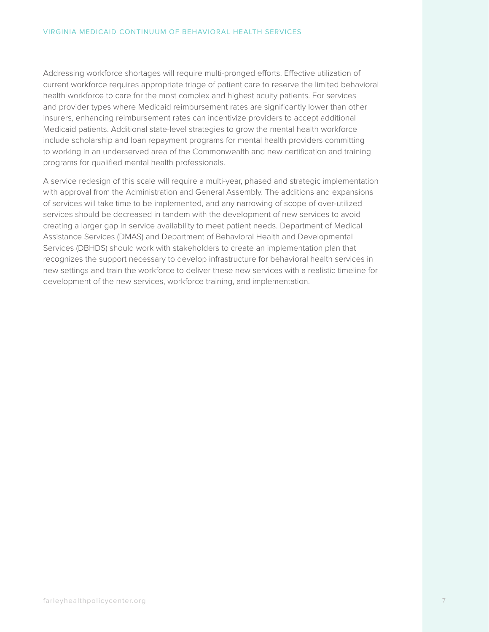Addressing workforce shortages will require multi-pronged efforts. Effective utilization of current workforce requires appropriate triage of patient care to reserve the limited behavioral health workforce to care for the most complex and highest acuity patients. For services and provider types where Medicaid reimbursement rates are significantly lower than other insurers, enhancing reimbursement rates can incentivize providers to accept additional Medicaid patients. Additional state-level strategies to grow the mental health workforce include scholarship and loan repayment programs for mental health providers committing to working in an underserved area of the Commonwealth and new certification and training programs for qualified mental health professionals.

A service redesign of this scale will require a multi-year, phased and strategic implementation with approval from the Administration and General Assembly. The additions and expansions of services will take time to be implemented, and any narrowing of scope of over-utilized services should be decreased in tandem with the development of new services to avoid creating a larger gap in service availability to meet patient needs. Department of Medical Assistance Services (DMAS) and Department of Behavioral Health and Developmental Services (DBHDS) should work with stakeholders to create an implementation plan that recognizes the support necessary to develop infrastructure for behavioral health services in new settings and train the workforce to deliver these new services with a realistic timeline for development of the new services, workforce training, and implementation.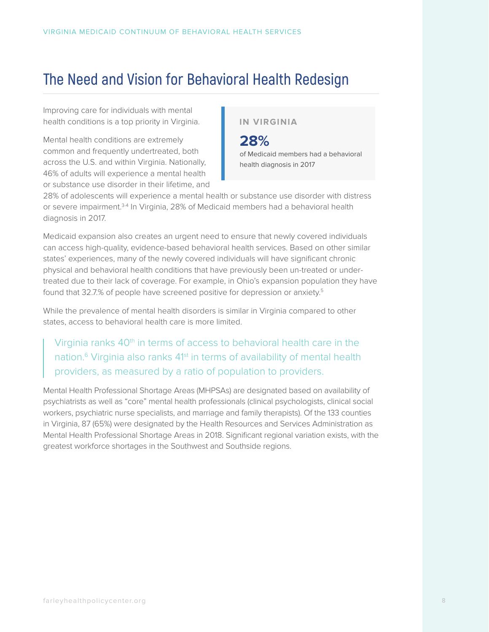## **The Need and Vision for Behavioral Health Redesign**

Improving care for individuals with mental health conditions is a top priority in Virginia.

Mental health conditions are extremely common and frequently undertreated, both across the U.S. and within Virginia. Nationally, 46% of adults will experience a mental health or substance use disorder in their lifetime, and **IN VIRGINIA**

**28%** of Medicaid members had a behavioral health diagnosis in 2017

28% of adolescents will experience a mental health or substance use disorder with distress or severe impairment.3-4 In Virginia, 28% of Medicaid members had a behavioral health diagnosis in 2017.

Medicaid expansion also creates an urgent need to ensure that newly covered individuals can access high-quality, evidence-based behavioral health services. Based on other similar states' experiences, many of the newly covered individuals will have significant chronic physical and behavioral health conditions that have previously been un-treated or undertreated due to their lack of coverage. For example, in Ohio's expansion population they have found that 32.7.% of people have screened positive for depression or anxiety.5

While the prevalence of mental health disorders is similar in Virginia compared to other states, access to behavioral health care is more limited.

Virginia ranks 40<sup>th</sup> in terms of access to behavioral health care in the nation.<sup>6</sup> Virginia also ranks 41<sup>st</sup> in terms of availability of mental health providers, as measured by a ratio of population to providers.

Mental Health Professional Shortage Areas (MHPSAs) are designated based on availability of psychiatrists as well as "core" mental health professionals (clinical psychologists, clinical social workers, psychiatric nurse specialists, and marriage and family therapists). Of the 133 counties in Virginia, 87 (65%) were designated by the Health Resources and Services Administration as Mental Health Professional Shortage Areas in 2018. Significant regional variation exists, with the greatest workforce shortages in the Southwest and Southside regions.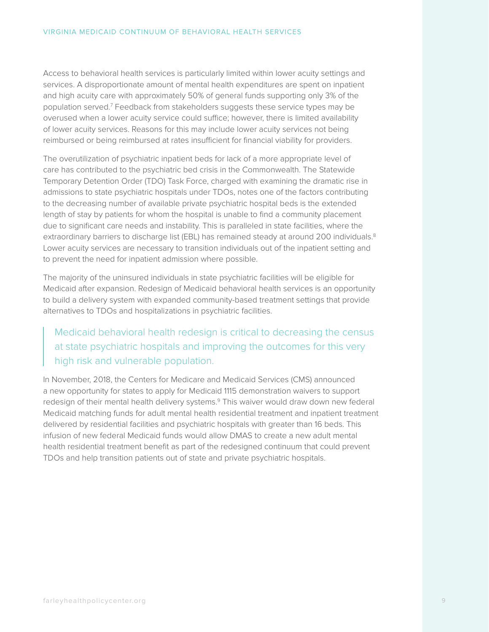Access to behavioral health services is particularly limited within lower acuity settings and services. A disproportionate amount of mental health expenditures are spent on inpatient and high acuity care with approximately 50% of general funds supporting only 3% of the population served.7 Feedback from stakeholders suggests these service types may be overused when a lower acuity service could suffice; however, there is limited availability of lower acuity services. Reasons for this may include lower acuity services not being reimbursed or being reimbursed at rates insufficient for financial viability for providers.

The overutilization of psychiatric inpatient beds for lack of a more appropriate level of care has contributed to the psychiatric bed crisis in the Commonwealth. The Statewide Temporary Detention Order (TDO) Task Force, charged with examining the dramatic rise in admissions to state psychiatric hospitals under TDOs, notes one of the factors contributing to the decreasing number of available private psychiatric hospital beds is the extended length of stay by patients for whom the hospital is unable to find a community placement due to significant care needs and instability. This is paralleled in state facilities, where the extraordinary barriers to discharge list (EBL) has remained steady at around 200 individuals.<sup>8</sup> Lower acuity services are necessary to transition individuals out of the inpatient setting and to prevent the need for inpatient admission where possible.

The majority of the uninsured individuals in state psychiatric facilities will be eligible for Medicaid after expansion. Redesign of Medicaid behavioral health services is an opportunity to build a delivery system with expanded community-based treatment settings that provide alternatives to TDOs and hospitalizations in psychiatric facilities.

## Medicaid behavioral health redesign is critical to decreasing the census at state psychiatric hospitals and improving the outcomes for this very high risk and vulnerable population.

In November, 2018, the Centers for Medicare and Medicaid Services (CMS) announced a new opportunity for states to apply for Medicaid 1115 demonstration waivers to support redesign of their mental health delivery systems.<sup>9</sup> This waiver would draw down new federal Medicaid matching funds for adult mental health residential treatment and inpatient treatment delivered by residential facilities and psychiatric hospitals with greater than 16 beds. This infusion of new federal Medicaid funds would allow DMAS to create a new adult mental health residential treatment benefit as part of the redesigned continuum that could prevent TDOs and help transition patients out of state and private psychiatric hospitals.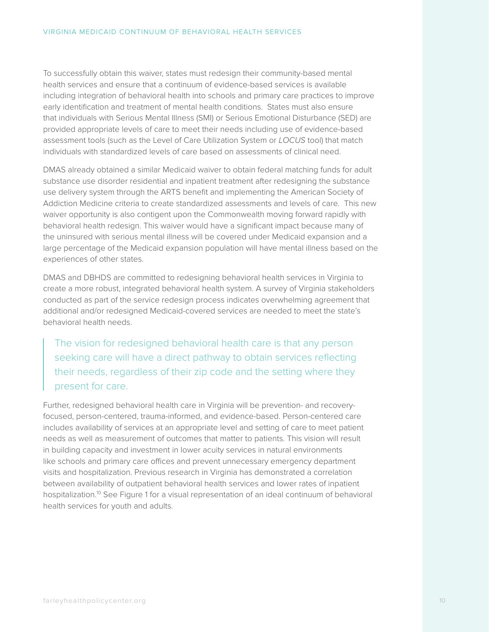To successfully obtain this waiver, states must redesign their community-based mental health services and ensure that a continuum of evidence-based services is available including integration of behavioral health into schools and primary care practices to improve early identification and treatment of mental health conditions. States must also ensure that individuals with Serious Mental Illness (SMI) or Serious Emotional Disturbance (SED) are provided appropriate levels of care to meet their needs including use of evidence-based assessment tools (such as the Level of Care Utilization System or *LOCUS* tool) that match individuals with standardized levels of care based on assessments of clinical need.

DMAS already obtained a similar Medicaid waiver to obtain federal matching funds for adult substance use disorder residential and inpatient treatment after redesigning the substance use delivery system through the ARTS benefit and implementing the American Society of Addiction Medicine criteria to create standardized assessments and levels of care. This new waiver opportunity is also contigent upon the Commonwealth moving forward rapidly with behavioral health redesign. This waiver would have a significant impact because many of the uninsured with serious mental illness will be covered under Medicaid expansion and a large percentage of the Medicaid expansion population will have mental illness based on the experiences of other states.

DMAS and DBHDS are committed to redesigning behavioral health services in Virginia to create a more robust, integrated behavioral health system. A survey of Virginia stakeholders conducted as part of the service redesign process indicates overwhelming agreement that additional and/or redesigned Medicaid-covered services are needed to meet the state's behavioral health needs.

The vision for redesigned behavioral health care is that any person seeking care will have a direct pathway to obtain services reflecting their needs, regardless of their zip code and the setting where they present for care.

Further, redesigned behavioral health care in Virginia will be prevention- and recoveryfocused, person-centered, trauma-informed, and evidence-based. Person-centered care includes availability of services at an appropriate level and setting of care to meet patient needs as well as measurement of outcomes that matter to patients. This vision will result in building capacity and investment in lower acuity services in natural environments like schools and primary care offices and prevent unnecessary emergency department visits and hospitalization. Previous research in Virginia has demonstrated a correlation between availability of outpatient behavioral health services and lower rates of inpatient hospitalization.<sup>10</sup> See Figure 1 for a visual representation of an ideal continuum of behavioral health services for youth and adults.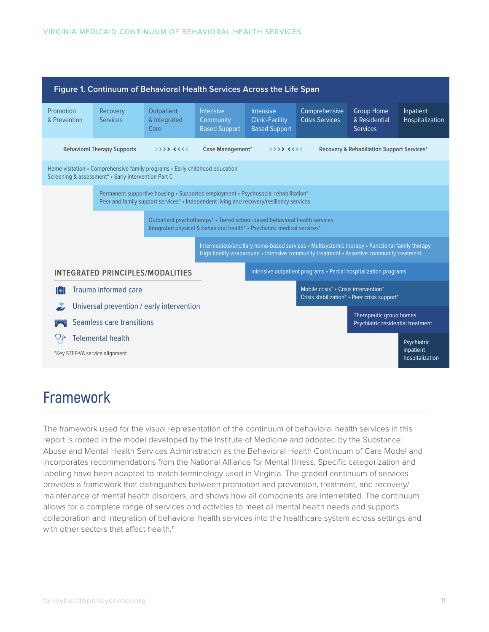| Figure 1. Continuum of Behavioral Health Services Across the Life Span                                                                                                        |                                                                                                                                                        |                                    |                                                                                                                                                                                            |                                                                    |                                                                                       |                                                              |                              |  |
|-------------------------------------------------------------------------------------------------------------------------------------------------------------------------------|--------------------------------------------------------------------------------------------------------------------------------------------------------|------------------------------------|--------------------------------------------------------------------------------------------------------------------------------------------------------------------------------------------|--------------------------------------------------------------------|---------------------------------------------------------------------------------------|--------------------------------------------------------------|------------------------------|--|
| Promotion<br>& Prevention                                                                                                                                                     | Recovery<br><b>Services</b>                                                                                                                            | Outpatient<br>& Integrated<br>Care | <b>Intensive</b><br>Community<br><b>Based Support</b>                                                                                                                                      | <b>Intensive</b><br><b>Clinic-Facility</b><br><b>Based Support</b> | Comprehensive<br><b>Crisis Services</b>                                               | <b>Group Home</b><br>& Residential<br>Services               | Inpatient<br>Hospitalization |  |
| <b>Behavioral Therapy Supports</b><br>うううう くくくく                                                                                                                               |                                                                                                                                                        |                                    | Case Management*                                                                                                                                                                           | 55556666                                                           |                                                                                       | Recovery & Rehabiliation Support Services*                   |                              |  |
| Home visitation • Comprehensive family programs • Early childhood education<br>Screening & assessment* . Early intervention Part C                                            |                                                                                                                                                        |                                    |                                                                                                                                                                                            |                                                                    |                                                                                       |                                                              |                              |  |
| Permanent supportive housing • Supported employment • Psychosocial rehabilitation*<br>Peer and family support services* • Independent living and recovery/resiliency services |                                                                                                                                                        |                                    |                                                                                                                                                                                            |                                                                    |                                                                                       |                                                              |                              |  |
|                                                                                                                                                                               | Outpatient psychotherapy* • Tiered school-based behavioral health services<br>Integrated physical & behavioral health* . Psychiatric medical services* |                                    |                                                                                                                                                                                            |                                                                    |                                                                                       |                                                              |                              |  |
|                                                                                                                                                                               |                                                                                                                                                        |                                    | Intermediate/ancillary home-based services • Multisystemic therapy • Functional family therapy<br>High fidelity wraparound • Intensive community treatment • Assertive community treatment |                                                                    |                                                                                       |                                                              |                              |  |
| INTEGRATED PRINCIPLES/MODALITIES                                                                                                                                              |                                                                                                                                                        |                                    |                                                                                                                                                                                            | Intensive outpatient programs • Partial hospitalization programs   |                                                                                       |                                                              |                              |  |
| Trauma informed care                                                                                                                                                          |                                                                                                                                                        |                                    |                                                                                                                                                                                            |                                                                    | Mobile crisis* • Crisis intervention*<br>Crisis stabilization* • Peer crisis support* |                                                              |                              |  |
| Universal prevention / early intervention                                                                                                                                     |                                                                                                                                                        |                                    |                                                                                                                                                                                            |                                                                    |                                                                                       |                                                              |                              |  |
| Seamless care transitions                                                                                                                                                     |                                                                                                                                                        |                                    |                                                                                                                                                                                            |                                                                    |                                                                                       | Therapeutic group homes<br>Psychiatric residential treatment |                              |  |
|                                                                                                                                                                               | <b>Telemental health</b>                                                                                                                               |                                    |                                                                                                                                                                                            |                                                                    |                                                                                       |                                                              | Psychiatric                  |  |
| *Key STEP-VA service alignment                                                                                                                                                |                                                                                                                                                        |                                    |                                                                                                                                                                                            |                                                                    |                                                                                       |                                                              | inpatient<br>hospitalization |  |

## **Framework**

The framework used for the visual representation of the continuum of behavioral health services in this report is rooted in the model developed by the Institute of Medicine and adopted by the Substance Abuse and Mental Health Services Administration as the Behavioral Health Continuum of Care Model and incorporates recommendations from the National Alliance for Mental Illness. Specific categorization and labeling have been adapted to match terminology used in Virginia. The graded continuum of services provides a framework that distinguishes between promotion and prevention, treatment, and recovery/ maintenance of mental health disorders, and shows how all components are interrelated. The continuum allows for a complete range of services and activities to meet all mental health needs and supports collaboration and integration of behavioral health services into the healthcare system across settings and with other sectors that affect health.<sup>11</sup>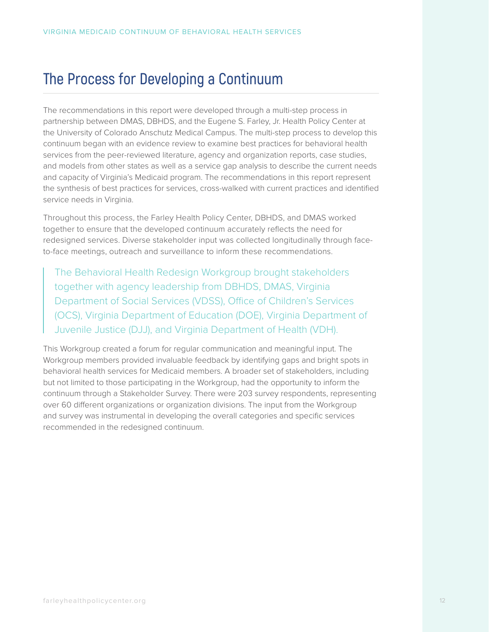## **The Process for Developing a Continuum**

The recommendations in this report were developed through a multi-step process in partnership between DMAS, DBHDS, and the Eugene S. Farley, Jr. Health Policy Center at the University of Colorado Anschutz Medical Campus. The multi-step process to develop this continuum began with an evidence review to examine best practices for behavioral health services from the peer-reviewed literature, agency and organization reports, case studies, and models from other states as well as a service gap analysis to describe the current needs and capacity of Virginia's Medicaid program. The recommendations in this report represent the synthesis of best practices for services, cross-walked with current practices and identified service needs in Virginia.

Throughout this process, the Farley Health Policy Center, DBHDS, and DMAS worked together to ensure that the developed continuum accurately reflects the need for redesigned services. Diverse stakeholder input was collected longitudinally through faceto-face meetings, outreach and surveillance to inform these recommendations.

The Behavioral Health Redesign Workgroup brought stakeholders together with agency leadership from DBHDS, DMAS, Virginia Department of Social Services (VDSS), Office of Children's Services (OCS), Virginia Department of Education (DOE), Virginia Department of Juvenile Justice (DJJ), and Virginia Department of Health (VDH).

This Workgroup created a forum for regular communication and meaningful input. The Workgroup members provided invaluable feedback by identifying gaps and bright spots in behavioral health services for Medicaid members. A broader set of stakeholders, including but not limited to those participating in the Workgroup, had the opportunity to inform the continuum through a Stakeholder Survey. There were 203 survey respondents, representing over 60 different organizations or organization divisions. The input from the Workgroup and survey was instrumental in developing the overall categories and specific services recommended in the redesigned continuum.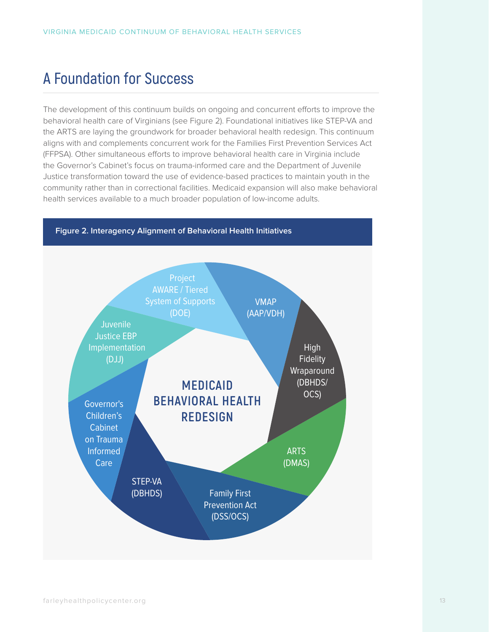## **A Foundation for Success**

The development of this continuum builds on ongoing and concurrent efforts to improve the behavioral health care of Virginians (see Figure 2). Foundational initiatives like STEP-VA and the ARTS are laying the groundwork for broader behavioral health redesign. This continuum aligns with and complements concurrent work for the Families First Prevention Services Act (FFPSA). Other simultaneous efforts to improve behavioral health care in Virginia include the Governor's Cabinet's focus on trauma-informed care and the Department of Juvenile Justice transformation toward the use of evidence-based practices to maintain youth in the community rather than in correctional facilities. Medicaid expansion will also make behavioral health services available to a much broader population of low-income adults.

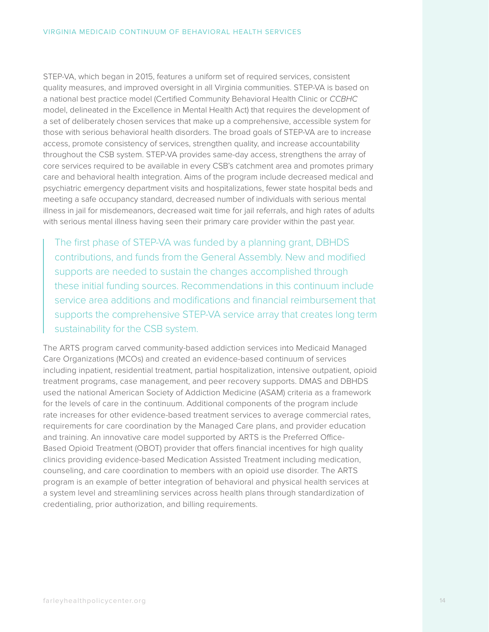STEP-VA, which began in 2015, features a uniform set of required services, consistent quality measures, and improved oversight in all Virginia communities. STEP-VA is based on a national best practice model (Certified Community Behavioral Health Clinic or *CCBHC* model, delineated in the Excellence in Mental Health Act) that requires the development of a set of deliberately chosen services that make up a comprehensive, accessible system for those with serious behavioral health disorders. The broad goals of STEP-VA are to increase access, promote consistency of services, strengthen quality, and increase accountability throughout the CSB system. STEP-VA provides same-day access, strengthens the array of core services required to be available in every CSB's catchment area and promotes primary care and behavioral health integration. Aims of the program include decreased medical and psychiatric emergency department visits and hospitalizations, fewer state hospital beds and meeting a safe occupancy standard, decreased number of individuals with serious mental illness in jail for misdemeanors, decreased wait time for jail referrals, and high rates of adults with serious mental illness having seen their primary care provider within the past year.

The first phase of STEP-VA was funded by a planning grant, DBHDS contributions, and funds from the General Assembly. New and modified supports are needed to sustain the changes accomplished through these initial funding sources. Recommendations in this continuum include service area additions and modifications and financial reimbursement that supports the comprehensive STEP-VA service array that creates long term sustainability for the CSB system.

The ARTS program carved community-based addiction services into Medicaid Managed Care Organizations (MCOs) and created an evidence-based continuum of services including inpatient, residential treatment, partial hospitalization, intensive outpatient, opioid treatment programs, case management, and peer recovery supports. DMAS and DBHDS used the national American Society of Addiction Medicine (ASAM) criteria as a framework for the levels of care in the continuum. Additional components of the program include rate increases for other evidence-based treatment services to average commercial rates, requirements for care coordination by the Managed Care plans, and provider education and training. An innovative care model supported by ARTS is the Preferred Office-Based Opioid Treatment (OBOT) provider that offers financial incentives for high quality clinics providing evidence-based Medication Assisted Treatment including medication, counseling, and care coordination to members with an opioid use disorder. The ARTS program is an example of better integration of behavioral and physical health services at a system level and streamlining services across health plans through standardization of credentialing, prior authorization, and billing requirements.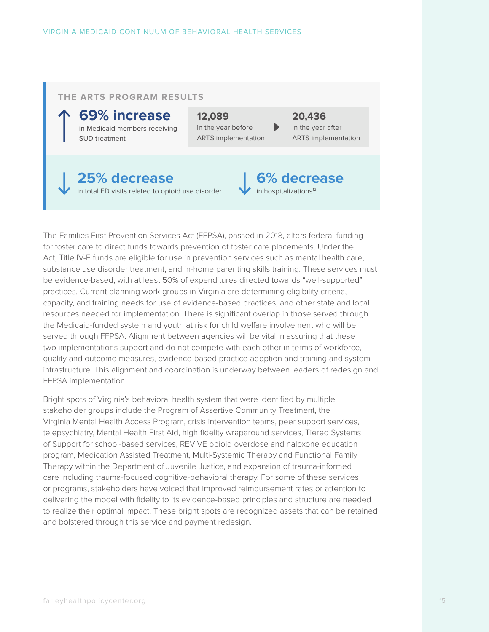#### **THE ARTS PROGRAM RESULTS**

**69% increase** in Medicaid members receiving SUD treatment

**12,089**  in the year before ARTS implementation **20,436**  in the year after ARTS implementation

**6% decrease**

in hospitalizations<sup>12</sup>

### **25% decrease** in total ED visits related to opioid use disorder

The Families First Prevention Services Act (FFPSA), passed in 2018, alters federal funding for foster care to direct funds towards prevention of foster care placements. Under the Act, Title IV-E funds are eligible for use in prevention services such as mental health care, substance use disorder treatment, and in-home parenting skills training. These services must be evidence-based, with at least 50% of expenditures directed towards "well-supported" practices. Current planning work groups in Virginia are determining eligibility criteria, capacity, and training needs for use of evidence-based practices, and other state and local resources needed for implementation. There is significant overlap in those served through the Medicaid-funded system and youth at risk for child welfare involvement who will be served through FFPSA. Alignment between agencies will be vital in assuring that these two implementations support and do not compete with each other in terms of workforce, quality and outcome measures, evidence-based practice adoption and training and system infrastructure. This alignment and coordination is underway between leaders of redesign and FFPSA implementation.

Bright spots of Virginia's behavioral health system that were identified by multiple stakeholder groups include the Program of Assertive Community Treatment, the Virginia Mental Health Access Program, crisis intervention teams, peer support services, telepsychiatry, Mental Health First Aid, high fidelity wraparound services, Tiered Systems of Support for school-based services, REVIVE opioid overdose and naloxone education program, Medication Assisted Treatment, Multi-Systemic Therapy and Functional Family Therapy within the Department of Juvenile Justice, and expansion of trauma-informed care including trauma-focused cognitive-behavioral therapy. For some of these services or programs, stakeholders have voiced that improved reimbursement rates or attention to delivering the model with fidelity to its evidence-based principles and structure are needed to realize their optimal impact. These bright spots are recognized assets that can be retained and bolstered through this service and payment redesign.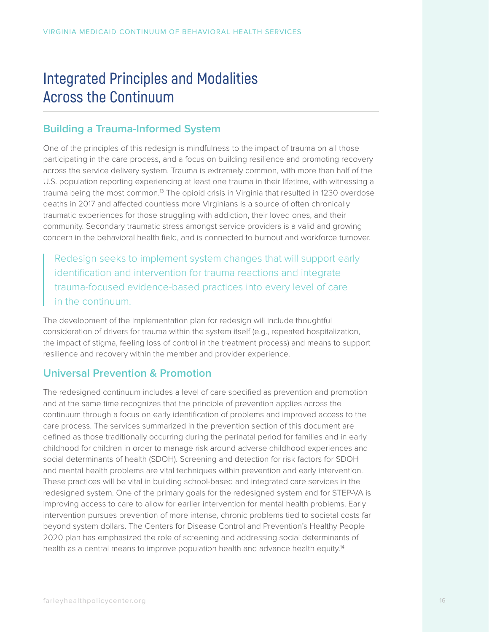## **Integrated Principles and Modalities Across the Continuum**

## **Building a Trauma-Informed System**

One of the principles of this redesign is mindfulness to the impact of trauma on all those participating in the care process, and a focus on building resilience and promoting recovery across the service delivery system. Trauma is extremely common, with more than half of the U.S. population reporting experiencing at least one trauma in their lifetime, with witnessing a trauma being the most common.<sup>13</sup> The opioid crisis in Virginia that resulted in 1230 overdose deaths in 2017 and affected countless more Virginians is a source of often chronically traumatic experiences for those struggling with addiction, their loved ones, and their community. Secondary traumatic stress amongst service providers is a valid and growing concern in the behavioral health field, and is connected to burnout and workforce turnover.

Redesign seeks to implement system changes that will support early identification and intervention for trauma reactions and integrate trauma-focused evidence-based practices into every level of care in the continuum.

The development of the implementation plan for redesign will include thoughtful consideration of drivers for trauma within the system itself (e.g., repeated hospitalization, the impact of stigma, feeling loss of control in the treatment process) and means to support resilience and recovery within the member and provider experience.

## **Universal Prevention & Promotion**

The redesigned continuum includes a level of care specified as prevention and promotion and at the same time recognizes that the principle of prevention applies across the continuum through a focus on early identification of problems and improved access to the care process. The services summarized in the prevention section of this document are defined as those traditionally occurring during the perinatal period for families and in early childhood for children in order to manage risk around adverse childhood experiences and social determinants of health (SDOH). Screening and detection for risk factors for SDOH and mental health problems are vital techniques within prevention and early intervention. These practices will be vital in building school-based and integrated care services in the redesigned system. One of the primary goals for the redesigned system and for STEP-VA is improving access to care to allow for earlier intervention for mental health problems. Early intervention pursues prevention of more intense, chronic problems tied to societal costs far beyond system dollars. The Centers for Disease Control and Prevention's Healthy People 2020 plan has emphasized the role of screening and addressing social determinants of health as a central means to improve population health and advance health equity.<sup>14</sup>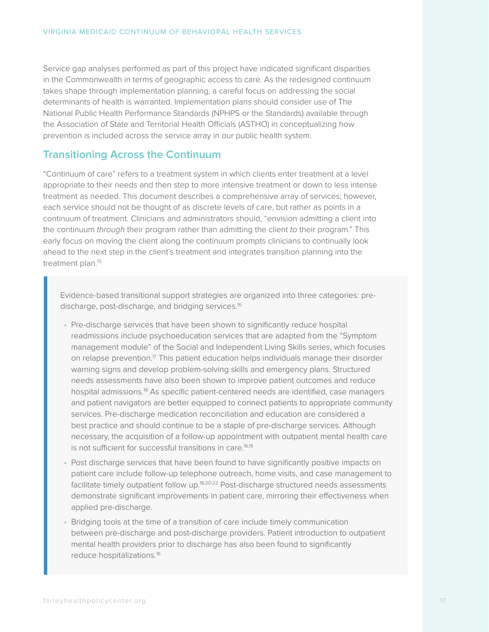Service gap analyses performed as part of this project have indicated significant disparities in the Commonwealth in terms of geographic access to care. As the redesigned continuum takes shape through implementation planning, a careful focus on addressing the social determinants of health is warranted. Implementation plans should consider use of The National Public Health Performance Standards (NPHPS or the Standards) available through the Association of State and Territorial Health Officials (ASTHO) in conceptualizing how prevention is included across the service array in our public health system.

### **Transitioning Across the Continuum**

"Continuum of care" refers to a treatment system in which clients enter treatment at a level appropriate to their needs and then step to more intensive treatment or down to less intense treatment as needed. This document describes a comprehensive array of services; however, each service should not be thought of as discrete levels of care, but rather as points in a continuum of treatment. Clinicians and administrators should, "envision admitting a client into the continuum *through* their program rather than admitting the client *to* their program." This early focus on moving the client along the continuum prompts clinicians to continually look ahead to the next step in the client's treatment and integrates transition planning into the treatment plan.<sup>15</sup>

Evidence-based transitional support strategies are organized into three categories: predischarge, post-discharge, and bridging services.<sup>16</sup>

- Pre-discharge services that have been shown to significantly reduce hospital readmissions include psychoeducation services that are adapted from the "Symptom management module" of the Social and Independent Living Skills series, which focuses on relapse prevention.17 This patient education helps individuals manage their disorder warning signs and develop problem-solving skills and emergency plans. Structured needs assessments have also been shown to improve patient outcomes and reduce hospital admissions.<sup>18</sup> As specific patient-centered needs are identified, case managers and patient navigators are better equipped to connect patients to appropriate community services. Pre-discharge medication reconciliation and education are considered a best practice and should continue to be a staple of pre-discharge services. Although necessary, the acquisition of a follow-up appointment with outpatient mental health care is not sufficient for successful transitions in care.<sup>16,19</sup>
- Post discharge services that have been found to have significantly positive impacts on patient care include follow-up telephone outreach, home visits, and case management to facilitate timely outpatient follow up.18,20-22 Post-discharge structured needs assessments demonstrate significant improvements in patient care, mirroring their effectiveness when applied pre-discharge.
- Bridging tools at the time of a transition of care include timely communication between pre-discharge and post-discharge providers. Patient introduction to outpatient mental health providers prior to discharge has also been found to significantly reduce hospitalizations.16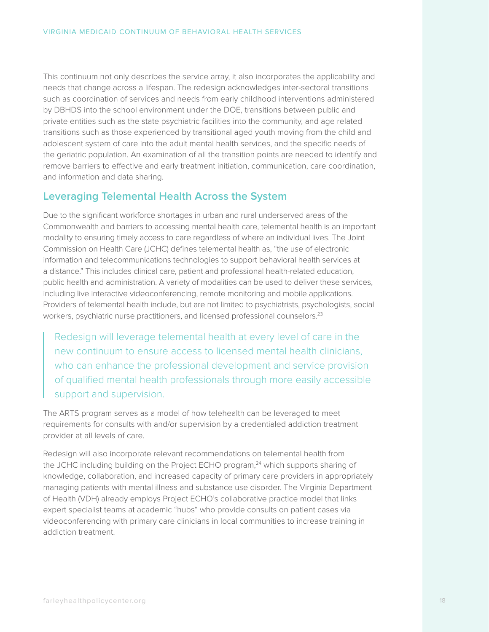This continuum not only describes the service array, it also incorporates the applicability and needs that change across a lifespan. The redesign acknowledges inter-sectoral transitions such as coordination of services and needs from early childhood interventions administered by DBHDS into the school environment under the DOE, transitions between public and private entities such as the state psychiatric facilities into the community, and age related transitions such as those experienced by transitional aged youth moving from the child and adolescent system of care into the adult mental health services, and the specific needs of the geriatric population. An examination of all the transition points are needed to identify and remove barriers to effective and early treatment initiation, communication, care coordination, and information and data sharing.

### **Leveraging Telemental Health Across the System**

Due to the significant workforce shortages in urban and rural underserved areas of the Commonwealth and barriers to accessing mental health care, telemental health is an important modality to ensuring timely access to care regardless of where an individual lives. The Joint Commission on Health Care (JCHC) defines telemental health as, "the use of electronic information and telecommunications technologies to support behavioral health services at a distance." This includes clinical care, patient and professional health-related education, public health and administration. A variety of modalities can be used to deliver these services, including live interactive videoconferencing, remote monitoring and mobile applications. Providers of telemental health include, but are not limited to psychiatrists, psychologists, social workers, psychiatric nurse practitioners, and licensed professional counselors.<sup>23</sup>

Redesign will leverage telemental health at every level of care in the new continuum to ensure access to licensed mental health clinicians, who can enhance the professional development and service provision of qualified mental health professionals through more easily accessible support and supervision.

The ARTS program serves as a model of how telehealth can be leveraged to meet requirements for consults with and/or supervision by a credentialed addiction treatment provider at all levels of care.

Redesign will also incorporate relevant recommendations on telemental health from the JCHC including building on the Project ECHO program,<sup>24</sup> which supports sharing of knowledge, collaboration, and increased capacity of primary care providers in appropriately managing patients with mental illness and substance use disorder. The Virginia Department of Health (VDH) already employs Project ECHO's collaborative practice model that links expert specialist teams at academic "hubs" who provide consults on patient cases via videoconferencing with primary care clinicians in local communities to increase training in addiction treatment.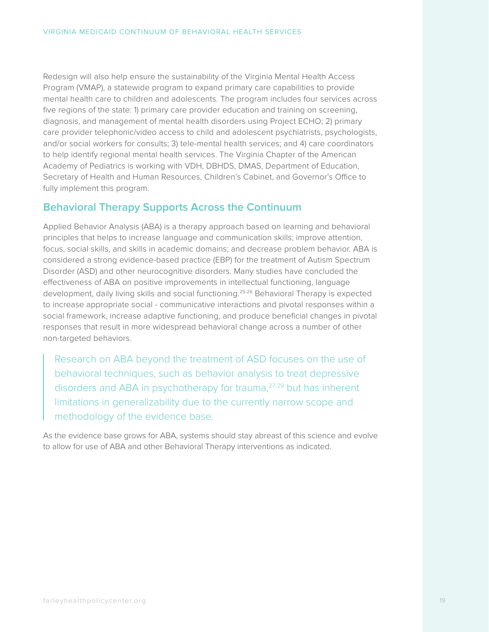Redesign will also help ensure the sustainability of the Virginia Mental Health Access Program (VMAP), a statewide program to expand primary care capabilities to provide mental health care to children and adolescents. The program includes four services across five regions of the state: 1) primary care provider education and training on screening, diagnosis, and management of mental health disorders using Project ECHO; 2) primary care provider telephonic/video access to child and adolescent psychiatrists, psychologists, and/or social workers for consults; 3) tele-mental health services; and 4) care coordinators to help identify regional mental health services. The Virginia Chapter of the American Academy of Pediatrics is working with VDH, DBHDS, DMAS, Department of Education, Secretary of Health and Human Resources, Children's Cabinet, and Governor's Office to fully implement this program.

### **Behavioral Therapy Supports Across the Continuum**

Applied Behavior Analysis (ABA) is a therapy approach based on learning and behavioral principles that helps to increase language and communication skills; improve attention, focus, social skills, and skills in academic domains; and decrease problem behavior. ABA is considered a strong evidence-based practice (EBP) for the treatment of Autism Spectrum Disorder (ASD) and other neurocognitive disorders. Many studies have concluded the effectiveness of ABA on positive improvements in intellectual functioning, language development, daily living skills and social functioning.<sup>25-26</sup> Behavioral Therapy is expected to increase appropriate social - communicative interactions and pivotal responses within a social framework, increase adaptive functioning, and produce beneficial changes in pivotal responses that result in more widespread behavioral change across a number of other non-targeted behaviors.

Research on ABA beyond the treatment of ASD focuses on the use of behavioral techniques, such as behavior analysis to treat depressive disorders and ABA in psychotherapy for trauma,<sup>27-29</sup> but has inherent limitations in generalizability due to the currently narrow scope and methodology of the evidence base.

As the evidence base grows for ABA, systems should stay abreast of this science and evolve to allow for use of ABA and other Behavioral Therapy interventions as indicated.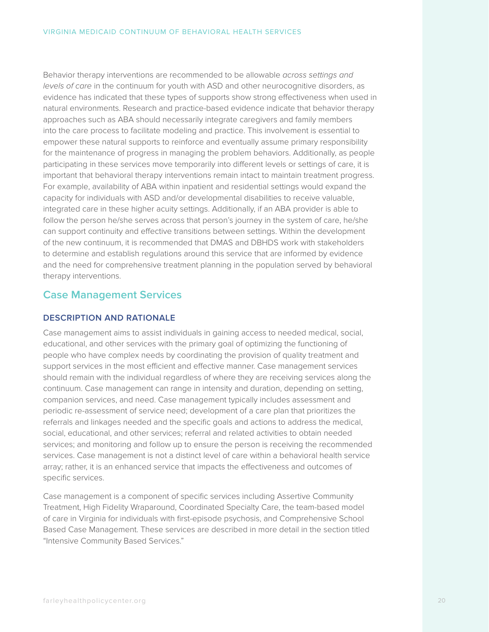Behavior therapy interventions are recommended to be allowable *across settings and levels of care* in the continuum for youth with ASD and other neurocognitive disorders, as evidence has indicated that these types of supports show strong effectiveness when used in natural environments. Research and practice-based evidence indicate that behavior therapy approaches such as ABA should necessarily integrate caregivers and family members into the care process to facilitate modeling and practice. This involvement is essential to empower these natural supports to reinforce and eventually assume primary responsibility for the maintenance of progress in managing the problem behaviors. Additionally, as people participating in these services move temporarily into different levels or settings of care, it is important that behavioral therapy interventions remain intact to maintain treatment progress. For example, availability of ABA within inpatient and residential settings would expand the capacity for individuals with ASD and/or developmental disabilities to receive valuable, integrated care in these higher acuity settings. Additionally, if an ABA provider is able to follow the person he/she serves across that person's journey in the system of care, he/she can support continuity and effective transitions between settings. Within the development of the new continuum, it is recommended that DMAS and DBHDS work with stakeholders to determine and establish regulations around this service that are informed by evidence and the need for comprehensive treatment planning in the population served by behavioral therapy interventions.

### **Case Management Services**

#### **DESCRIPTION AND RATIONALE**

Case management aims to assist individuals in gaining access to needed medical, social, educational, and other services with the primary goal of optimizing the functioning of people who have complex needs by coordinating the provision of quality treatment and support services in the most efficient and effective manner. Case management services should remain with the individual regardless of where they are receiving services along the continuum. Case management can range in intensity and duration, depending on setting, companion services, and need. Case management typically includes assessment and periodic re-assessment of service need; development of a care plan that prioritizes the referrals and linkages needed and the specific goals and actions to address the medical, social, educational, and other services; referral and related activities to obtain needed services; and monitoring and follow up to ensure the person is receiving the recommended services. Case management is not a distinct level of care within a behavioral health service array; rather, it is an enhanced service that impacts the effectiveness and outcomes of specific services.

Case management is a component of specific services including Assertive Community Treatment, High Fidelity Wraparound, Coordinated Specialty Care, the team-based model of care in Virginia for individuals with first-episode psychosis, and Comprehensive School Based Case Management. These services are described in more detail in the section titled "Intensive Community Based Services."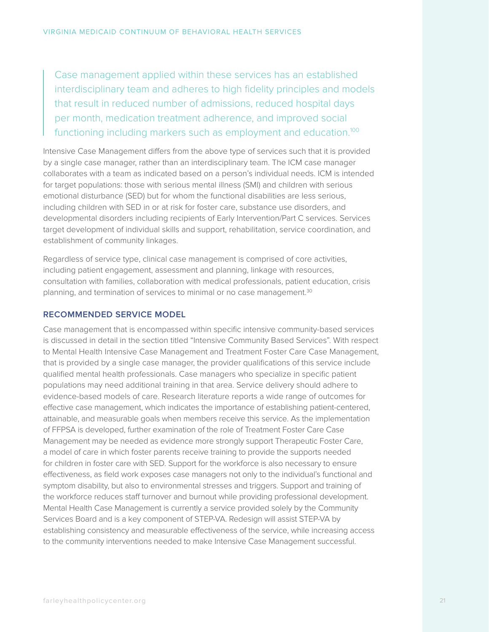Case management applied within these services has an established interdisciplinary team and adheres to high fidelity principles and models that result in reduced number of admissions, reduced hospital days per month, medication treatment adherence, and improved social functioning including markers such as employment and education.<sup>100</sup>

Intensive Case Management differs from the above type of services such that it is provided by a single case manager, rather than an interdisciplinary team. The ICM case manager collaborates with a team as indicated based on a person's individual needs. ICM is intended for target populations: those with serious mental illness (SMI) and children with serious emotional disturbance (SED) but for whom the functional disabilities are less serious, including children with SED in or at risk for foster care, substance use disorders, and developmental disorders including recipients of Early Intervention/Part C services. Services target development of individual skills and support, rehabilitation, service coordination, and establishment of community linkages.

Regardless of service type, clinical case management is comprised of core activities, including patient engagement, assessment and planning, linkage with resources, consultation with families, collaboration with medical professionals, patient education, crisis planning, and termination of services to minimal or no case management.<sup>30</sup>

#### **RECOMMENDED SERVICE MODEL**

Case management that is encompassed within specific intensive community-based services is discussed in detail in the section titled "Intensive Community Based Services". With respect to Mental Health Intensive Case Management and Treatment Foster Care Case Management, that is provided by a single case manager, the provider qualifications of this service include qualified mental health professionals. Case managers who specialize in specific patient populations may need additional training in that area. Service delivery should adhere to evidence-based models of care. Research literature reports a wide range of outcomes for effective case management, which indicates the importance of establishing patient-centered, attainable, and measurable goals when members receive this service. As the implementation of FFPSA is developed, further examination of the role of Treatment Foster Care Case Management may be needed as evidence more strongly support Therapeutic Foster Care, a model of care in which foster parents receive training to provide the supports needed for children in foster care with SED. Support for the workforce is also necessary to ensure effectiveness, as field work exposes case managers not only to the individual's functional and symptom disability, but also to environmental stresses and triggers. Support and training of the workforce reduces staff turnover and burnout while providing professional development. Mental Health Case Management is currently a service provided solely by the Community Services Board and is a key component of STEP-VA. Redesign will assist STEP-VA by establishing consistency and measurable effectiveness of the service, while increasing access to the community interventions needed to make Intensive Case Management successful.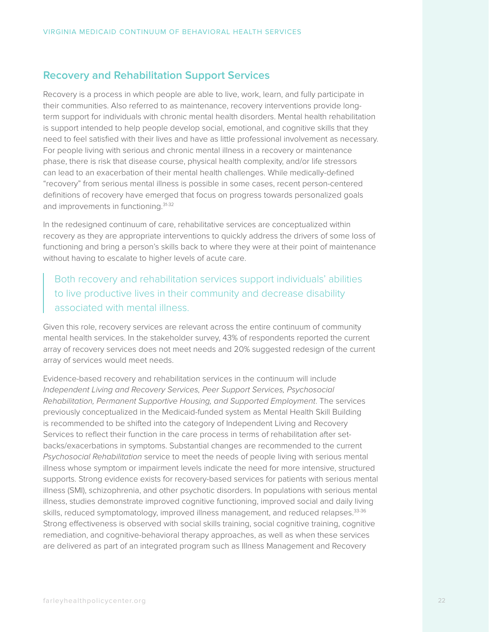### **Recovery and Rehabilitation Support Services**

Recovery is a process in which people are able to live, work, learn, and fully participate in their communities. Also referred to as maintenance, recovery interventions provide longterm support for individuals with chronic mental health disorders. Mental health rehabilitation is support intended to help people develop social, emotional, and cognitive skills that they need to feel satisfied with their lives and have as little professional involvement as necessary. For people living with serious and chronic mental illness in a recovery or maintenance phase, there is risk that disease course, physical health complexity, and/or life stressors can lead to an exacerbation of their mental health challenges. While medically-defined "recovery" from serious mental illness is possible in some cases, recent person-centered definitions of recovery have emerged that focus on progress towards personalized goals and improvements in functioning.<sup>31-32</sup>

In the redesigned continuum of care, rehabilitative services are conceptualized within recovery as they are appropriate interventions to quickly address the drivers of some loss of functioning and bring a person's skills back to where they were at their point of maintenance without having to escalate to higher levels of acute care.

Both recovery and rehabilitation services support individuals' abilities to live productive lives in their community and decrease disability associated with mental illness.

Given this role, recovery services are relevant across the entire continuum of community mental health services. In the stakeholder survey, 43% of respondents reported the current array of recovery services does not meet needs and 20% suggested redesign of the current array of services would meet needs.

Evidence-based recovery and rehabilitation services in the continuum will include *Independent Living and Recovery Services, Peer Support Services, Psychosocial Rehabilitation, Permanent Supportive Housing, and Supported Employment*. The services previously conceptualized in the Medicaid-funded system as Mental Health Skill Building is recommended to be shifted into the category of Independent Living and Recovery Services to reflect their function in the care process in terms of rehabilitation after setbacks/exacerbations in symptoms. Substantial changes are recommended to the current *Psychosocial Rehabilitation* service to meet the needs of people living with serious mental illness whose symptom or impairment levels indicate the need for more intensive, structured supports. Strong evidence exists for recovery-based services for patients with serious mental illness (SMI), schizophrenia, and other psychotic disorders. In populations with serious mental illness, studies demonstrate improved cognitive functioning, improved social and daily living skills, reduced symptomatology, improved illness management, and reduced relapses.<sup>33-36</sup> Strong effectiveness is observed with social skills training, social cognitive training, cognitive remediation, and cognitive-behavioral therapy approaches, as well as when these services are delivered as part of an integrated program such as Illness Management and Recovery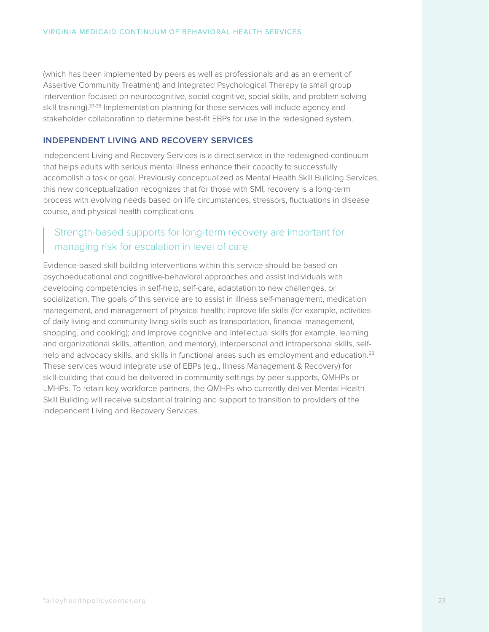(which has been implemented by peers as well as professionals and as an element of Assertive Community Treatment) and Integrated Psychological Therapy (a small group intervention focused on neurocognitive, social cognitive, social skills, and problem solving skill training).<sup>37-38</sup> Implementation planning for these services will include agency and stakeholder collaboration to determine best-fit EBPs for use in the redesigned system.

#### **INDEPENDENT LIVING AND RECOVERY SERVICES**

Independent Living and Recovery Services is a direct service in the redesigned continuum that helps adults with serious mental illness enhance their capacity to successfully accomplish a task or goal. Previously conceptualized as Mental Health Skill Building Services, this new conceptualization recognizes that for those with SMI, recovery is a long-term process with evolving needs based on life circumstances, stressors, fluctuations in disease course, and physical health complications.

## Strength-based supports for long-term recovery are important for managing risk for escalation in level of care.

Evidence-based skill building interventions within this service should be based on psychoeducational and cognitive-behavioral approaches and assist individuals with developing competencies in self-help, self-care, adaptation to new challenges, or socialization. The goals of this service are to assist in illness self-management, medication management, and management of physical health; improve life skills (for example, activities of daily living and community living skills such as transportation, financial management, shopping, and cooking); and improve cognitive and intellectual skills (for example, learning and organizational skills, attention, and memory), interpersonal and intrapersonal skills, selfhelp and advocacy skills, and skills in functional areas such as employment and education.<sup>63</sup> These services would integrate use of EBPs (e.g., Illness Management & Recovery) for skill-building that could be delivered in community settings by peer supports, QMHPs or LMHPs. To retain key workforce partners, the QMHPs who currently deliver Mental Health Skill Building will receive substantial training and support to transition to providers of the Independent Living and Recovery Services.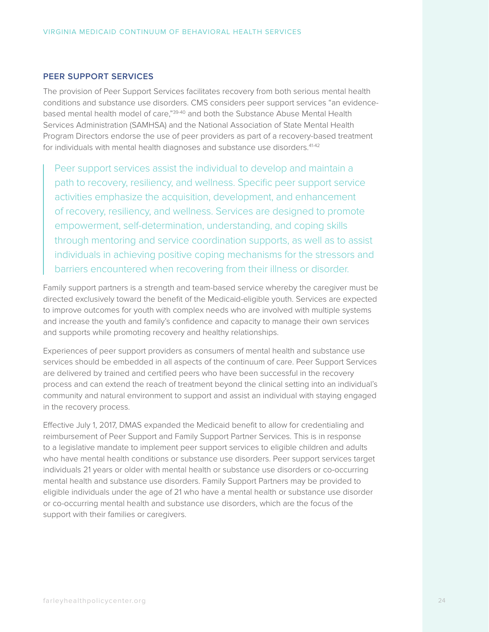#### **PEER SUPPORT SERVICES**

The provision of Peer Support Services facilitates recovery from both serious mental health conditions and substance use disorders. CMS considers peer support services "an evidencebased mental health model of care,"39-40 and both the Substance Abuse Mental Health Services Administration (SAMHSA) and the National Association of State Mental Health Program Directors endorse the use of peer providers as part of a recovery-based treatment for individuals with mental health diagnoses and substance use disorders.<sup>41-42</sup>

Peer support services assist the individual to develop and maintain a path to recovery, resiliency, and wellness. Specific peer support service activities emphasize the acquisition, development, and enhancement of recovery, resiliency, and wellness. Services are designed to promote empowerment, self-determination, understanding, and coping skills through mentoring and service coordination supports, as well as to assist individuals in achieving positive coping mechanisms for the stressors and barriers encountered when recovering from their illness or disorder.

Family support partners is a strength and team-based service whereby the caregiver must be directed exclusively toward the benefit of the Medicaid-eligible youth. Services are expected to improve outcomes for youth with complex needs who are involved with multiple systems and increase the youth and family's confidence and capacity to manage their own services and supports while promoting recovery and healthy relationships.

Experiences of peer support providers as consumers of mental health and substance use services should be embedded in all aspects of the continuum of care. Peer Support Services are delivered by trained and certified peers who have been successful in the recovery process and can extend the reach of treatment beyond the clinical setting into an individual's community and natural environment to support and assist an individual with staying engaged in the recovery process.

Effective July 1, 2017, DMAS expanded the Medicaid benefit to allow for credentialing and reimbursement of Peer Support and Family Support Partner Services. This is in response to a legislative mandate to implement peer support services to eligible children and adults who have mental health conditions or substance use disorders. Peer support services target individuals 21 years or older with mental health or substance use disorders or co-occurring mental health and substance use disorders. Family Support Partners may be provided to eligible individuals under the age of 21 who have a mental health or substance use disorder or co-occurring mental health and substance use disorders, which are the focus of the support with their families or caregivers.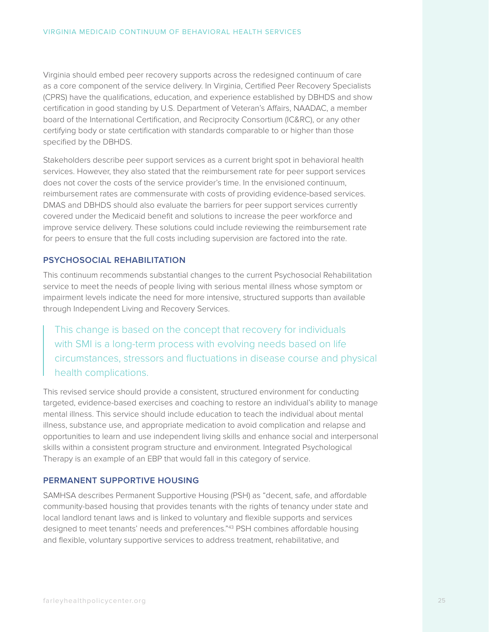Virginia should embed peer recovery supports across the redesigned continuum of care as a core component of the service delivery. In Virginia, Certified Peer Recovery Specialists (CPRS) have the qualifications, education, and experience established by DBHDS and show certification in good standing by U.S. Department of Veteran's Affairs, NAADAC, a member board of the International Certification, and Reciprocity Consortium (IC&RC), or any other certifying body or state certification with standards comparable to or higher than those specified by the DBHDS.

Stakeholders describe peer support services as a current bright spot in behavioral health services. However, they also stated that the reimbursement rate for peer support services does not cover the costs of the service provider's time. In the envisioned continuum, reimbursement rates are commensurate with costs of providing evidence-based services. DMAS and DBHDS should also evaluate the barriers for peer support services currently covered under the Medicaid benefit and solutions to increase the peer workforce and improve service delivery. These solutions could include reviewing the reimbursement rate for peers to ensure that the full costs including supervision are factored into the rate.

#### **PSYCHOSOCIAL REHABILITATION**

This continuum recommends substantial changes to the current Psychosocial Rehabilitation service to meet the needs of people living with serious mental illness whose symptom or impairment levels indicate the need for more intensive, structured supports than available through Independent Living and Recovery Services.

This change is based on the concept that recovery for individuals with SMI is a long-term process with evolving needs based on life circumstances, stressors and fluctuations in disease course and physical health complications.

This revised service should provide a consistent, structured environment for conducting targeted, evidence-based exercises and coaching to restore an individual's ability to manage mental illness. This service should include education to teach the individual about mental illness, substance use, and appropriate medication to avoid complication and relapse and opportunities to learn and use independent living skills and enhance social and interpersonal skills within a consistent program structure and environment. Integrated Psychological Therapy is an example of an EBP that would fall in this category of service.

#### **PERMANENT SUPPORTIVE HOUSING**

SAMHSA describes Permanent Supportive Housing (PSH) as "decent, safe, and affordable community-based housing that provides tenants with the rights of tenancy under state and local landlord tenant laws and is linked to voluntary and flexible supports and services designed to meet tenants' needs and preferences."43 PSH combines affordable housing and flexible, voluntary supportive services to address treatment, rehabilitative, and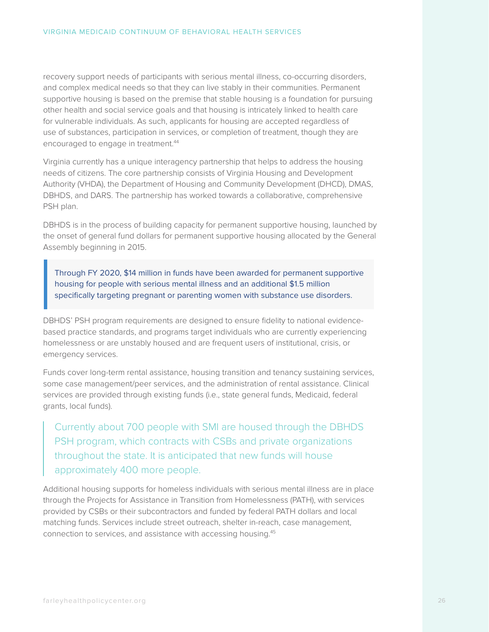recovery support needs of participants with serious mental illness, co-occurring disorders, and complex medical needs so that they can live stably in their communities. Permanent supportive housing is based on the premise that stable housing is a foundation for pursuing other health and social service goals and that housing is intricately linked to health care for vulnerable individuals. As such, applicants for housing are accepted regardless of use of substances, participation in services, or completion of treatment, though they are encouraged to engage in treatment.<sup>44</sup>

Virginia currently has a unique interagency partnership that helps to address the housing needs of citizens. The core partnership consists of Virginia Housing and Development Authority (VHDA), the Department of Housing and Community Development (DHCD), DMAS, DBHDS, and DARS. The partnership has worked towards a collaborative, comprehensive PSH plan.

DBHDS is in the process of building capacity for permanent supportive housing, launched by the onset of general fund dollars for permanent supportive housing allocated by the General Assembly beginning in 2015.

Through FY 2020, \$14 million in funds have been awarded for permanent supportive housing for people with serious mental illness and an additional \$1.5 million specifically targeting pregnant or parenting women with substance use disorders.

DBHDS' PSH program requirements are designed to ensure fidelity to national evidencebased practice standards, and programs target individuals who are currently experiencing homelessness or are unstably housed and are frequent users of institutional, crisis, or emergency services.

Funds cover long-term rental assistance, housing transition and tenancy sustaining services, some case management/peer services, and the administration of rental assistance. Clinical services are provided through existing funds (i.e., state general funds, Medicaid, federal grants, local funds).

Currently about 700 people with SMI are housed through the DBHDS PSH program, which contracts with CSBs and private organizations throughout the state. It is anticipated that new funds will house approximately 400 more people.

Additional housing supports for homeless individuals with serious mental illness are in place through the Projects for Assistance in Transition from Homelessness (PATH), with services provided by CSBs or their subcontractors and funded by federal PATH dollars and local matching funds. Services include street outreach, shelter in-reach, case management, connection to services, and assistance with accessing housing.45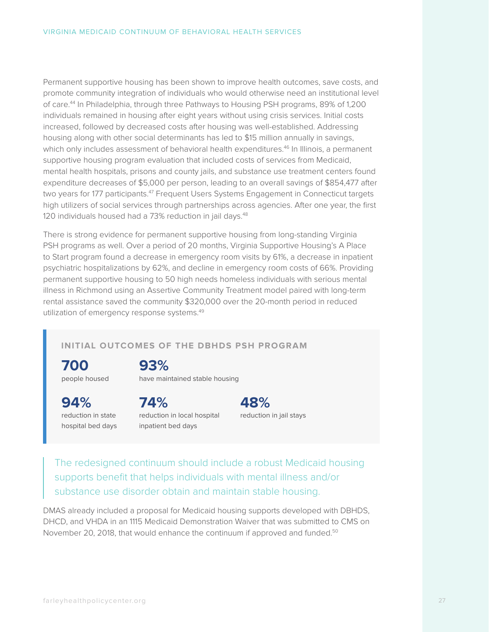Permanent supportive housing has been shown to improve health outcomes, save costs, and promote community integration of individuals who would otherwise need an institutional level of care.44 In Philadelphia, through three Pathways to Housing PSH programs, 89% of 1,200 individuals remained in housing after eight years without using crisis services. Initial costs increased, followed by decreased costs after housing was well-established. Addressing housing along with other social determinants has led to \$15 million annually in savings, which only includes assessment of behavioral health expenditures.<sup>46</sup> In Illinois, a permanent supportive housing program evaluation that included costs of services from Medicaid, mental health hospitals, prisons and county jails, and substance use treatment centers found expenditure decreases of \$5,000 per person, leading to an overall savings of \$854,477 after two years for 177 participants.<sup>47</sup> Frequent Users Systems Engagement in Connecticut targets high utilizers of social services through partnerships across agencies. After one year, the first 120 individuals housed had a 73% reduction in jail days.<sup>48</sup>

There is strong evidence for permanent supportive housing from long-standing Virginia PSH programs as well. Over a period of 20 months, Virginia Supportive Housing's A Place to Start program found a decrease in emergency room visits by 61%, a decrease in inpatient psychiatric hospitalizations by 62%, and decline in emergency room costs of 66%. Providing permanent supportive housing to 50 high needs homeless individuals with serious mental illness in Richmond using an Assertive Community Treatment model paired with long-term rental assistance saved the community \$320,000 over the 20-month period in reduced utilization of emergency response systems.49

#### **INITIAL OUTCOMES OF THE DBHDS PSH PROGRAM**

**700** people housed

## **93%**

have maintained stable housing

**94%** reduction in state hospital bed days

**74%** reduction in local hospital inpatient bed days

**48%** reduction in jail stays

The redesigned continuum should include a robust Medicaid housing supports benefit that helps individuals with mental illness and/or substance use disorder obtain and maintain stable housing.

DMAS already included a proposal for Medicaid housing supports developed with DBHDS, DHCD, and VHDA in an 1115 Medicaid Demonstration Waiver that was submitted to CMS on November 20, 2018, that would enhance the continuum if approved and funded.<sup>50</sup>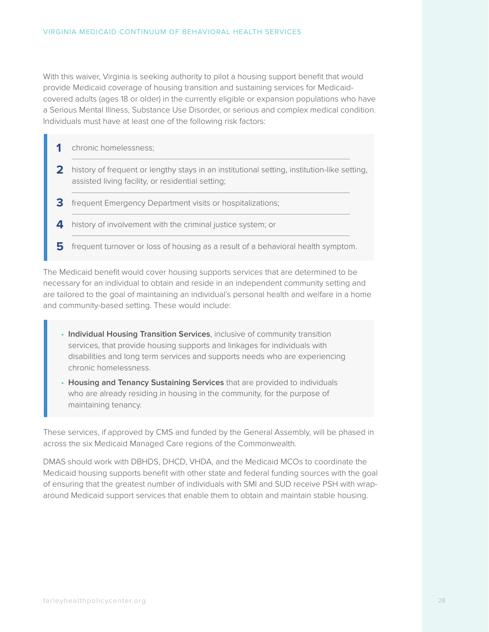With this waiver, Virginia is seeking authority to pilot a housing support benefit that would provide Medicaid coverage of housing transition and sustaining services for Medicaidcovered adults (ages 18 or older) in the currently eligible or expansion populations who have a Serious Mental Illness, Substance Use Disorder, or serious and complex medical condition. Individuals must have at least one of the following risk factors:

|   | chronic homelessness;                                                                                                                            |
|---|--------------------------------------------------------------------------------------------------------------------------------------------------|
|   | history of frequent or lengthy stays in an institutional setting, institution-like setting,<br>assisted living facility, or residential setting; |
|   | frequent Emergency Department visits or hospitalizations;                                                                                        |
|   | history of involvement with the criminal justice system; or                                                                                      |
| h | frequent turnover or loss of housing as a result of a behavioral health symptom.                                                                 |

The Medicaid benefit would cover housing supports services that are determined to be necessary for an individual to obtain and reside in an independent community setting and are tailored to the goal of maintaining an individual's personal health and welfare in a home and community-based setting. These would include:

- **• Individual Housing Transition Services**, inclusive of community transition services, that provide housing supports and linkages for individuals with disabilities and long term services and supports needs who are experiencing chronic homelessness.
- **• Housing and Tenancy Sustaining Services** that are provided to individuals who are already residing in housing in the community, for the purpose of maintaining tenancy.

These services, if approved by CMS and funded by the General Assembly, will be phased in across the six Medicaid Managed Care regions of the Commonwealth.

DMAS should work with DBHDS, DHCD, VHDA, and the Medicaid MCOs to coordinate the Medicaid housing supports benefit with other state and federal funding sources with the goal of ensuring that the greatest number of individuals with SMI and SUD receive PSH with wraparound Medicaid support services that enable them to obtain and maintain stable housing.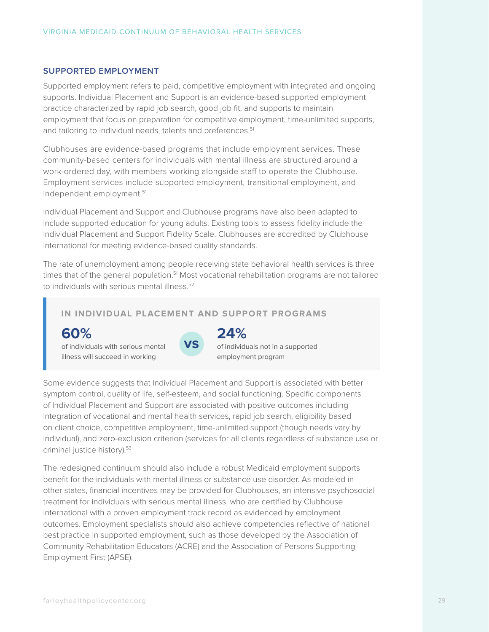#### **SUPPORTED EMPLOYMENT**

Supported employment refers to paid, competitive employment with integrated and ongoing supports. Individual Placement and Support is an evidence-based supported employment practice characterized by rapid job search, good job fit, and supports to maintain employment that focus on preparation for competitive employment, time-unlimited supports, and tailoring to individual needs, talents and preferences.<sup>51</sup>

Clubhouses are evidence-based programs that include employment services. These community-based centers for individuals with mental illness are structured around a work-ordered day, with members working alongside staff to operate the Clubhouse. Employment services include supported employment, transitional employment, and independent employment.<sup>51</sup>

Individual Placement and Support and Clubhouse programs have also been adapted to include supported education for young adults. Existing tools to assess fidelity include the Individual Placement and Support Fidelity Scale. Clubhouses are accredited by Clubhouse International for meeting evidence-based quality standards.

The rate of unemployment among people receiving state behavioral health services is three times that of the general population.<sup>51</sup> Most vocational rehabilitation programs are not tailored to individuals with serious mental illness.<sup>52</sup>

#### **IN INDIVIDUAL PLACEMENT AND SUPPORT PROGRAMS**

## **60%**

of individuals with serious mental illness will succeed in working



## **24%**

of individuals not in a supported employment program

Some evidence suggests that Individual Placement and Support is associated with better symptom control, quality of life, self-esteem, and social functioning. Specific components of Individual Placement and Support are associated with positive outcomes including integration of vocational and mental health services, rapid job search, eligibility based on client choice, competitive employment, time-unlimited support (though needs vary by individual), and zero-exclusion criterion (services for all clients regardless of substance use or criminal justice history).53

The redesigned continuum should also include a robust Medicaid employment supports benefit for the individuals with mental illness or substance use disorder. As modeled in other states, financial incentives may be provided for Clubhouses, an intensive psychosocial treatment for individuals with serious mental illness, who are certified by Clubhouse International with a proven employment track record as evidenced by employment outcomes. Employment specialists should also achieve competencies reflective of national best practice in supported employment, such as those developed by the Association of Community Rehabilitation Educators (ACRE) and the Association of Persons Supporting Employment First (APSE).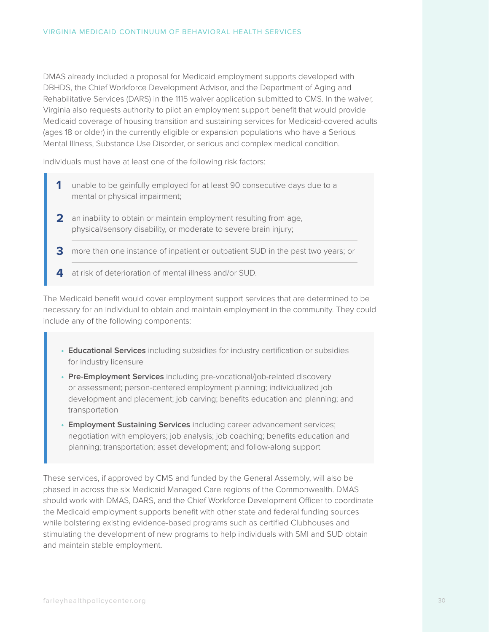DMAS already included a proposal for Medicaid employment supports developed with DBHDS, the Chief Workforce Development Advisor, and the Department of Aging and Rehabilitative Services (DARS) in the 1115 waiver application submitted to CMS. In the waiver, Virginia also requests authority to pilot an employment support benefit that would provide Medicaid coverage of housing transition and sustaining services for Medicaid-covered adults (ages 18 or older) in the currently eligible or expansion populations who have a Serious Mental Illness, Substance Use Disorder, or serious and complex medical condition.

Individuals must have at least one of the following risk factors:

- **1** unable to be gainfully employed for at least 90 consecutive days due to a mental or physical impairment;
- **2** an inability to obtain or maintain employment resulting from age, physical/sensory disability, or moderate to severe brain injury;
- **3** more than one instance of inpatient or outpatient SUD in the past two years; or
- **4** at risk of deterioration of mental illness and/or SUD.

The Medicaid benefit would cover employment support services that are determined to be necessary for an individual to obtain and maintain employment in the community. They could include any of the following components:

- **• Educational Services** including subsidies for industry certification or subsidies for industry licensure
- **• Pre-Employment Services** including pre-vocational/job-related discovery or assessment; person-centered employment planning; individualized job development and placement; job carving; benefits education and planning; and transportation
- **• Employment Sustaining Services** including career advancement services; negotiation with employers; job analysis; job coaching; benefits education and planning; transportation; asset development; and follow-along support

These services, if approved by CMS and funded by the General Assembly, will also be phased in across the six Medicaid Managed Care regions of the Commonwealth. DMAS should work with DMAS, DARS, and the Chief Workforce Development Officer to coordinate the Medicaid employment supports benefit with other state and federal funding sources while bolstering existing evidence-based programs such as certified Clubhouses and stimulating the development of new programs to help individuals with SMI and SUD obtain and maintain stable employment.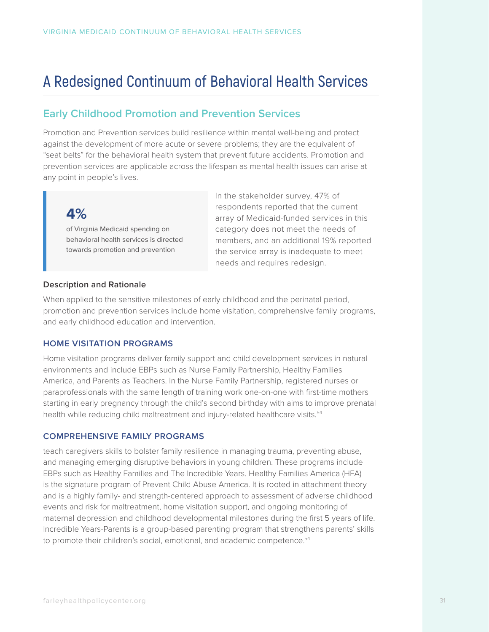## **A Redesigned Continuum of Behavioral Health Services**

## **Early Childhood Promotion and Prevention Services**

Promotion and Prevention services build resilience within mental well-being and protect against the development of more acute or severe problems; they are the equivalent of "seat belts" for the behavioral health system that prevent future accidents. Promotion and prevention services are applicable across the lifespan as mental health issues can arise at any point in people's lives.

## **4%**

of Virginia Medicaid spending on behavioral health services is directed towards promotion and prevention

In the stakeholder survey, 47% of respondents reported that the current array of Medicaid-funded services in this category does not meet the needs of members, and an additional 19% reported the service array is inadequate to meet needs and requires redesign.

#### **Description and Rationale**

When applied to the sensitive milestones of early childhood and the perinatal period, promotion and prevention services include home visitation, comprehensive family programs, and early childhood education and intervention.

#### **HOME VISITATION PROGRAMS**

Home visitation programs deliver family support and child development services in natural environments and include EBPs such as Nurse Family Partnership, Healthy Families America, and Parents as Teachers. In the Nurse Family Partnership, registered nurses or paraprofessionals with the same length of training work one-on-one with first-time mothers starting in early pregnancy through the child's second birthday with aims to improve prenatal health while reducing child maltreatment and injury-related healthcare visits.<sup>54</sup>

#### **COMPREHENSIVE FAMILY PROGRAMS**

teach caregivers skills to bolster family resilience in managing trauma, preventing abuse, and managing emerging disruptive behaviors in young children. These programs include EBPs such as Healthy Families and The Incredible Years. Healthy Families America (HFA) is the signature program of Prevent Child Abuse America. It is rooted in attachment theory and is a highly family- and strength-centered approach to assessment of adverse childhood events and risk for maltreatment, home visitation support, and ongoing monitoring of maternal depression and childhood developmental milestones during the first 5 years of life. Incredible Years-Parents is a group-based parenting program that strengthens parents' skills to promote their children's social, emotional, and academic competence.<sup>54</sup>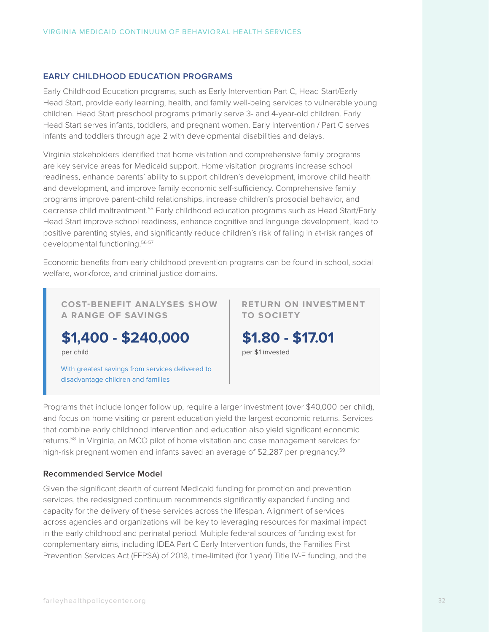#### **EARLY CHILDHOOD EDUCATION PROGRAMS**

Early Childhood Education programs, such as Early Intervention Part C, Head Start/Early Head Start, provide early learning, health, and family well-being services to vulnerable young children. Head Start preschool programs primarily serve 3- and 4-year-old children. Early Head Start serves infants, toddlers, and pregnant women. Early Intervention / Part C serves infants and toddlers through age 2 with developmental disabilities and delays.

Virginia stakeholders identified that home visitation and comprehensive family programs are key service areas for Medicaid support. Home visitation programs increase school readiness, enhance parents' ability to support children's development, improve child health and development, and improve family economic self-sufficiency. Comprehensive family programs improve parent-child relationships, increase children's prosocial behavior, and decrease child maltreatment.55 Early childhood education programs such as Head Start/Early Head Start improve school readiness, enhance cognitive and language development, lead to positive parenting styles, and significantly reduce children's risk of falling in at-risk ranges of developmental functioning.<sup>56-57</sup>

Economic benefits from early childhood prevention programs can be found in school, social welfare, workforce, and criminal justice domains.

**COST-BENEFIT ANALYSES SHOW A RANGE OF SAVINGS**

**\$1,400 - \$240,000**

per child

With greatest savings from services delivered to disadvantage children and families

**RETURN ON INVESTMENT TO SOCIETY**



Programs that include longer follow up, require a larger investment (over \$40,000 per child), and focus on home visiting or parent education yield the largest economic returns. Services that combine early childhood intervention and education also yield significant economic returns.58 In Virginia, an MCO pilot of home visitation and case management services for high-risk pregnant women and infants saved an average of \$2,287 per pregnancy.<sup>59</sup>

#### **Recommended Service Model**

Given the significant dearth of current Medicaid funding for promotion and prevention services, the redesigned continuum recommends significantly expanded funding and capacity for the delivery of these services across the lifespan. Alignment of services across agencies and organizations will be key to leveraging resources for maximal impact in the early childhood and perinatal period. Multiple federal sources of funding exist for complementary aims, including IDEA Part C Early Intervention funds, the Families First Prevention Services Act (FFPSA) of 2018, time-limited (for 1 year) Title IV-E funding, and the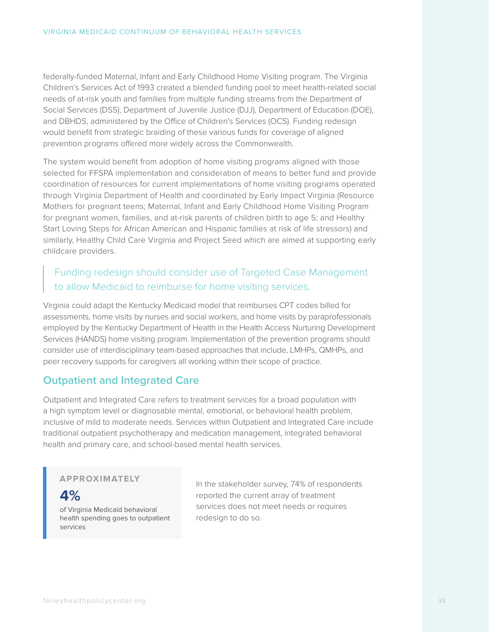federally-funded Maternal, Infant and Early Childhood Home Visiting program. The Virginia Children's Services Act of 1993 created a blended funding pool to meet health-related social needs of at-risk youth and families from multiple funding streams from the Department of Social Services (DSS), Department of Juvenile Justice (DJJ), Department of Education (DOE), and DBHDS, administered by the Office of Children's Services (OCS). Funding redesign would benefit from strategic braiding of these various funds for coverage of aligned prevention programs offered more widely across the Commonwealth.

The system would benefit from adoption of home visiting programs aligned with those selected for FFSPA implementation and consideration of means to better fund and provide coordination of resources for current implementations of home visiting programs operated through Virginia Department of Health and coordinated by Early Impact Virginia (Resource Mothers for pregnant teens; Maternal, Infant and Early Childhood Home Visiting Program for pregnant women, families, and at-risk parents of children birth to age 5; and Healthy Start Loving Steps for African American and Hispanic families at risk of life stressors) and similarly, Healthy Child Care Virginia and Project Seed which are aimed at supporting early childcare providers.

## Funding redesign should consider use of Targeted Case Management to allow Medicaid to reimburse for home visiting services.

Virginia could adapt the Kentucky Medicaid model that reimburses CPT codes billed for assessments, home visits by nurses and social workers, and home visits by paraprofessionals employed by the Kentucky Department of Health in the Health Access Nurturing Development Services (HANDS) home visiting program. Implementation of the prevention programs should consider use of interdisciplinary team-based approaches that include, LMHPs, QMHPs, and peer recovery supports for caregivers all working within their scope of practice.

### **Outpatient and Integrated Care**

Outpatient and Integrated Care refers to treatment services for a broad population with a high symptom level or diagnosable mental, emotional, or behavioral health problem, inclusive of mild to moderate needs. Services within Outpatient and Integrated Care include traditional outpatient psychotherapy and medication management, integrated behavioral health and primary care, and school-based mental health services.

#### **APPROXIMATELY**

**4%**

of Virginia Medicaid behavioral health spending goes to outpatient services

In the stakeholder survey, 74% of respondents reported the current array of treatment services does not meet needs or requires redesign to do so.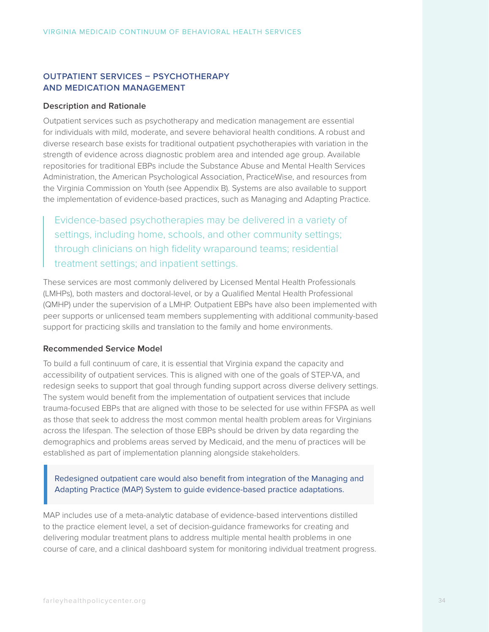### **OUTPATIENT SERVICES – PSYCHOTHERAPY AND MEDICATION MANAGEMENT**

#### **Description and Rationale**

Outpatient services such as psychotherapy and medication management are essential for individuals with mild, moderate, and severe behavioral health conditions. A robust and diverse research base exists for traditional outpatient psychotherapies with variation in the strength of evidence across diagnostic problem area and intended age group. Available repositories for traditional EBPs include the Substance Abuse and Mental Health Services Administration, the American Psychological Association, PracticeWise, and resources from the Virginia Commission on Youth (see Appendix B). Systems are also available to support the implementation of evidence-based practices, such as Managing and Adapting Practice.

Evidence-based psychotherapies may be delivered in a variety of settings, including home, schools, and other community settings; through clinicians on high fidelity wraparound teams; residential treatment settings; and inpatient settings.

These services are most commonly delivered by Licensed Mental Health Professionals (LMHPs), both masters and doctoral-level, or by a Qualified Mental Health Professional (QMHP) under the supervision of a LMHP. Outpatient EBPs have also been implemented with peer supports or unlicensed team members supplementing with additional community-based support for practicing skills and translation to the family and home environments.

#### **Recommended Service Model**

To build a full continuum of care, it is essential that Virginia expand the capacity and accessibility of outpatient services. This is aligned with one of the goals of STEP-VA, and redesign seeks to support that goal through funding support across diverse delivery settings. The system would benefit from the implementation of outpatient services that include trauma-focused EBPs that are aligned with those to be selected for use within FFSPA as well as those that seek to address the most common mental health problem areas for Virginians across the lifespan. The selection of those EBPs should be driven by data regarding the demographics and problems areas served by Medicaid, and the menu of practices will be established as part of implementation planning alongside stakeholders.

Redesigned outpatient care would also benefit from integration of the Managing and Adapting Practice (MAP) System to guide evidence-based practice adaptations.

MAP includes use of a meta-analytic database of evidence-based interventions distilled to the practice element level, a set of decision-guidance frameworks for creating and delivering modular treatment plans to address multiple mental health problems in one course of care, and a clinical dashboard system for monitoring individual treatment progress.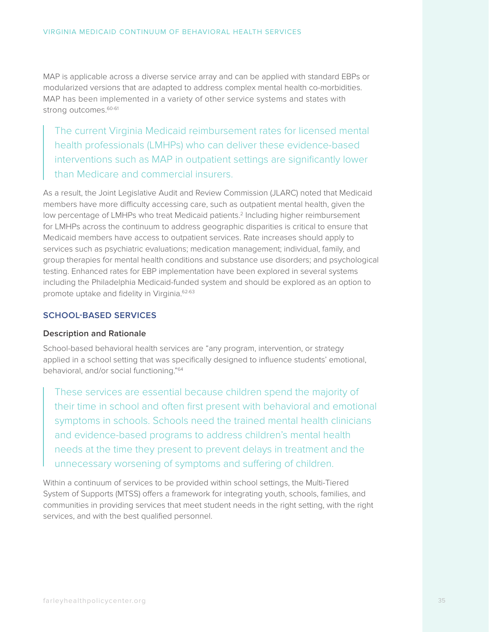MAP is applicable across a diverse service array and can be applied with standard EBPs or modularized versions that are adapted to address complex mental health co-morbidities. MAP has been implemented in a variety of other service systems and states with strong outcomes.<sup>60-61</sup>

The current Virginia Medicaid reimbursement rates for licensed mental health professionals (LMHPs) who can deliver these evidence-based interventions such as MAP in outpatient settings are significantly lower than Medicare and commercial insurers.

As a result, the Joint Legislative Audit and Review Commission (JLARC) noted that Medicaid members have more difficulty accessing care, such as outpatient mental health, given the low percentage of LMHPs who treat Medicaid patients.<sup>2</sup> Including higher reimbursement for LMHPs across the continuum to address geographic disparities is critical to ensure that Medicaid members have access to outpatient services. Rate increases should apply to services such as psychiatric evaluations; medication management; individual, family, and group therapies for mental health conditions and substance use disorders; and psychological testing. Enhanced rates for EBP implementation have been explored in several systems including the Philadelphia Medicaid-funded system and should be explored as an option to promote uptake and fidelity in Virginia.62-63

#### **SCHOOL-BASED SERVICES**

#### **Description and Rationale**

School-based behavioral health services are "any program, intervention, or strategy applied in a school setting that was specifically designed to influence students' emotional, behavioral, and/or social functioning."64

These services are essential because children spend the majority of their time in school and often first present with behavioral and emotional symptoms in schools. Schools need the trained mental health clinicians and evidence-based programs to address children's mental health needs at the time they present to prevent delays in treatment and the unnecessary worsening of symptoms and suffering of children.

Within a continuum of services to be provided within school settings, the Multi-Tiered System of Supports (MTSS) offers a framework for integrating youth, schools, families, and communities in providing services that meet student needs in the right setting, with the right services, and with the best qualified personnel.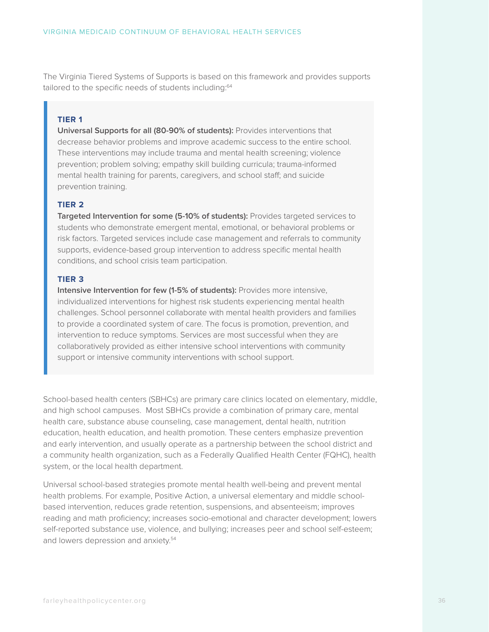The Virginia Tiered Systems of Supports is based on this framework and provides supports tailored to the specific needs of students including:<sup>64</sup>

#### **TIER 1**

**Universal Supports for all (80-90% of students):** Provides interventions that decrease behavior problems and improve academic success to the entire school. These interventions may include trauma and mental health screening; violence prevention; problem solving; empathy skill building curricula; trauma-informed mental health training for parents, caregivers, and school staff; and suicide prevention training.

#### **TIER 2**

**Targeted Intervention for some (5-10% of students):** Provides targeted services to students who demonstrate emergent mental, emotional, or behavioral problems or risk factors. Targeted services include case management and referrals to community supports, evidence-based group intervention to address specific mental health conditions, and school crisis team participation.

#### **TIER 3**

**Intensive Intervention for few (1-5% of students):** Provides more intensive, individualized interventions for highest risk students experiencing mental health challenges. School personnel collaborate with mental health providers and families to provide a coordinated system of care. The focus is promotion, prevention, and intervention to reduce symptoms. Services are most successful when they are collaboratively provided as either intensive school interventions with community support or intensive community interventions with school support.

School-based health centers (SBHCs) are primary care clinics located on elementary, middle, and high school campuses. Most SBHCs provide a combination of primary care, mental health care, substance abuse counseling, case management, dental health, nutrition education, health education, and health promotion. These centers emphasize prevention and early intervention, and usually operate as a partnership between the school district and a community health organization, such as a Federally Qualified Health Center (FQHC), health system, or the local health department.

Universal school-based strategies promote mental health well-being and prevent mental health problems. For example, Positive Action, a universal elementary and middle schoolbased intervention, reduces grade retention, suspensions, and absenteeism; improves reading and math proficiency; increases socio-emotional and character development; lowers self-reported substance use, violence, and bullying; increases peer and school self-esteem; and lowers depression and anxiety.<sup>54</sup>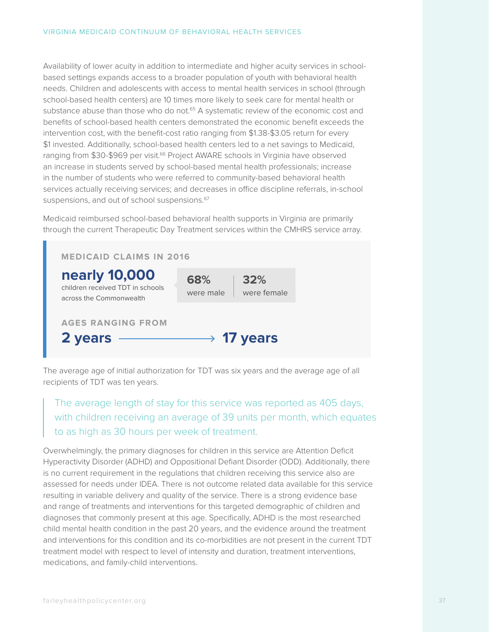Availability of lower acuity in addition to intermediate and higher acuity services in schoolbased settings expands access to a broader population of youth with behavioral health needs. Children and adolescents with access to mental health services in school (through school-based health centers) are 10 times more likely to seek care for mental health or substance abuse than those who do not.<sup>65</sup> A systematic review of the economic cost and benefits of school-based health centers demonstrated the economic benefit exceeds the intervention cost, with the benefit-cost ratio ranging from \$1.38-\$3.05 return for every \$1 invested. Additionally, school-based health centers led to a net savings to Medicaid, ranging from \$30-\$969 per visit.<sup>66</sup> Project AWARE schools in Virginia have observed an increase in students served by school-based mental health professionals; increase in the number of students who were referred to community-based behavioral health services actually receiving services; and decreases in office discipline referrals, in-school suspensions, and out of school suspensions.<sup>67</sup>

Medicaid reimbursed school-based behavioral health supports in Virginia are primarily through the current Therapeutic Day Treatment services within the CMHRS service array.



The average age of initial authorization for TDT was six years and the average age of all recipients of TDT was ten years.

## The average length of stay for this service was reported as 405 days, with children receiving an average of 39 units per month, which equates to as high as 30 hours per week of treatment.

Overwhelmingly, the primary diagnoses for children in this service are Attention Deficit Hyperactivity Disorder (ADHD) and Oppositional Defiant Disorder (ODD). Additionally, there is no current requirement in the regulations that children receiving this service also are assessed for needs under IDEA. There is not outcome related data available for this service resulting in variable delivery and quality of the service. There is a strong evidence base and range of treatments and interventions for this targeted demographic of children and diagnoses that commonly present at this age. Specifically, ADHD is the most researched child mental health condition in the past 20 years, and the evidence around the treatment and interventions for this condition and its co-morbidities are not present in the current TDT treatment model with respect to level of intensity and duration, treatment interventions, medications, and family-child interventions.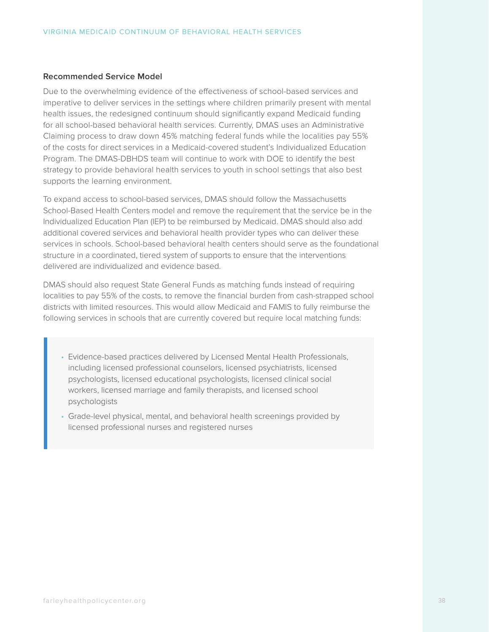#### **Recommended Service Model**

Due to the overwhelming evidence of the effectiveness of school-based services and imperative to deliver services in the settings where children primarily present with mental health issues, the redesigned continuum should significantly expand Medicaid funding for all school-based behavioral health services. Currently, DMAS uses an Administrative Claiming process to draw down 45% matching federal funds while the localities pay 55% of the costs for direct services in a Medicaid-covered student's Individualized Education Program. The DMAS-DBHDS team will continue to work with DOE to identify the best strategy to provide behavioral health services to youth in school settings that also best supports the learning environment.

To expand access to school-based services, DMAS should follow the Massachusetts School-Based Health Centers model and remove the requirement that the service be in the Individualized Education Plan (IEP) to be reimbursed by Medicaid. DMAS should also add additional covered services and behavioral health provider types who can deliver these services in schools. School-based behavioral health centers should serve as the foundational structure in a coordinated, tiered system of supports to ensure that the interventions delivered are individualized and evidence based.

DMAS should also request State General Funds as matching funds instead of requiring localities to pay 55% of the costs, to remove the financial burden from cash-strapped school districts with limited resources. This would allow Medicaid and FAMIS to fully reimburse the following services in schools that are currently covered but require local matching funds:

- Evidence-based practices delivered by Licensed Mental Health Professionals, including licensed professional counselors, licensed psychiatrists, licensed psychologists, licensed educational psychologists, licensed clinical social workers, licensed marriage and family therapists, and licensed school psychologists
- Grade-level physical, mental, and behavioral health screenings provided by licensed professional nurses and registered nurses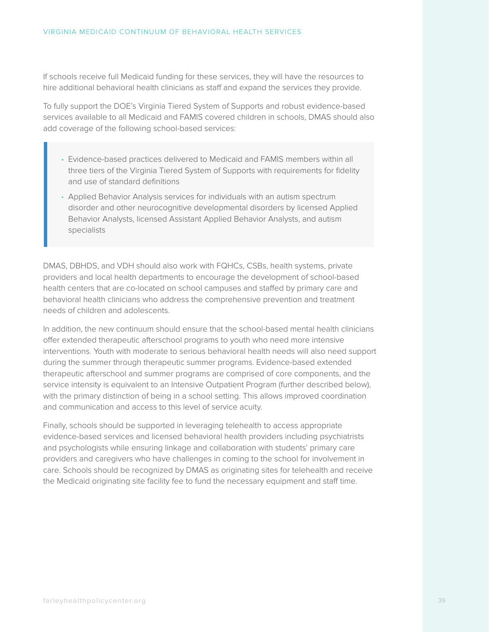If schools receive full Medicaid funding for these services, they will have the resources to hire additional behavioral health clinicians as staff and expand the services they provide.

To fully support the DOE's Virginia Tiered System of Supports and robust evidence-based services available to all Medicaid and FAMIS covered children in schools, DMAS should also add coverage of the following school-based services:

- Evidence-based practices delivered to Medicaid and FAMIS members within all three tiers of the Virginia Tiered System of Supports with requirements for fidelity and use of standard definitions
- Applied Behavior Analysis services for individuals with an autism spectrum disorder and other neurocognitive developmental disorders by licensed Applied Behavior Analysts, licensed Assistant Applied Behavior Analysts, and autism specialists

DMAS, DBHDS, and VDH should also work with FQHCs, CSBs, health systems, private providers and local health departments to encourage the development of school-based health centers that are co-located on school campuses and staffed by primary care and behavioral health clinicians who address the comprehensive prevention and treatment needs of children and adolescents.

In addition, the new continuum should ensure that the school-based mental health clinicians offer extended therapeutic afterschool programs to youth who need more intensive interventions. Youth with moderate to serious behavioral health needs will also need support during the summer through therapeutic summer programs. Evidence-based extended therapeutic afterschool and summer programs are comprised of core components, and the service intensity is equivalent to an Intensive Outpatient Program (further described below), with the primary distinction of being in a school setting. This allows improved coordination and communication and access to this level of service acuity.

Finally, schools should be supported in leveraging telehealth to access appropriate evidence-based services and licensed behavioral health providers including psychiatrists and psychologists while ensuring linkage and collaboration with students' primary care providers and caregivers who have challenges in coming to the school for involvement in care. Schools should be recognized by DMAS as originating sites for telehealth and receive the Medicaid originating site facility fee to fund the necessary equipment and staff time.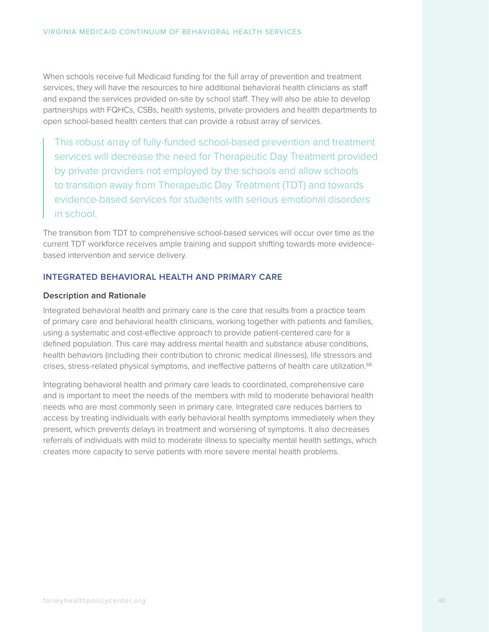When schools receive full Medicaid funding for the full array of prevention and treatment services, they will have the resources to hire additional behavioral health clinicians as staff and expand the services provided on-site by school staff. They will also be able to develop partnerships with FQHCs, CSBs, health systems, private providers and health departments to open school-based health centers that can provide a robust array of services.

This robust array of fully-funded school-based prevention and treatment services will decrease the need for Therapeutic Day Treatment provided by private providers not employed by the schools and allow schools to transition away from Therapeutic Day Treatment (TDT) and towards evidence-based services for students with serious emotional disorders in school.

The transition from TDT to comprehensive school-based services will occur over time as the current TDT workforce receives ample training and support shifting towards more evidencebased intervention and service delivery.

#### **INTEGRATED BEHAVIORAL HEALTH AND PRIMARY CARE**

#### **Description and Rationale**

Integrated behavioral health and primary care is the care that results from a practice team of primary care and behavioral health clinicians, working together with patients and families, using a systematic and cost-effective approach to provide patient-centered care for a defined population. This care may address mental health and substance abuse conditions, health behaviors (including their contribution to chronic medical illnesses), life stressors and crises, stress-related physical symptoms, and ineffective patterns of health care utilization.<sup>68</sup>

Integrating behavioral health and primary care leads to coordinated, comprehensive care and is important to meet the needs of the members with mild to moderate behavioral health needs who are most commonly seen in primary care. Integrated care reduces barriers to access by treating individuals with early behavioral health symptoms immediately when they present, which prevents delays in treatment and worsening of symptoms. It also decreases referrals of individuals with mild to moderate illness to specialty mental health settings, which creates more capacity to serve patients with more severe mental health problems.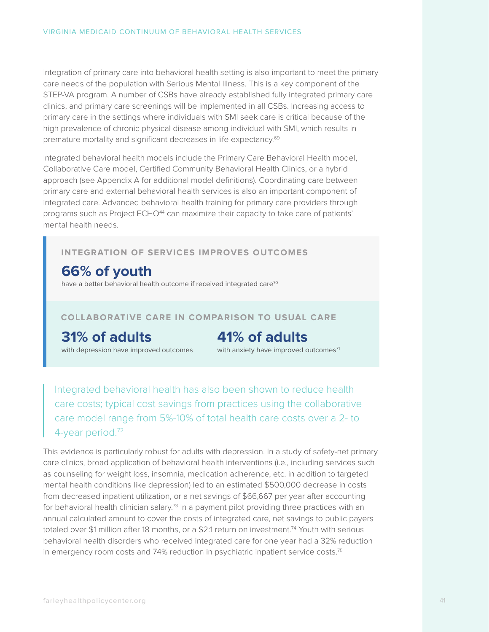Integration of primary care into behavioral health setting is also important to meet the primary care needs of the population with Serious Mental Illness. This is a key component of the STEP-VA program. A number of CSBs have already established fully integrated primary care clinics, and primary care screenings will be implemented in all CSBs. Increasing access to primary care in the settings where individuals with SMI seek care is critical because of the high prevalence of chronic physical disease among individual with SMI, which results in premature mortality and significant decreases in life expectancy.69

Integrated behavioral health models include the Primary Care Behavioral Health model, Collaborative Care model, Certified Community Behavioral Health Clinics, or a hybrid approach (see Appendix A for additional model definitions). Coordinating care between primary care and external behavioral health services is also an important component of integrated care. Advanced behavioral health training for primary care providers through programs such as Project ECHO<sup>44</sup> can maximize their capacity to take care of patients' mental health needs.

### **INTEGRATION OF SERVICES IMPROVES OUTCOMES**

## **66% of youth**

have a better behavioral health outcome if received integrated care<sup>70</sup>

#### **COLLABORATIVE CARE IN COMPARISON TO USUAL CARE**

**31% of adults**

with depression have improved outcomes

## **41% of adults**

with anxiety have improved outcomes<sup>71</sup>

Integrated behavioral health has also been shown to reduce health care costs; typical cost savings from practices using the collaborative care model range from 5%-10% of total health care costs over a 2- to 4-year period.72

This evidence is particularly robust for adults with depression. In a study of safety-net primary care clinics, broad application of behavioral health interventions (i.e., including services such as counseling for weight loss, insomnia, medication adherence, etc. in addition to targeted mental health conditions like depression) led to an estimated \$500,000 decrease in costs from decreased inpatient utilization, or a net savings of \$66,667 per year after accounting for behavioral health clinician salary.<sup>73</sup> In a payment pilot providing three practices with an annual calculated amount to cover the costs of integrated care, net savings to public payers totaled over \$1 million after 18 months, or a \$2:1 return on investment.<sup>74</sup> Youth with serious behavioral health disorders who received integrated care for one year had a 32% reduction in emergency room costs and 74% reduction in psychiatric inpatient service costs.<sup>75</sup>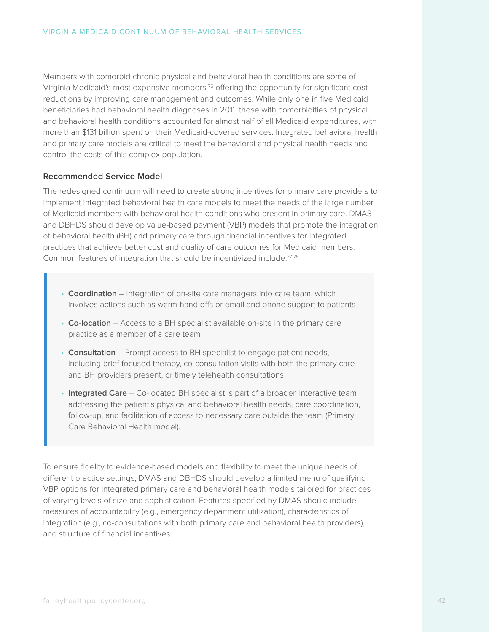Members with comorbid chronic physical and behavioral health conditions are some of Virginia Medicaid's most expensive members,<sup>76</sup> offering the opportunity for significant cost reductions by improving care management and outcomes. While only one in five Medicaid beneficiaries had behavioral health diagnoses in 2011, those with comorbidities of physical and behavioral health conditions accounted for almost half of all Medicaid expenditures, with more than \$131 billion spent on their Medicaid-covered services. Integrated behavioral health and primary care models are critical to meet the behavioral and physical health needs and control the costs of this complex population.

#### **Recommended Service Model**

The redesigned continuum will need to create strong incentives for primary care providers to implement integrated behavioral health care models to meet the needs of the large number of Medicaid members with behavioral health conditions who present in primary care. DMAS and DBHDS should develop value-based payment (VBP) models that promote the integration of behavioral health (BH) and primary care through financial incentives for integrated practices that achieve better cost and quality of care outcomes for Medicaid members. Common features of integration that should be incentivized include:77-78

- **• Coordination** Integration of on-site care managers into care team, which involves actions such as warm-hand offs or email and phone support to patients
- **• Co-location** Access to a BH specialist available on-site in the primary care practice as a member of a care team
- **• Consultation** Prompt access to BH specialist to engage patient needs, including brief focused therapy, co-consultation visits with both the primary care and BH providers present, or timely telehealth consultations
- **• Integrated Care** Co-located BH specialist is part of a broader, interactive team addressing the patient's physical and behavioral health needs, care coordination, follow-up, and facilitation of access to necessary care outside the team (Primary Care Behavioral Health model).

To ensure fidelity to evidence-based models and flexibility to meet the unique needs of different practice settings, DMAS and DBHDS should develop a limited menu of qualifying VBP options for integrated primary care and behavioral health models tailored for practices of varying levels of size and sophistication. Features specified by DMAS should include measures of accountability (e.g., emergency department utilization), characteristics of integration (e.g., co-consultations with both primary care and behavioral health providers), and structure of financial incentives.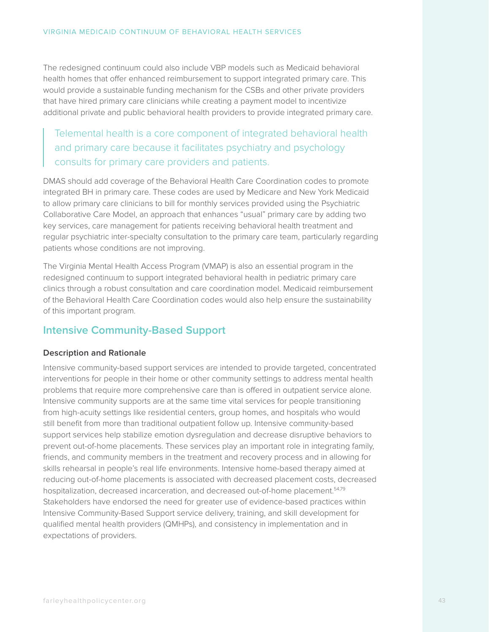The redesigned continuum could also include VBP models such as Medicaid behavioral health homes that offer enhanced reimbursement to support integrated primary care. This would provide a sustainable funding mechanism for the CSBs and other private providers that have hired primary care clinicians while creating a payment model to incentivize additional private and public behavioral health providers to provide integrated primary care.

Telemental health is a core component of integrated behavioral health and primary care because it facilitates psychiatry and psychology consults for primary care providers and patients.

DMAS should add coverage of the Behavioral Health Care Coordination codes to promote integrated BH in primary care. These codes are used by Medicare and New York Medicaid to allow primary care clinicians to bill for monthly services provided using the Psychiatric Collaborative Care Model, an approach that enhances "usual" primary care by adding two key services, care management for patients receiving behavioral health treatment and regular psychiatric inter-specialty consultation to the primary care team, particularly regarding patients whose conditions are not improving.

The Virginia Mental Health Access Program (VMAP) is also an essential program in the redesigned continuum to support integrated behavioral health in pediatric primary care clinics through a robust consultation and care coordination model. Medicaid reimbursement of the Behavioral Health Care Coordination codes would also help ensure the sustainability of this important program.

## **Intensive Community-Based Support**

#### **Description and Rationale**

Intensive community-based support services are intended to provide targeted, concentrated interventions for people in their home or other community settings to address mental health problems that require more comprehensive care than is offered in outpatient service alone. Intensive community supports are at the same time vital services for people transitioning from high-acuity settings like residential centers, group homes, and hospitals who would still benefit from more than traditional outpatient follow up. Intensive community-based support services help stabilize emotion dysregulation and decrease disruptive behaviors to prevent out-of-home placements. These services play an important role in integrating family, friends, and community members in the treatment and recovery process and in allowing for skills rehearsal in people's real life environments. Intensive home-based therapy aimed at reducing out-of-home placements is associated with decreased placement costs, decreased hospitalization, decreased incarceration, and decreased out-of-home placement.<sup>54,79</sup> Stakeholders have endorsed the need for greater use of evidence-based practices within Intensive Community-Based Support service delivery, training, and skill development for qualified mental health providers (QMHPs), and consistency in implementation and in expectations of providers.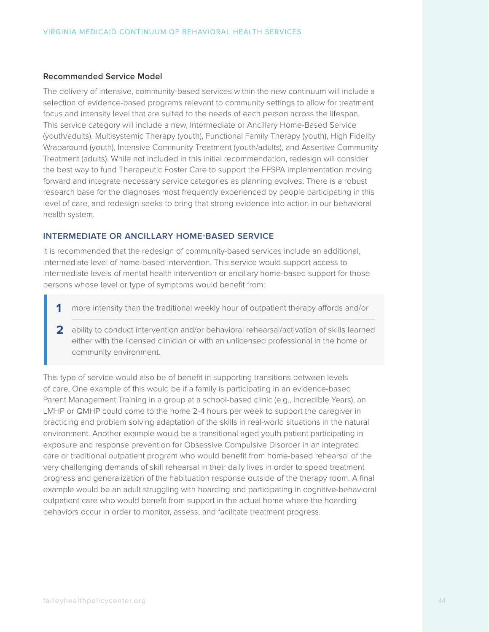#### **Recommended Service Model**

The delivery of intensive, community-based services within the new continuum will include a selection of evidence-based programs relevant to community settings to allow for treatment focus and intensity level that are suited to the needs of each person across the lifespan. This service category will include a new, Intermediate or Ancillary Home-Based Service (youth/adults), Multisystemic Therapy (youth), Functional Family Therapy (youth), High Fidelity Wraparound (youth), Intensive Community Treatment (youth/adults), and Assertive Community Treatment (adults). While not included in this initial recommendation, redesign will consider the best way to fund Therapeutic Foster Care to support the FFSPA implementation moving forward and integrate necessary service categories as planning evolves. There is a robust research base for the diagnoses most frequently experienced by people participating in this level of care, and redesign seeks to bring that strong evidence into action in our behavioral health system.

#### **INTERMEDIATE OR ANCILLARY HOME-BASED SERVICE**

It is recommended that the redesign of community-based services include an additional, intermediate level of home-based intervention. This service would support access to intermediate levels of mental health intervention or ancillary home-based support for those persons whose level or type of symptoms would benefit from:

- **1** more intensity than the traditional weekly hour of outpatient therapy affords and/or
- **2** ability to conduct intervention and/or behavioral rehearsal/activation of skills learned either with the licensed clinician or with an unlicensed professional in the home or community environment.

This type of service would also be of benefit in supporting transitions between levels of care. One example of this would be if a family is participating in an evidence-based Parent Management Training in a group at a school-based clinic (e.g., Incredible Years), an LMHP or QMHP could come to the home 2-4 hours per week to support the caregiver in practicing and problem solving adaptation of the skills in real-world situations in the natural environment. Another example would be a transitional aged youth patient participating in exposure and response prevention for Obsessive Compulsive Disorder in an integrated care or traditional outpatient program who would benefit from home-based rehearsal of the very challenging demands of skill rehearsal in their daily lives in order to speed treatment progress and generalization of the habituation response outside of the therapy room. A final example would be an adult struggling with hoarding and participating in cognitive-behavioral outpatient care who would benefit from support in the actual home where the hoarding behaviors occur in order to monitor, assess, and facilitate treatment progress.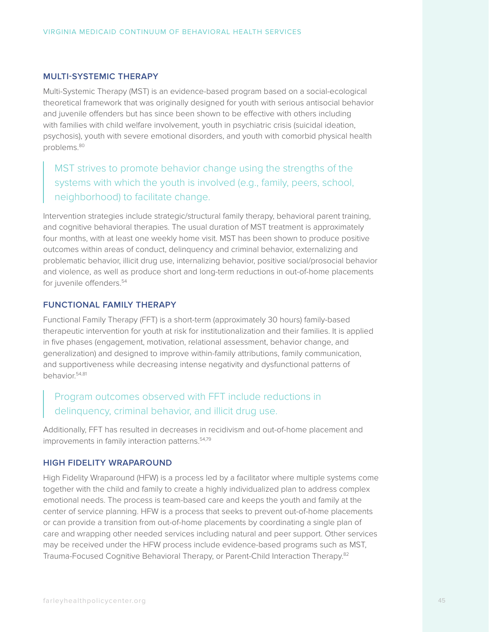#### **MULTI-SYSTEMIC THERAPY**

Multi-Systemic Therapy (MST) is an evidence-based program based on a social-ecological theoretical framework that was originally designed for youth with serious antisocial behavior and juvenile offenders but has since been shown to be effective with others including with families with child welfare involvement, youth in psychiatric crisis (suicidal ideation, psychosis), youth with severe emotional disorders, and youth with comorbid physical health problems.80

## MST strives to promote behavior change using the strengths of the systems with which the youth is involved (e.g., family, peers, school, neighborhood) to facilitate change.

Intervention strategies include strategic/structural family therapy, behavioral parent training, and cognitive behavioral therapies. The usual duration of MST treatment is approximately four months, with at least one weekly home visit. MST has been shown to produce positive outcomes within areas of conduct, delinquency and criminal behavior, externalizing and problematic behavior, illicit drug use, internalizing behavior, positive social/prosocial behavior and violence, as well as produce short and long-term reductions in out-of-home placements for juvenile offenders.<sup>54</sup>

#### **FUNCTIONAL FAMILY THERAPY**

Functional Family Therapy (FFT) is a short-term (approximately 30 hours) family-based therapeutic intervention for youth at risk for institutionalization and their families. It is applied in five phases (engagement, motivation, relational assessment, behavior change, and generalization) and designed to improve within-family attributions, family communication, and supportiveness while decreasing intense negativity and dysfunctional patterns of behavior.54,81

## Program outcomes observed with FFT include reductions in delinquency, criminal behavior, and illicit drug use.

Additionally, FFT has resulted in decreases in recidivism and out-of-home placement and improvements in family interaction patterns.<sup>54,79</sup>

#### **HIGH FIDELITY WRAPAROUND**

High Fidelity Wraparound (HFW) is a process led by a facilitator where multiple systems come together with the child and family to create a highly individualized plan to address complex emotional needs. The process is team-based care and keeps the youth and family at the center of service planning. HFW is a process that seeks to prevent out-of-home placements or can provide a transition from out-of-home placements by coordinating a single plan of care and wrapping other needed services including natural and peer support. Other services may be received under the HFW process include evidence-based programs such as MST, Trauma-Focused Cognitive Behavioral Therapy, or Parent-Child Interaction Therapy.82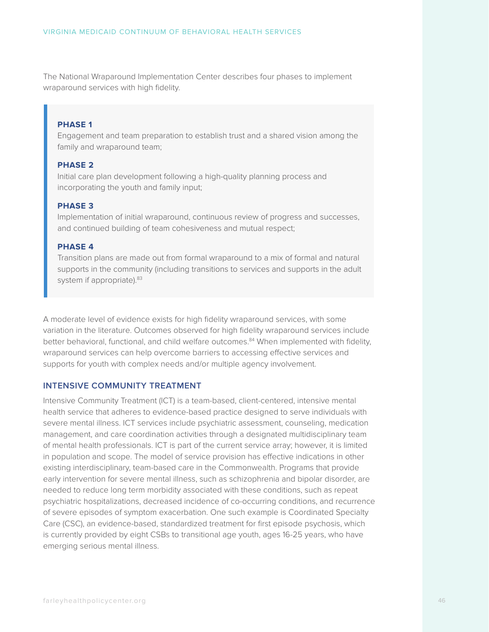The National Wraparound Implementation Center describes four phases to implement wraparound services with high fidelity.

#### **PHASE 1**

Engagement and team preparation to establish trust and a shared vision among the family and wraparound team;

#### **PHASE 2**

Initial care plan development following a high-quality planning process and incorporating the youth and family input;

#### **PHASE 3**

Implementation of initial wraparound, continuous review of progress and successes, and continued building of team cohesiveness and mutual respect;

#### **PHASE 4**

Transition plans are made out from formal wraparound to a mix of formal and natural supports in the community (including transitions to services and supports in the adult system if appropriate). <sup>83</sup>

A moderate level of evidence exists for high fidelity wraparound services, with some variation in the literature. Outcomes observed for high fidelity wraparound services include better behavioral, functional, and child welfare outcomes.<sup>84</sup> When implemented with fidelity, wraparound services can help overcome barriers to accessing effective services and supports for youth with complex needs and/or multiple agency involvement.

#### **INTENSIVE COMMUNITY TREATMENT**

Intensive Community Treatment (ICT) is a team-based, client-centered, intensive mental health service that adheres to evidence-based practice designed to serve individuals with severe mental illness. ICT services include psychiatric assessment, counseling, medication management, and care coordination activities through a designated multidisciplinary team of mental health professionals. ICT is part of the current service array; however, it is limited in population and scope. The model of service provision has effective indications in other existing interdisciplinary, team-based care in the Commonwealth. Programs that provide early intervention for severe mental illness, such as schizophrenia and bipolar disorder, are needed to reduce long term morbidity associated with these conditions, such as repeat psychiatric hospitalizations, decreased incidence of co-occurring conditions, and recurrence of severe episodes of symptom exacerbation. One such example is Coordinated Specialty Care (CSC), an evidence-based, standardized treatment for first episode psychosis, which is currently provided by eight CSBs to transitional age youth, ages 16-25 years, who have emerging serious mental illness.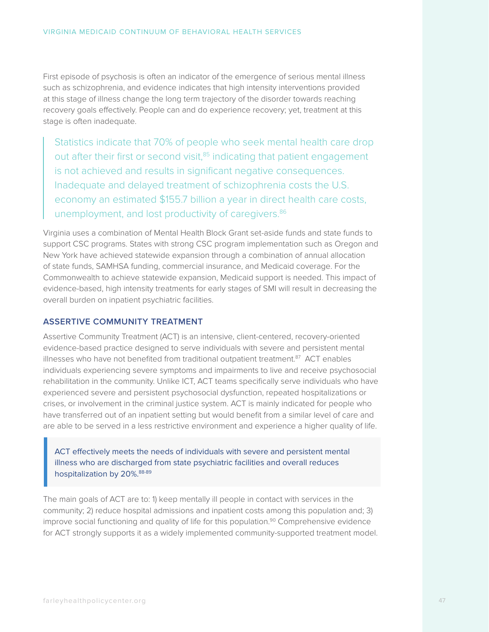First episode of psychosis is often an indicator of the emergence of serious mental illness such as schizophrenia, and evidence indicates that high intensity interventions provided at this stage of illness change the long term trajectory of the disorder towards reaching recovery goals effectively. People can and do experience recovery; yet, treatment at this stage is often inadequate.

Statistics indicate that 70% of people who seek mental health care drop out after their first or second visit,<sup>85</sup> indicating that patient engagement is not achieved and results in significant negative consequences. Inadequate and delayed treatment of schizophrenia costs the U.S. economy an estimated \$155.7 billion a year in direct health care costs, unemployment, and lost productivity of caregivers.<sup>86</sup>

Virginia uses a combination of Mental Health Block Grant set-aside funds and state funds to support CSC programs. States with strong CSC program implementation such as Oregon and New York have achieved statewide expansion through a combination of annual allocation of state funds, SAMHSA funding, commercial insurance, and Medicaid coverage. For the Commonwealth to achieve statewide expansion, Medicaid support is needed. This impact of evidence-based, high intensity treatments for early stages of SMI will result in decreasing the overall burden on inpatient psychiatric facilities.

#### **ASSERTIVE COMMUNITY TREATMENT**

Assertive Community Treatment (ACT) is an intensive, client-centered, recovery-oriented evidence-based practice designed to serve individuals with severe and persistent mental illnesses who have not benefited from traditional outpatient treatment.<sup>87</sup> ACT enables individuals experiencing severe symptoms and impairments to live and receive psychosocial rehabilitation in the community. Unlike ICT, ACT teams specifically serve individuals who have experienced severe and persistent psychosocial dysfunction, repeated hospitalizations or crises, or involvement in the criminal justice system. ACT is mainly indicated for people who have transferred out of an inpatient setting but would benefit from a similar level of care and are able to be served in a less restrictive environment and experience a higher quality of life.

ACT effectively meets the needs of individuals with severe and persistent mental illness who are discharged from state psychiatric facilities and overall reduces hospitalization by 20%.<sup>88-89</sup>

The main goals of ACT are to: 1) keep mentally ill people in contact with services in the community; 2) reduce hospital admissions and inpatient costs among this population and; 3) improve social functioning and quality of life for this population.<sup>90</sup> Comprehensive evidence for ACT strongly supports it as a widely implemented community-supported treatment model.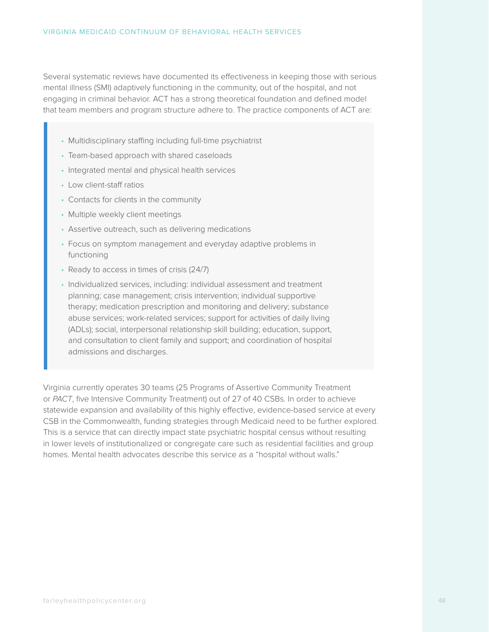Several systematic reviews have documented its effectiveness in keeping those with serious mental illness (SMI) adaptively functioning in the community, out of the hospital, and not engaging in criminal behavior. ACT has a strong theoretical foundation and defined model that team members and program structure adhere to. The practice components of ACT are:

- Multidisciplinary staffing including full-time psychiatrist
- Team-based approach with shared caseloads
- Integrated mental and physical health services
- Low client-staff ratios
- Contacts for clients in the community
- Multiple weekly client meetings
- Assertive outreach, such as delivering medications
- Focus on symptom management and everyday adaptive problems in functioning
- Ready to access in times of crisis (24/7)
- Individualized services, including: individual assessment and treatment planning; case management; crisis intervention; individual supportive therapy; medication prescription and monitoring and delivery; substance abuse services; work-related services; support for activities of daily living (ADLs); social, interpersonal relationship skill building; education, support, and consultation to client family and support; and coordination of hospital admissions and discharges.

Virginia currently operates 30 teams (25 Programs of Assertive Community Treatment or *PACT*, five Intensive Community Treatment) out of 27 of 40 CSBs. In order to achieve statewide expansion and availability of this highly effective, evidence-based service at every CSB in the Commonwealth, funding strategies through Medicaid need to be further explored. This is a service that can directly impact state psychiatric hospital census without resulting in lower levels of institutionalized or congregate care such as residential facilities and group homes. Mental health advocates describe this service as a "hospital without walls."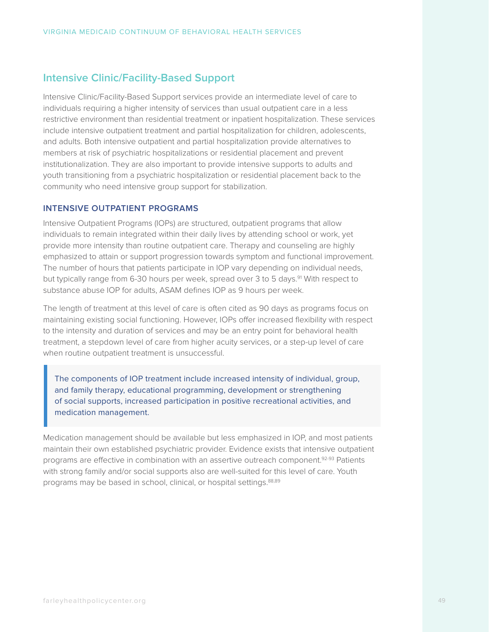## **Intensive Clinic/Facility-Based Support**

Intensive Clinic/Facility-Based Support services provide an intermediate level of care to individuals requiring a higher intensity of services than usual outpatient care in a less restrictive environment than residential treatment or inpatient hospitalization. These services include intensive outpatient treatment and partial hospitalization for children, adolescents, and adults. Both intensive outpatient and partial hospitalization provide alternatives to members at risk of psychiatric hospitalizations or residential placement and prevent institutionalization. They are also important to provide intensive supports to adults and youth transitioning from a psychiatric hospitalization or residential placement back to the community who need intensive group support for stabilization.

#### **INTENSIVE OUTPATIENT PROGRAMS**

Intensive Outpatient Programs (IOPs) are structured, outpatient programs that allow individuals to remain integrated within their daily lives by attending school or work, yet provide more intensity than routine outpatient care. Therapy and counseling are highly emphasized to attain or support progression towards symptom and functional improvement. The number of hours that patients participate in IOP vary depending on individual needs, but typically range from 6-30 hours per week, spread over 3 to 5 days.<sup>91</sup> With respect to substance abuse IOP for adults, ASAM defines IOP as 9 hours per week.

The length of treatment at this level of care is often cited as 90 days as programs focus on maintaining existing social functioning. However, IOPs offer increased flexibility with respect to the intensity and duration of services and may be an entry point for behavioral health treatment, a stepdown level of care from higher acuity services, or a step-up level of care when routine outpatient treatment is unsuccessful.

The components of IOP treatment include increased intensity of individual, group, and family therapy, educational programming, development or strengthening of social supports, increased participation in positive recreational activities, and medication management.

Medication management should be available but less emphasized in IOP, and most patients maintain their own established psychiatric provider. Evidence exists that intensive outpatient programs are effective in combination with an assertive outreach component.<sup>92-93</sup> Patients with strong family and/or social supports also are well-suited for this level of care. Youth programs may be based in school, clinical, or hospital settings.<sup>88,89</sup>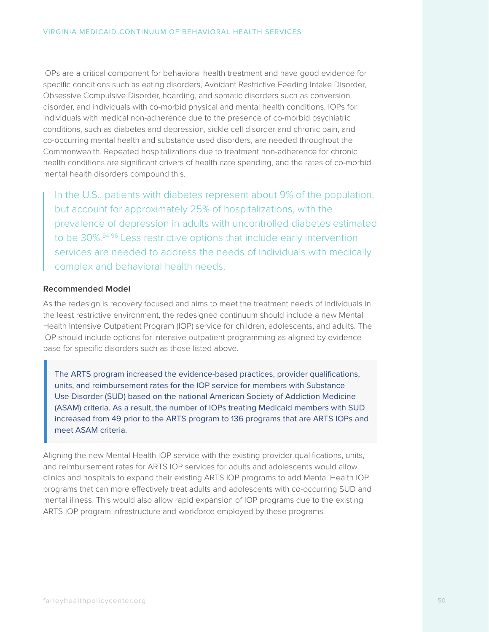IOPs are a critical component for behavioral health treatment and have good evidence for specific conditions such as eating disorders, Avoidant Restrictive Feeding Intake Disorder, Obsessive Compulsive Disorder, hoarding, and somatic disorders such as conversion disorder, and individuals with co-morbid physical and mental health conditions. IOPs for individuals with medical non-adherence due to the presence of co-morbid psychiatric conditions, such as diabetes and depression, sickle cell disorder and chronic pain, and co-occurring mental health and substance used disorders, are needed throughout the Commonwealth. Repeated hospitalizations due to treatment non-adherence for chronic health conditions are significant drivers of health care spending, and the rates of co-morbid mental health disorders compound this.

In the U.S., patients with diabetes represent about 9% of the population, but account for approximately 25% of hospitalizations, with the prevalence of depression in adults with uncontrolled diabetes estimated to be 30%.<sup>94-96</sup> Less restrictive options that include early intervention services are needed to address the needs of individuals with medically complex and behavioral health needs.

#### **Recommended Model**

As the redesign is recovery focused and aims to meet the treatment needs of individuals in the least restrictive environment, the redesigned continuum should include a new Mental Health Intensive Outpatient Program (IOP) service for children, adolescents, and adults. The IOP should include options for intensive outpatient programming as aligned by evidence base for specific disorders such as those listed above.

The ARTS program increased the evidence-based practices, provider qualifications, units, and reimbursement rates for the IOP service for members with Substance Use Disorder (SUD) based on the national American Society of Addiction Medicine (ASAM) criteria. As a result, the number of IOPs treating Medicaid members with SUD increased from 49 prior to the ARTS program to 136 programs that are ARTS IOPs and meet ASAM criteria.

Aligning the new Mental Health IOP service with the existing provider qualifications, units, and reimbursement rates for ARTS IOP services for adults and adolescents would allow clinics and hospitals to expand their existing ARTS IOP programs to add Mental Health IOP programs that can more effectively treat adults and adolescents with co-occurring SUD and mental illness. This would also allow rapid expansion of IOP programs due to the existing ARTS IOP program infrastructure and workforce employed by these programs.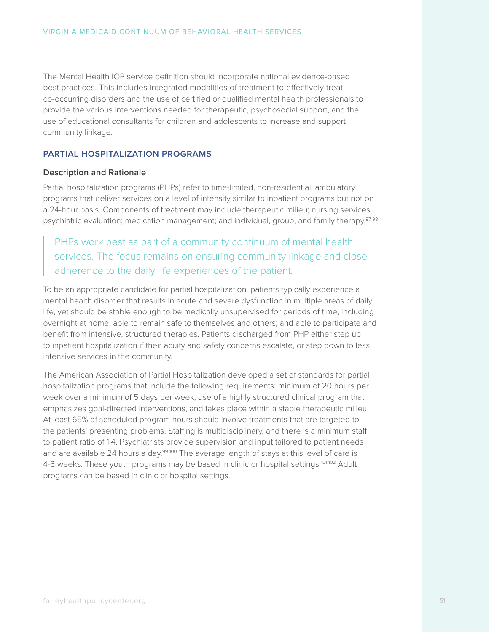The Mental Health IOP service definition should incorporate national evidence-based best practices. This includes integrated modalities of treatment to effectively treat co-occurring disorders and the use of certified or qualified mental health professionals to provide the various interventions needed for therapeutic, psychosocial support, and the use of educational consultants for children and adolescents to increase and support community linkage.

#### **PARTIAL HOSPITALIZATION PROGRAMS**

#### **Description and Rationale**

Partial hospitalization programs (PHPs) refer to time-limited, non-residential, ambulatory programs that deliver services on a level of intensity similar to inpatient programs but not on a 24-hour basis. Components of treatment may include therapeutic milieu; nursing services; psychiatric evaluation; medication management; and individual, group, and family therapy.97-98

PHPs work best as part of a community continuum of mental health services. The focus remains on ensuring community linkage and close adherence to the daily life experiences of the patient.

To be an appropriate candidate for partial hospitalization, patients typically experience a mental health disorder that results in acute and severe dysfunction in multiple areas of daily life, yet should be stable enough to be medically unsupervised for periods of time, including overnight at home; able to remain safe to themselves and others; and able to participate and benefit from intensive, structured therapies. Patients discharged from PHP either step up to inpatient hospitalization if their acuity and safety concerns escalate, or step down to less intensive services in the community.

The American Association of Partial Hospitalization developed a set of standards for partial hospitalization programs that include the following requirements: minimum of 20 hours per week over a minimum of 5 days per week, use of a highly structured clinical program that emphasizes goal-directed interventions, and takes place within a stable therapeutic milieu. At least 65% of scheduled program hours should involve treatments that are targeted to the patients' presenting problems. Staffing is multidisciplinary, and there is a minimum staff to patient ratio of 1:4. Psychiatrists provide supervision and input tailored to patient needs and are available 24 hours a day.<sup>99-100</sup> The average length of stays at this level of care is 4-6 weeks. These youth programs may be based in clinic or hospital settings.<sup>101-102</sup> Adult programs can be based in clinic or hospital settings.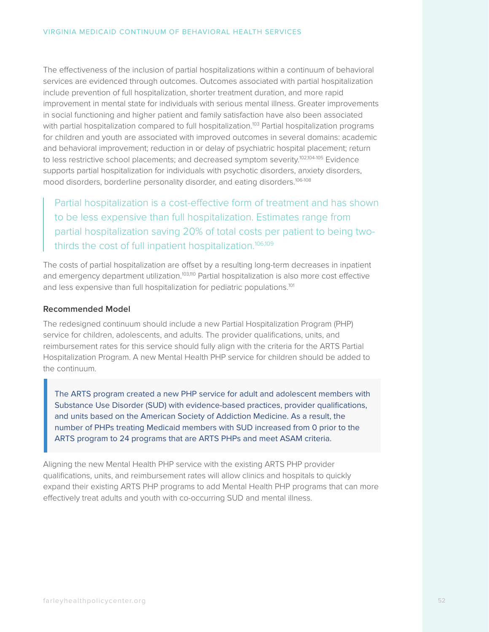The effectiveness of the inclusion of partial hospitalizations within a continuum of behavioral services are evidenced through outcomes. Outcomes associated with partial hospitalization include prevention of full hospitalization, shorter treatment duration, and more rapid improvement in mental state for individuals with serious mental illness. Greater improvements in social functioning and higher patient and family satisfaction have also been associated with partial hospitalization compared to full hospitalization.<sup>103</sup> Partial hospitalization programs for children and youth are associated with improved outcomes in several domains: academic and behavioral improvement; reduction in or delay of psychiatric hospital placement; return to less restrictive school placements; and decreased symptom severity.<sup>102,104-105</sup> Evidence supports partial hospitalization for individuals with psychotic disorders, anxiety disorders, mood disorders, borderline personality disorder, and eating disorders.106-108

Partial hospitalization is a cost-effective form of treatment and has shown to be less expensive than full hospitalization. Estimates range from partial hospitalization saving 20% of total costs per patient to being twothirds the cost of full inpatient hospitalization.<sup>106,109</sup>

The costs of partial hospitalization are offset by a resulting long-term decreases in inpatient and emergency department utilization.<sup>103,110</sup> Partial hospitalization is also more cost effective and less expensive than full hospitalization for pediatric populations.<sup>101</sup>

#### **Recommended Model**

The redesigned continuum should include a new Partial Hospitalization Program (PHP) service for children, adolescents, and adults. The provider qualifications, units, and reimbursement rates for this service should fully align with the criteria for the ARTS Partial Hospitalization Program. A new Mental Health PHP service for children should be added to the continuum.

The ARTS program created a new PHP service for adult and adolescent members with Substance Use Disorder (SUD) with evidence-based practices, provider qualifications, and units based on the American Society of Addiction Medicine. As a result, the number of PHPs treating Medicaid members with SUD increased from 0 prior to the ARTS program to 24 programs that are ARTS PHPs and meet ASAM criteria.

Aligning the new Mental Health PHP service with the existing ARTS PHP provider qualifications, units, and reimbursement rates will allow clinics and hospitals to quickly expand their existing ARTS PHP programs to add Mental Health PHP programs that can more effectively treat adults and youth with co-occurring SUD and mental illness.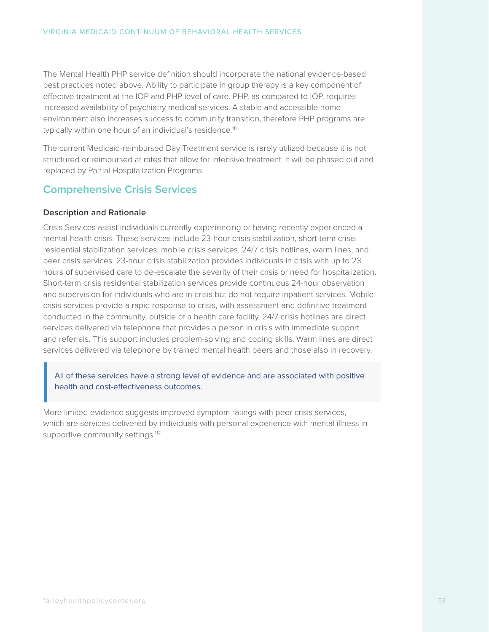The Mental Health PHP service definition should incorporate the national evidence-based best practices noted above. Ability to participate in group therapy is a key component of effective treatment at the IOP and PHP level of care. PHP, as compared to IOP, requires increased availability of psychiatry medical services. A stable and accessible home environment also increases success to community transition, therefore PHP programs are typically within one hour of an individual's residence.<sup>111</sup>

The current Medicaid-reimbursed Day Treatment service is rarely utilized because it is not structured or reimbursed at rates that allow for intensive treatment. It will be phased out and replaced by Partial Hospitalization Programs.

### **Comprehensive Crisis Services**

#### **Description and Rationale**

Crisis Services assist individuals currently experiencing or having recently experienced a mental health crisis. These services include 23-hour crisis stabilization, short-term crisis residential stabilization services, mobile crisis services, 24/7 crisis hotlines, warm lines, and peer crisis services. 23-hour crisis stabilization provides individuals in crisis with up to 23 hours of supervised care to de-escalate the severity of their crisis or need for hospitalization. Short-term crisis residential stabilization services provide continuous 24-hour observation and supervision for individuals who are in crisis but do not require inpatient services. Mobile crisis services provide a rapid response to crisis, with assessment and definitive treatment conducted in the community, outside of a health care facility. 24/7 crisis hotlines are direct services delivered via telephone that provides a person in crisis with immediate support and referrals. This support includes problem-solving and coping skills. Warm lines are direct services delivered via telephone by trained mental health peers and those also in recovery.

#### All of these services have a strong level of evidence and are associated with positive health and cost-effectiveness outcomes.

More limited evidence suggests improved symptom ratings with peer crisis services, which are services delivered by individuals with personal experience with mental illness in supportive community settings.<sup>112</sup>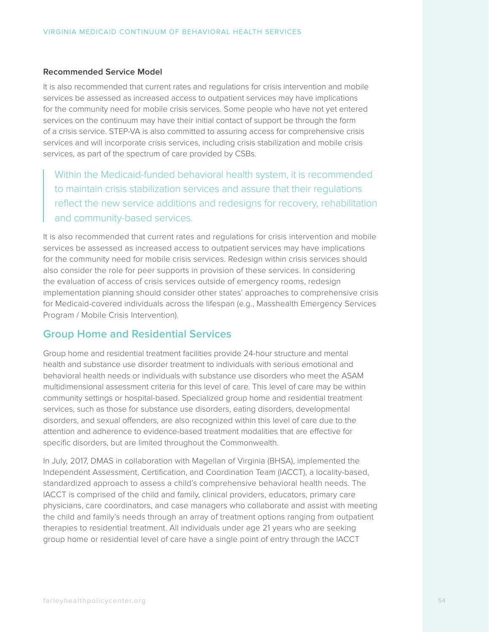#### **Recommended Service Model**

It is also recommended that current rates and regulations for crisis intervention and mobile services be assessed as increased access to outpatient services may have implications for the community need for mobile crisis services. Some people who have not yet entered services on the continuum may have their initial contact of support be through the form of a crisis service. STEP-VA is also committed to assuring access for comprehensive crisis services and will incorporate crisis services, including crisis stabilization and mobile crisis services, as part of the spectrum of care provided by CSBs.

Within the Medicaid-funded behavioral health system, it is recommended to maintain crisis stabilization services and assure that their regulations reflect the new service additions and redesigns for recovery, rehabilitation and community-based services.

It is also recommended that current rates and regulations for crisis intervention and mobile services be assessed as increased access to outpatient services may have implications for the community need for mobile crisis services. Redesign within crisis services should also consider the role for peer supports in provision of these services. In considering the evaluation of access of crisis services outside of emergency rooms, redesign implementation planning should consider other states' approaches to comprehensive crisis for Medicaid-covered individuals across the lifespan (e.g., Masshealth Emergency Services Program / Mobile Crisis Intervention).

### **Group Home and Residential Services**

Group home and residential treatment facilities provide 24-hour structure and mental health and substance use disorder treatment to individuals with serious emotional and behavioral health needs or individuals with substance use disorders who meet the ASAM multidimensional assessment criteria for this level of care. This level of care may be within community settings or hospital-based. Specialized group home and residential treatment services, such as those for substance use disorders, eating disorders, developmental disorders, and sexual offenders, are also recognized within this level of care due to the attention and adherence to evidence-based treatment modalities that are effective for specific disorders, but are limited throughout the Commonwealth.

In July, 2017, DMAS in collaboration with Magellan of Virginia (BHSA), implemented the Independent Assessment, Certification, and Coordination Team (IACCT), a locality-based, standardized approach to assess a child's comprehensive behavioral health needs. The IACCT is comprised of the child and family, clinical providers, educators, primary care physicians, care coordinators, and case managers who collaborate and assist with meeting the child and family's needs through an array of treatment options ranging from outpatient therapies to residential treatment. All individuals under age 21 years who are seeking group home or residential level of care have a single point of entry through the IACCT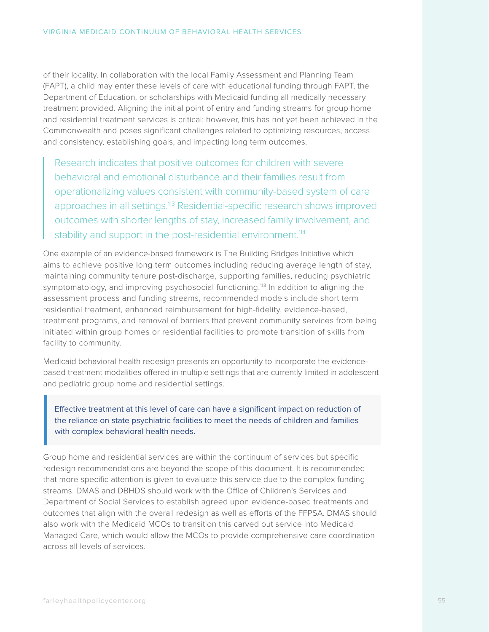of their locality. In collaboration with the local Family Assessment and Planning Team (FAPT), a child may enter these levels of care with educational funding through FAPT, the Department of Education, or scholarships with Medicaid funding all medically necessary treatment provided. Aligning the initial point of entry and funding streams for group home and residential treatment services is critical; however, this has not yet been achieved in the Commonwealth and poses significant challenges related to optimizing resources, access and consistency, establishing goals, and impacting long term outcomes.

Research indicates that positive outcomes for children with severe behavioral and emotional disturbance and their families result from operationalizing values consistent with community-based system of care approaches in all settings.<sup>113</sup> Residential-specific research shows improved outcomes with shorter lengths of stay, increased family involvement, and stability and support in the post-residential environment.<sup>114</sup>

One example of an evidence-based framework is The Building Bridges Initiative which aims to achieve positive long term outcomes including reducing average length of stay, maintaining community tenure post-discharge, supporting families, reducing psychiatric symptomatology, and improving psychosocial functioning.<sup>113</sup> In addition to aligning the assessment process and funding streams, recommended models include short term residential treatment, enhanced reimbursement for high-fidelity, evidence-based, treatment programs, and removal of barriers that prevent community services from being initiated within group homes or residential facilities to promote transition of skills from facility to community.

Medicaid behavioral health redesign presents an opportunity to incorporate the evidencebased treatment modalities offered in multiple settings that are currently limited in adolescent and pediatric group home and residential settings.

Effective treatment at this level of care can have a significant impact on reduction of the reliance on state psychiatric facilities to meet the needs of children and families with complex behavioral health needs.

Group home and residential services are within the continuum of services but specific redesign recommendations are beyond the scope of this document. It is recommended that more specific attention is given to evaluate this service due to the complex funding streams. DMAS and DBHDS should work with the Office of Children's Services and Department of Social Services to establish agreed upon evidence-based treatments and outcomes that align with the overall redesign as well as efforts of the FFPSA. DMAS should also work with the Medicaid MCOs to transition this carved out service into Medicaid Managed Care, which would allow the MCOs to provide comprehensive care coordination across all levels of services.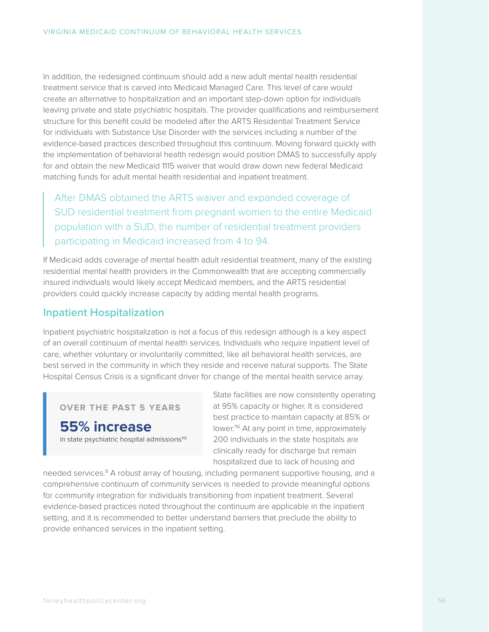In addition, the redesigned continuum should add a new adult mental health residential treatment service that is carved into Medicaid Managed Care. This level of care would create an alternative to hospitalization and an important step-down option for individuals leaving private and state psychiatric hospitals. The provider qualifications and reimbursement structure for this benefit could be modeled after the ARTS Residential Treatment Service for individuals with Substance Use Disorder with the services including a number of the evidence-based practices described throughout this continuum. Moving forward quickly with the implementation of behavioral health redesign would position DMAS to successfully apply for and obtain the new Medicaid 1115 waiver that would draw down new federal Medicaid matching funds for adult mental health residential and inpatient treatment.

After DMAS obtained the ARTS waiver and expanded coverage of SUD residential treatment from pregnant women to the entire Medicaid population with a SUD, the number of residential treatment providers participating in Medicaid increased from 4 to 94.

If Medicaid adds coverage of mental health adult residential treatment, many of the existing residential mental health providers in the Commonwealth that are accepting commercially insured individuals would likely accept Medicaid members, and the ARTS residential providers could quickly increase capacity by adding mental health programs.

### **Inpatient Hospitalization**

Inpatient psychiatric hospitalization is not a focus of this redesign although is a key aspect of an overall continuum of mental health services. Individuals who require inpatient level of care, whether voluntary or involuntarily committed, like all behavioral health services, are best served in the community in which they reside and receive natural supports. The State Hospital Census Crisis is a significant driver for change of the mental health service array.

**OVER THE PAST 5 YEARS**

**55% increase** in state psychiatric hospital admissions<sup>115</sup>

State facilities are now consistently operating at 95% capacity or higher. It is considered best practice to maintain capacity at 85% or lower.116 At any point in time, approximately 200 individuals in the state hospitals are clinically ready for discharge but remain hospitalized due to lack of housing and

needed services.<sup>8</sup> A robust array of housing, including permanent supportive housing, and a comprehensive continuum of community services is needed to provide meaningful options for community integration for individuals transitioning from inpatient treatment. Several evidence-based practices noted throughout the continuum are applicable in the inpatient setting, and it is recommended to better understand barriers that preclude the ability to provide enhanced services in the inpatient setting.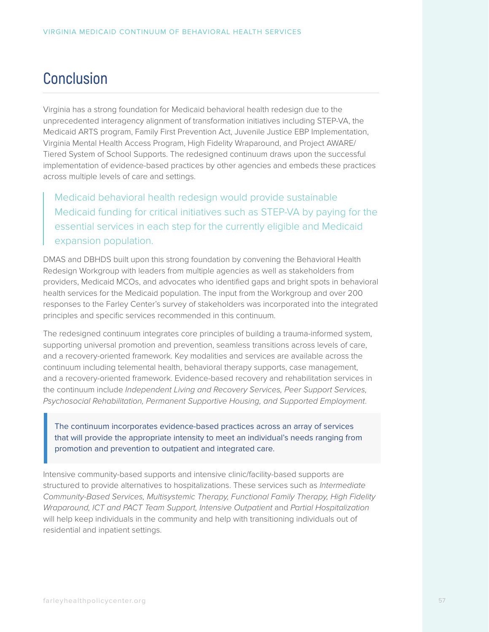## **Conclusion**

Virginia has a strong foundation for Medicaid behavioral health redesign due to the unprecedented interagency alignment of transformation initiatives including STEP-VA, the Medicaid ARTS program, Family First Prevention Act, Juvenile Justice EBP Implementation, Virginia Mental Health Access Program, High Fidelity Wraparound, and Project AWARE/ Tiered System of School Supports. The redesigned continuum draws upon the successful implementation of evidence-based practices by other agencies and embeds these practices across multiple levels of care and settings.

Medicaid behavioral health redesign would provide sustainable Medicaid funding for critical initiatives such as STEP-VA by paying for the essential services in each step for the currently eligible and Medicaid expansion population.

DMAS and DBHDS built upon this strong foundation by convening the Behavioral Health Redesign Workgroup with leaders from multiple agencies as well as stakeholders from providers, Medicaid MCOs, and advocates who identified gaps and bright spots in behavioral health services for the Medicaid population. The input from the Workgroup and over 200 responses to the Farley Center's survey of stakeholders was incorporated into the integrated principles and specific services recommended in this continuum.

The redesigned continuum integrates core principles of building a trauma-informed system, supporting universal promotion and prevention, seamless transitions across levels of care, and a recovery-oriented framework. Key modalities and services are available across the continuum including telemental health, behavioral therapy supports, case management, and a recovery-oriented framework. Evidence-based recovery and rehabilitation services in the continuum include *Independent Living and Recovery Services, Peer Support Services, Psychosocial Rehabilitation, Permanent Supportive Housing, and Supported Employment*.

The continuum incorporates evidence-based practices across an array of services that will provide the appropriate intensity to meet an individual's needs ranging from promotion and prevention to outpatient and integrated care.

Intensive community-based supports and intensive clinic/facility-based supports are structured to provide alternatives to hospitalizations. These services such as *Intermediate Community-Based Services, Multisystemic Therapy, Functional Family Therapy, High Fidelity Wraparound, ICT and PACT Team Support, Intensive Outpatient* and *Partial Hospitalization* will help keep individuals in the community and help with transitioning individuals out of residential and inpatient settings.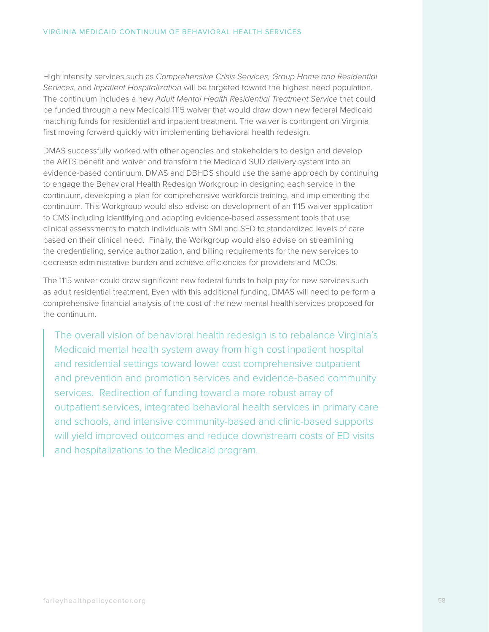High intensity services such as *Comprehensive Crisis Services, Group Home and Residential Services*, and *Inpatient Hospitalization* will be targeted toward the highest need population. The continuum includes a new *Adult Mental Health Residential Treatment Service* that could be funded through a new Medicaid 1115 waiver that would draw down new federal Medicaid matching funds for residential and inpatient treatment. The waiver is contingent on Virginia first moving forward quickly with implementing behavioral health redesign.

DMAS successfully worked with other agencies and stakeholders to design and develop the ARTS benefit and waiver and transform the Medicaid SUD delivery system into an evidence-based continuum. DMAS and DBHDS should use the same approach by continuing to engage the Behavioral Health Redesign Workgroup in designing each service in the continuum, developing a plan for comprehensive workforce training, and implementing the continuum. This Workgroup would also advise on development of an 1115 waiver application to CMS including identifying and adapting evidence-based assessment tools that use clinical assessments to match individuals with SMI and SED to standardized levels of care based on their clinical need. Finally, the Workgroup would also advise on streamlining the credentialing, service authorization, and billing requirements for the new services to decrease administrative burden and achieve efficiencies for providers and MCOs.

The 1115 waiver could draw significant new federal funds to help pay for new services such as adult residential treatment. Even with this additional funding, DMAS will need to perform a comprehensive financial analysis of the cost of the new mental health services proposed for the continuum.

The overall vision of behavioral health redesign is to rebalance Virginia's Medicaid mental health system away from high cost inpatient hospital and residential settings toward lower cost comprehensive outpatient and prevention and promotion services and evidence-based community services. Redirection of funding toward a more robust array of outpatient services, integrated behavioral health services in primary care and schools, and intensive community-based and clinic-based supports will yield improved outcomes and reduce downstream costs of ED visits and hospitalizations to the Medicaid program.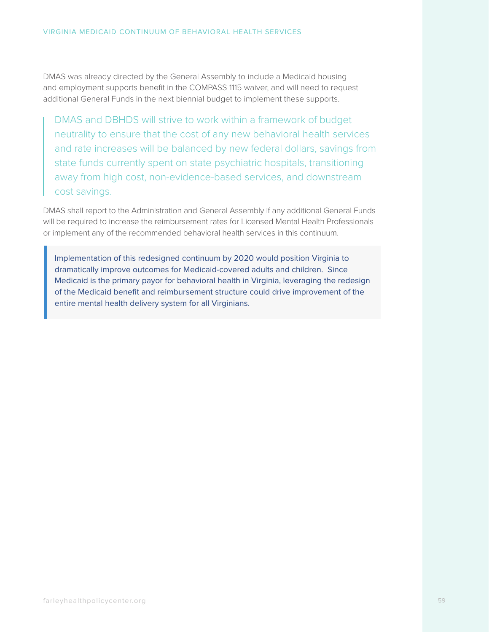DMAS was already directed by the General Assembly to include a Medicaid housing and employment supports benefit in the COMPASS 1115 waiver, and will need to request additional General Funds in the next biennial budget to implement these supports.

DMAS and DBHDS will strive to work within a framework of budget neutrality to ensure that the cost of any new behavioral health services and rate increases will be balanced by new federal dollars, savings from state funds currently spent on state psychiatric hospitals, transitioning away from high cost, non-evidence-based services, and downstream cost savings.

DMAS shall report to the Administration and General Assembly if any additional General Funds will be required to increase the reimbursement rates for Licensed Mental Health Professionals or implement any of the recommended behavioral health services in this continuum.

Implementation of this redesigned continuum by 2020 would position Virginia to dramatically improve outcomes for Medicaid-covered adults and children. Since Medicaid is the primary payor for behavioral health in Virginia, leveraging the redesign of the Medicaid benefit and reimbursement structure could drive improvement of the entire mental health delivery system for all Virginians.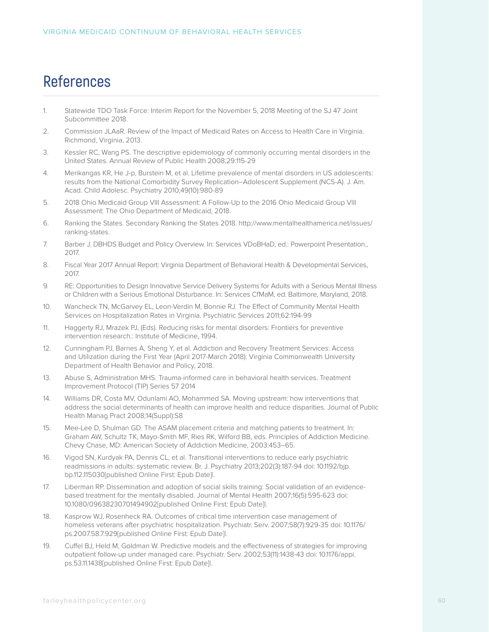## **References**

- 1. Statewide TDO Task Force: Interim Report for the November 5, 2018 Meeting of the SJ 47 Joint Subcommittee 2018.
- 2. Commission JLAaR. Review of the Impact of Medicaid Rates on Access to Health Care in Virginia. Richmond, Virginia, 2013.
- 3. Kessler RC, Wang PS. The descriptive epidemiology of commonly occurring mental disorders in the United States. Annual Review of Public Health 2008;29:115-29
- 4. Merikangas KR, He J-p, Burstein M, et al. Lifetime prevalence of mental disorders in US adolescents: results from the National Comorbidity Survey Replication–Adolescent Supplement (NCS-A). J. Am. Acad. Child Adolesc. Psychiatry 2010;49(10):980-89
- 5. 2018 Ohio Medicaid Group VIII Assessment: A Follow-Up to the 2016 Ohio Medicaid Group VIII Assessment: The Ohio Department of Medicaid, 2018.
- 6. Ranking the States. Secondary Ranking the States 2018. http://www.mentalhealthamerica.net/issues/ ranking-states.
- 7. Barber J. DBHDS Budget and Policy Overview. In: Services VDoBHaD, ed.: Powerpoint Presentation., 2017.
- 8. Fiscal Year 2017 Annual Report: Virginia Department of Behavioral Health & Developmental Services, 2017.
- 9. RE: Opportunities to Design Innovative Service Delivery Systems for Adults with a Serious Mental Illness or Children with a Serious Emotional Disturbance. In: Services CfMaM, ed. Baltimore, Maryland, 2018.
- 10. Wancheck TN, McGarvey EL, Leon-Verdin M, Bonnie RJ. The Effect of Community Mental Health Services on Hospitalization Rates in Virginia. Psychiatric Services 2011;62:194-99
- 11. Haggerty RJ, Mrazek PJ, (Eds). Reducing risks for mental disorders: Frontiers for preventive intervention research.: Institute of Medicine, 1994.
- 12. Cunningham PJ, Barnes A, Sheng Y, et al. Addiction and Recovery Treatment Services: Access and Utilization during the First Year (April 2017-March 2018): Virginia Commonwealth University Department of Health Behavior and Policy, 2018.
- 13. Abuse S, Administration MHS. Trauma-informed care in behavioral health services. Treatment Improvement Protocol (TIP) Series 57 2014
- 14. Williams DR, Costa MV, Odunlami AO, Mohammed SA. Moving upstream: how interventions that address the social determinants of health can improve health and reduce disparities. Journal of Public Health Manag Pract 2008;14(Suppl):S8
- 15. Mee-Lee D, Shulman GD. The ASAM placement criteria and matching patients to treatment. In: Graham AW, Schultz TK, Mayo-Smith MF, Ries RK, Wilford BB, eds. Principles of Addiction Medicine. Chevy Chase, MD: American Society of Addiction Medicine, 2003:453–65.
- 16. Vigod SN, Kurdyak PA, Dennis CL, et al. Transitional interventions to reduce early psychiatric readmissions in adults: systematic review. Br. J. Psychiatry 2013;202(3):187-94 doi: 10.1192/bjp. bp.112.115030[published Online First: Epub Date]|.
- 17. Liberman RP. Dissemination and adoption of social skills training: Social validation of an evidencebased treatment for the mentally disabled. Journal of Mental Health 2007;16(5):595-623 doi: 10.1080/09638230701494902[published Online First: Epub Date]|.
- 18. Kasprow WJ, Rosenheck RA. Outcomes of critical time intervention case management of homeless veterans after psychiatric hospitalization. Psychiatr. Serv. 2007;58(7):929-35 doi: 10.1176/ ps.2007.58.7.929[published Online First: Epub Date]|.
- 19. Cuffel BJ, Held M, Goldman W. Predictive models and the effectiveness of strategies for improving outpatient follow-up under managed care. Psychiatr. Serv. 2002;53(11):1438-43 doi: 10.1176/appi. ps.53.11.1438[published Online First: Epub Date]|.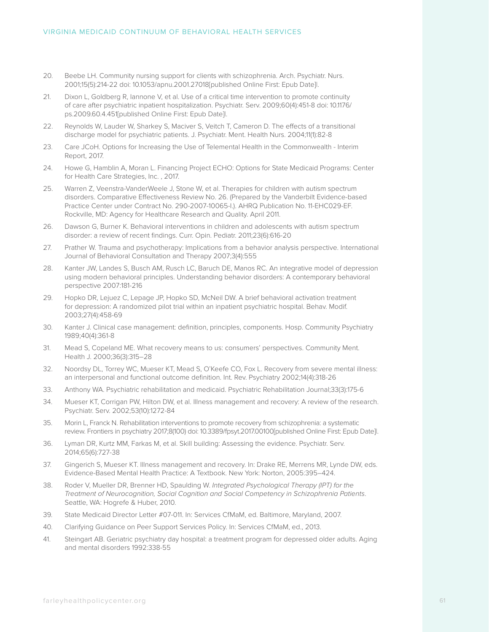- 20. Beebe LH. Community nursing support for clients with schizophrenia. Arch. Psychiatr. Nurs. 2001;15(5):214-22 doi: 10.1053/apnu.2001.27018[published Online First: Epub Date]|.
- 21. Dixon L, Goldberg R, Iannone V, et al. Use of a critical time intervention to promote continuity of care after psychiatric inpatient hospitalization. Psychiatr. Serv. 2009;60(4):451-8 doi: 10.1176/ ps.2009.60.4.451[published Online First: Epub Date]|.
- 22. Reynolds W, Lauder W, Sharkey S, Maciver S, Veitch T, Cameron D. The effects of a transitional discharge model for psychiatric patients. J. Psychiatr. Ment. Health Nurs. 2004;11(1):82-8
- 23. Care JCoH. Options for Increasing the Use of Telemental Health in the Commonwealth Interim Report, 2017.
- 24. Howe G, Hamblin A, Moran L. Financing Project ECHO: Options for State Medicaid Programs: Center for Health Care Strategies, Inc. , 2017.
- 25. Warren Z, Veenstra-VanderWeele J, Stone W, et al. Therapies for children with autism spectrum disorders. Comparative Effectiveness Review No. 26. (Prepared by the Vanderbilt Evidence-based Practice Center under Contract No. 290-2007-10065-I.). AHRQ Publication No. 11-EHC029-EF. Rockville, MD: Agency for Healthcare Research and Quality. April 2011.
- 26. Dawson G, Burner K. Behavioral interventions in children and adolescents with autism spectrum disorder: a review of recent findings. Curr. Opin. Pediatr. 2011;23(6):616-20
- 27. Prather W. Trauma and psychotherapy: Implications from a behavior analysis perspective. International Journal of Behavioral Consultation and Therapy 2007;3(4):555
- 28. Kanter JW, Landes S, Busch AM, Rusch LC, Baruch DE, Manos RC. An integrative model of depression using modern behavioral principles. Understanding behavior disorders: A contemporary behavioral perspective 2007:181-216
- 29. Hopko DR, Lejuez C, Lepage JP, Hopko SD, McNeil DW. A brief behavioral activation treatment for depression: A randomized pilot trial within an inpatient psychiatric hospital. Behav. Modif. 2003;27(4):458-69
- 30. Kanter J. Clinical case management: definition, principles, components. Hosp. Community Psychiatry 1989;40(4):361-8
- 31. Mead S, Copeland ME. What recovery means to us: consumers' perspectives. Community Ment. Health J. 2000;36(3):315–28
- 32. Noordsy DL, Torrey WC, Mueser KT, Mead S, O'Keefe CO, Fox L. Recovery from severe mental illness: an interpersonal and functional outcome definition. Int. Rev. Psychiatry 2002;14(4):318-26
- 33. Anthony WA. Psychiatric rehabilitation and medicaid. Psychiatric Rehabilitation Journal;33(3):175-6
- 34. Mueser KT, Corrigan PW, Hilton DW, et al. Illness management and recovery: A review of the research. Psychiatr. Serv. 2002;53(10):1272-84
- 35. Morin L, Franck N. Rehabilitation interventions to promote recovery from schizophrenia: a systematic review. Frontiers in psychiatry 2017;8(100) doi: 10.3389/fpsyt.2017.00100[published Online First: Epub Date]|.
- 36. Lyman DR, Kurtz MM, Farkas M, et al. Skill building: Assessing the evidence. Psychiatr. Serv. 2014;65(6):727-38
- 37. Gingerich S, Mueser KT. Illness management and recovery. In: Drake RE, Merrens MR, Lynde DW, eds. Evidence-Based Mental Health Practice: A Textbook. New York: Norton, 2005:395–424.
- 38. Roder V, Mueller DR, Brenner HD, Spaulding W. *Integrated Psychological Therapy (IPT) for the Treatment of Neurocognition, Social Cognition and Social Competency in Schizophrenia Patients*. Seattle, WA: Hogrefe & Huber, 2010.
- 39. State Medicaid Director Letter #07-011. In: Services CfMaM, ed. Baltimore, Maryland, 2007.
- 40. Clarifying Guidance on Peer Support Services Policy. In: Services CfMaM, ed., 2013.
- 41. Steingart AB. Geriatric psychiatry day hospital: a treatment program for depressed older adults. Aging and mental disorders 1992:338-55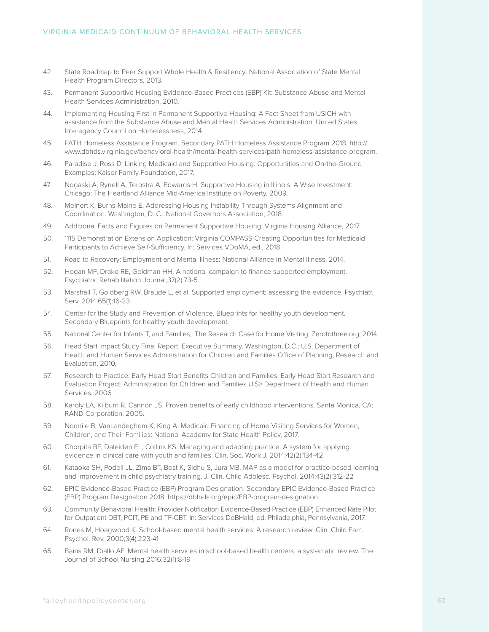- 42. State Roadmap to Peer Support Whole Health & Resiliency: National Association of State Mental Health Program Directors, 2013.
- 43. Permanent Supportive Housing Evidence-Based Practices (EBP) Kit: Substance Abuse and Mental Health Services Administration, 2010.
- 44. Implementing Housing First in Permanent Supportive Housing: A Fact Sheet from USICH with assistance from the Substance Abuse and Mental Heath Services Administration: United States Interagency Council on Homelessness, 2014.
- 45. PATH Homeless Assistance Program. Secondary PATH Homeless Assistance Program 2018. http:// www.dbhds.virginia.gov/behavioral-health/mental-health-services/path-homeless-assistance-program.
- 46. Paradise J, Ross D. Linking Medicaid and Supportive Housing: Opportunities and On-the-Ground Examples: Kaiser Family Foundation, 2017.
- 47. Nogaski A, Rynell A, Terpstra A, Edwards H. Supportive Housing in Illinois: A Wise Investment: Chicago: The Heartland Alliance Mid-America Institute on Poverty, 2009.
- 48. Meinert K, Burns-Maine E. Addressing Housing Instability Through Systems Alignment and Coordination. Washington, D. C.: National Governors Association, 2018.
- 49. Additional Facts and Figures on Permanent Supportive Housing: Virginia Housing Alliance, 2017.
- 50. 1115 Demonstration Extension Application: Virginia COMPASS Creating Opportunities for Medicaid Participants to Achieve Self-Sufficiency. In: Services VDoMA, ed., 2018.
- 51. Road to Recovery: Employment and Mental Illness: National Alliance in Mental Illness, 2014.
- 52. Hogan MF, Drake RE, Goldman HH. A national campaign to finance supported employment. Psychiatric Rehabilitation Journal;37(2):73-5
- 53. Marshall T, Goldberg RW, Braude L, et al. Supported employment: assessing the evidence. Psychiatr. Serv. 2014;65(1):16-23
- 54. Center for the Study and Prevention of Violence. Blueprints for healthy youth development. Secondary Blueprints for healthy youth development.
- 55. National Center for Infants T, and Families,. The Research Case for Home Visiting. Zerotothree.org, 2014.
- 56. Head Start Impact Study Final Report: Executive Summary. Washington, D.C.: U.S. Department of Health and Human Services Administration for Children and Families Office of Planning, Research and Evaluation, 2010.
- 57. Research to Practice: Early Head Start Benefits Children and Families. Early Head Start Research and Evaluation Project: Administration for Children and Families U.S> Department of Health and Human Services, 2006.
- 58. Karoly LA, Kilburn R, Cannon JS. Proven benefits of early childhood interventions. Santa Monica, CA: RAND Corporation, 2005.
- 59. Normile B, VanLandeghem K, King A. Medicaid Financing of Home Visiting Services for Women, Children, and Their Families: National Academy for State Health Policy, 2017.
- 60. Chorpita BF, Daleiden EL, Collins KS. Managing and adapting practice: A system for applying evidence in clinical care with youth and families. Clin. Soc. Work J. 2014;42(2):134-42
- 61. Kataoka SH, Podell JL, Zima BT, Best K, Sidhu S, Jura MB. MAP as a model for practice-based learning and improvement in child psychiatry training. J. Clin. Child Adolesc. Psychol. 2014;43(2):312-22
- 62. EPIC Evidence-Based Practice (EBP) Program Designation. Secondary EPIC Evidence-Based Practice (EBP) Program Designation 2018. https://dbhids.org/epic/EBP-program-designation.
- 63. Community Behavioral Health: Provider Notification Evidence-Based Practice (EBP) Enhanced Rate Pilot for Outpatient DBT, PCIT, PE and TF-CBT. In: Services DoBHaId, ed. Philadelphia, Pennsylvania, 2017.
- 64. Rones M, Hoagwood K. School-based mental health services: A research review. Clin. Child Fam. Psychol. Rev. 2000;3(4):223-41
- 65. Bains RM, Diallo AF. Mental health services in school-based health centers: a systematic review. The Journal of School Nursing 2016;32(1):8-19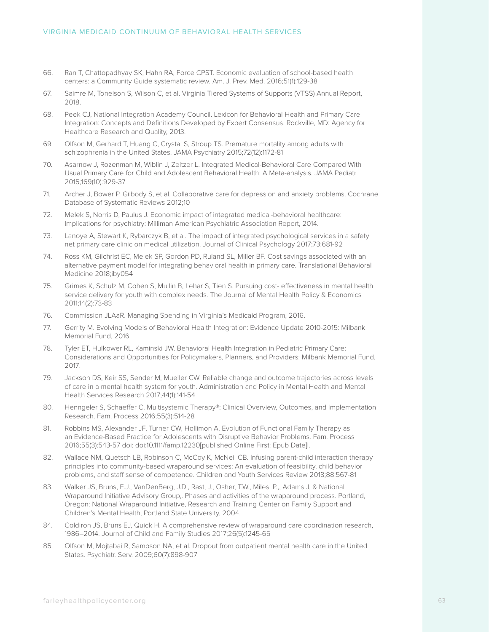- 66. Ran T, Chattopadhyay SK, Hahn RA, Force CPST. Economic evaluation of school-based health centers: a Community Guide systematic review. Am. J. Prev. Med. 2016;51(1):129-38
- 67. Saimre M, Tonelson S, Wilson C, et al. Virginia Tiered Systems of Supports (VTSS) Annual Report, 2018.
- 68. Peek CJ, National Integration Academy Council. Lexicon for Behavioral Health and Primary Care Integration: Concepts and Definitions Developed by Expert Consensus. Rockville, MD: Agency for Healthcare Research and Quality, 2013.
- 69. Olfson M, Gerhard T, Huang C, Crystal S, Stroup TS. Premature mortality among adults with schizophrenia in the United States. JAMA Psychiatry 2015;72(12):1172-81
- 70. Asarnow J, Rozenman M, Wiblin J, Zeltzer L. Integrated Medical-Behavioral Care Compared With Usual Primary Care for Child and Adolescent Behavioral Health: A Meta-analysis. JAMA Pediatr 2015;169(10):929-37
- 71. Archer J, Bower P, Gilbody S, et al. Collaborative care for depression and anxiety problems. Cochrane Database of Systematic Reviews 2012;10
- 72. Melek S, Norris D, Paulus J. Economic impact of integrated medical-behavioral healthcare: Implications for psychiatry: Milliman American Psychiatric Association Report, 2014.
- 73. Lanoye A, Stewart K, Rybarczyk B, et al. The impact of integrated psychological services in a safety net primary care clinic on medical utilization. Journal of Clinical Psychology 2017;73:681-92
- 74. Ross KM, Gilchrist EC, Melek SP, Gordon PD, Ruland SL, Miller BF. Cost savings associated with an alternative payment model for integrating behavioral health in primary care. Translational Behavioral Medicine 2018;iby054
- 75. Grimes K, Schulz M, Cohen S, Mullin B, Lehar S, Tien S. Pursuing cost- effectiveness in mental health service delivery for youth with complex needs. The Journal of Mental Health Policy & Economics 2011;14(2):73-83
- 76. Commission JLAaR. Managing Spending in Virginia's Medicaid Program, 2016.
- 77. Gerrity M. Evolving Models of Behavioral Health Integration: Evidence Update 2010-2015: Milbank Memorial Fund, 2016.
- 78. Tyler ET, Hulkower RL, Kaminski JW. Behavioral Health Integration in Pediatric Primary Care: Considerations and Opportunities for Policymakers, Planners, and Providers: Milbank Memorial Fund, 2017.
- 79. Jackson DS, Keir SS, Sender M, Mueller CW. Reliable change and outcome trajectories across levels of care in a mental health system for youth. Administration and Policy in Mental Health and Mental Health Services Research 2017;44(1):141-54
- 80. Henngeler S, Schaeffer C. Multisystemic Therapy®: Clinical Overview, Outcomes, and Implementation Research. Fam. Process 2016;55(3):514-28
- 81. Robbins MS, Alexander JF, Turner CW, Hollimon A. Evolution of Functional Family Therapy as an Evidence-Based Practice for Adolescents with Disruptive Behavior Problems. Fam. Process 2016;55(3):543-57 doi: doi:10.1111/famp.12230[published Online First: Epub Date]|.
- 82. Wallace NM, Quetsch LB, Robinson C, McCoy K, McNeil CB. Infusing parent-child interaction therapy principles into community-based wraparound services: An evaluation of feasibility, child behavior problems, and staff sense of competence. Children and Youth Services Review 2018;88:567-81
- 83. Walker JS, Bruns, E.J., VanDenBerg, J.D., Rast, J., Osher, T.W., Miles, P.,, Adams J, & National Wraparound Initiative Advisory Group,. Phases and activities of the wraparound process. Portland, Oregon: National Wraparound Initiative, Research and Training Center on Family Support and Children's Mental Health, Portland State University, 2004.
- 84. Coldiron JS, Bruns EJ, Quick H. A comprehensive review of wraparound care coordination research, 1986–2014. Journal of Child and Family Studies 2017;26(5):1245-65
- 85. Olfson M, Mojtabai R, Sampson NA, et al. Dropout from outpatient mental health care in the United States. Psychiatr. Serv. 2009;60(7):898-907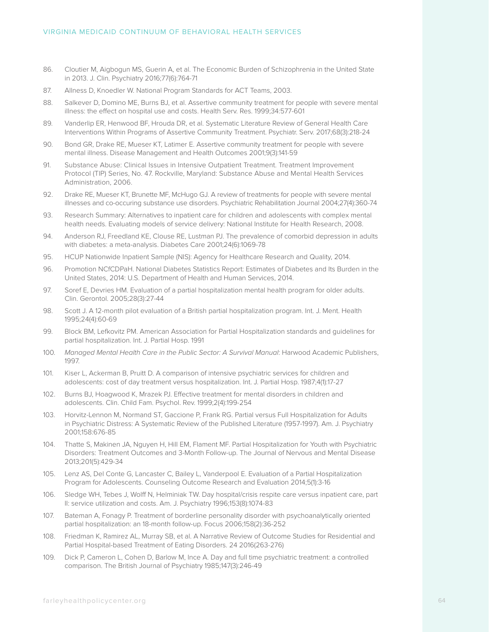- 86. Cloutier M, Aigbogun MS, Guerin A, et al. The Economic Burden of Schizophrenia in the United State in 2013. J. Clin. Psychiatry 2016;77(6):764-71
- 87. Allness D, Knoedler W. National Program Standards for ACT Teams, 2003.
- 88. Salkever D, Domino ME, Burns BJ, et al. Assertive community treatment for people with severe mental illness: the effect on hospital use and costs. Health Serv. Res. 1999;34:577-601
- 89. Vanderlip ER, Henwood BF, Hrouda DR, et al. Systematic Literature Review of General Health Care Interventions Within Programs of Assertive Community Treatment. Psychiatr. Serv. 2017;68(3):218-24
- 90. Bond GR, Drake RE, Mueser KT, Latimer E. Assertive community treatment for people with severe mental illness. Disease Management and Health Outcomes 2001;9(3):141-59
- 91. Substance Abuse: Clinical Issues in Intensive Outpatient Treatment. Treatment Improvement Protocol (TIP) Series, No. 47. Rockville, Maryland: Substance Abuse and Mental Health Services Administration, 2006.
- 92. Drake RE, Mueser KT, Brunette MF, McHugo GJ. A review of treatments for people with severe mental illnesses and co-occuring substance use disorders. Psychiatric Rehabilitation Journal 2004;27(4):360-74
- 93. Research Summary: Alternatives to inpatient care for children and adolescents with complex mental health needs. Evaluating models of service delivery: National Institute for Health Research, 2008.
- 94. Anderson RJ, Freedland KE, Clouse RE, Lustman PJ. The prevalence of comorbid depression in adults with diabetes: a meta-analysis. Diabetes Care 2001;24(6):1069-78
- 95. HCUP Nationwide Inpatient Sample (NIS): Agency for Healthcare Research and Quality, 2014.
- 96. Promotion NCfCDPaH. National Diabetes Statistics Report: Estimates of Diabetes and Its Burden in the United States, 2014: U.S. Department of Health and Human Services, 2014.
- 97. Soref E, Devries HM. Evaluation of a partial hospitalization mental health program for older adults. Clin. Gerontol. 2005;28(3):27-44
- 98. Scott J. A 12-month pilot evaluation of a British partial hospitalization program. Int. J. Ment. Health 1995;24(4):60-69
- 99. Block BM, Lefkovitz PM. American Association for Partial Hospitalization standards and guidelines for partial hospitalization. Int. J. Partial Hosp. 1991
- 100. *Managed Mental Health Care in the Public Sector: A Survival Manual*: Harwood Academic Publishers, 1997.
- 101. Kiser L, Ackerman B, Pruitt D. A comparison of intensive psychiatric services for children and adolescents: cost of day treatment versus hospitalization. Int. J. Partial Hosp. 1987;4(1):17-27
- 102. Burns BJ, Hoagwood K, Mrazek PJ. Effective treatment for mental disorders in children and adolescents. Clin. Child Fam. Psychol. Rev. 1999;2(4):199-254
- 103. Horvitz-Lennon M, Normand ST, Gaccione P, Frank RG. Partial versus Full Hospitalization for Adults in Psychiatric Distress: A Systematic Review of the Published Literature (1957-1997). Am. J. Psychiatry 2001;158:676-85
- 104. Thatte S, Makinen JA, Nguyen H, Hill EM, Flament MF. Partial Hospitalization for Youth with Psychiatric Disorders: Treatment Outcomes and 3-Month Follow-up. The Journal of Nervous and Mental Disease 2013;201(5):429-34
- 105. Lenz AS, Del Conte G, Lancaster C, Bailey L, Vanderpool E. Evaluation of a Partial Hospitalization Program for Adolescents. Counseling Outcome Research and Evaluation 2014;5(1):3-16
- 106. Sledge WH, Tebes J, Wolff N, Helminiak TW. Day hospital/crisis respite care versus inpatient care, part II: service utilization and costs. Am. J. Psychiatry 1996;153(8):1074-83
- 107. Bateman A, Fonagy P. Treatment of borderline personality disorder with psychoanalytically oriented partial hospitalization: an 18-month follow-up. Focus 2006;158(2):36-252
- 108. Friedman K, Ramirez AL, Murray SB, et al. A Narrative Review of Outcome Studies for Residential and Partial Hospital-based Treatment of Eating Disorders. 24 2016(263-276)
- 109. Dick P, Cameron L, Cohen D, Barlow M, Ince A. Day and full time psychiatric treatment: a controlled comparison. The British Journal of Psychiatry 1985;147(3):246-49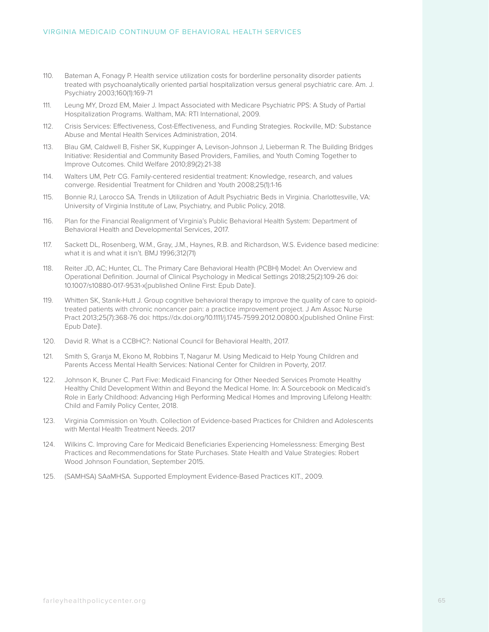- 110. Bateman A, Fonagy P. Health service utilization costs for borderline personality disorder patients treated with psychoanalytically oriented partial hospitalization versus general psychiatric care. Am. J. Psychiatry 2003;160(1):169-71
- 111. Leung MY, Drozd EM, Maier J. Impact Associated with Medicare Psychiatric PPS: A Study of Partial Hospitalization Programs. Waltham, MA: RTI International, 2009.
- 112. Crisis Services: Effectiveness, Cost-Effectiveness, and Funding Strategies. Rockville, MD: Substance Abuse and Mental Health Services Administration, 2014.
- 113. Blau GM, Caldwell B, Fisher SK, Kuppinger A, Levison-Johnson J, Lieberman R. The Building Bridges Initiative: Residential and Community Based Providers, Families, and Youth Coming Together to Improve Outcomes. Child Welfare 2010;89(2):21-38
- 114. Walters UM, Petr CG. Family-centered residential treatment: Knowledge, research, and values converge. Residential Treatment for Children and Youth 2008;25(1):1-16
- 115. Bonnie RJ, Larocco SA. Trends in Utilization of Adult Psychiatric Beds in Virginia. Charlottesville, VA: University of Virginia Institute of Law, Psychiatry, and Public Policy, 2018.
- 116. Plan for the Financial Realignment of Virginia's Public Behavioral Health System: Department of Behavioral Health and Developmental Services, 2017.
- 117. Sackett DL, Rosenberg, W.M., Gray, J.M., Haynes, R.B. and Richardson, W.S. Evidence based medicine: what it is and what it isn't. BMJ 1996;312(71)
- 118. Reiter JD, AC; Hunter, CL. The Primary Care Behavioral Health (PCBH) Model: An Overview and Operational Definition. Journal of Clinical Psychology in Medical Settings 2018;25(2):109-26 doi: 10.1007/s10880-017-9531-x[published Online First: Epub Date]|.
- 119. Whitten SK, Stanik-Hutt J. Group cognitive behavioral therapy to improve the quality of care to opioidtreated patients with chronic noncancer pain: a practice improvement project. J Am Assoc Nurse Pract 2013;25(7):368-76 doi: https://dx.doi.org/10.1111/j.1745-7599.2012.00800.x[published Online First: Epub Date]|.
- 120. David R. What is a CCBHC?: National Council for Behavioral Health, 2017.
- 121. Smith S, Granja M, Ekono M, Robbins T, Nagarur M. Using Medicaid to Help Young Children and Parents Access Mental Health Services: National Center for Children in Poverty, 2017.
- 122. Johnson K, Bruner C. Part Five: Medicaid Financing for Other Needed Services Promote Healthy Healthy Child Development Within and Beyond the Medical Home. In: A Sourcebook on Medicaid's Role in Early Childhood: Advancing High Performing Medical Homes and Improving Lifelong Health: Child and Family Policy Center, 2018.
- 123. Virginia Commission on Youth. Collection of Evidence-based Practices for Children and Adolescents with Mental Health Treatment Needs. 2017
- 124. Wilkins C. Improving Care for Medicaid Beneficiaries Experiencing Homelessness: Emerging Best Practices and Recommendations for State Purchases. State Health and Value Strategies: Robert Wood Johnson Foundation, September 2015.
- 125. (SAMHSA) SAaMHSA. Supported Employment Evidence-Based Practices KIT., 2009.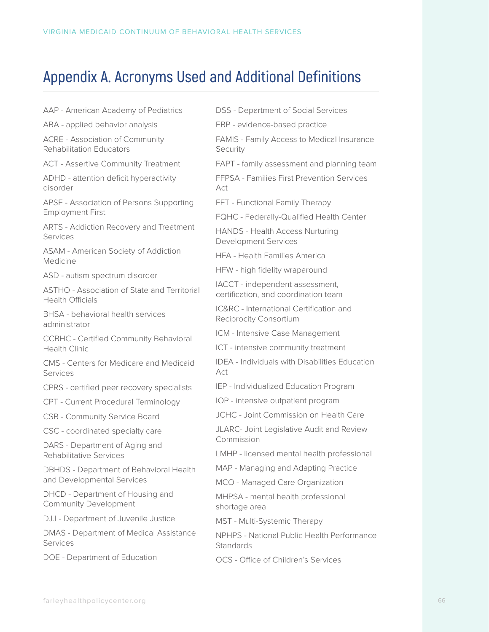## **Appendix A. Acronyms Used and Additional Definitions**

AAP - American Academy of Pediatrics

ABA - applied behavior analysis

ACRE - Association of Community Rehabilitation Educators

ACT - Assertive Community Treatment

ADHD - attention deficit hyperactivity disorder

APSE - Association of Persons Supporting Employment First

ARTS - Addiction Recovery and Treatment Services

ASAM - American Society of Addiction Medicine

ASD - autism spectrum disorder

ASTHO - Association of State and Territorial Health Officials

BHSA - behavioral health services administrator

CCBHC - Certified Community Behavioral Health Clinic

CMS - Centers for Medicare and Medicaid Services

CPRS - certified peer recovery specialists

CPT - Current Procedural Terminology

CSB - Community Service Board

CSC - coordinated specialty care

DARS - Department of Aging and Rehabilitative Services

DBHDS - Department of Behavioral Health and Developmental Services

DHCD - Department of Housing and Community Development

DJJ - Department of Juvenile Justice

DMAS - Department of Medical Assistance Services

DOE - Department of Education

DSS - Department of Social Services

EBP - evidence-based practice

FAMIS - Family Access to Medical Insurance Security

FAPT - family assessment and planning team

FFPSA - Families First Prevention Services  $\Delta$ ct

FFT - Functional Family Therapy

FQHC - Federally-Qualified Health Center

HANDS - Health Access Nurturing Development Services

HFA - Health Families America

HFW - high fidelity wraparound

IACCT - independent assessment, certification, and coordination team

IC&RC - International Certification and Reciprocity Consortium

ICM - Intensive Case Management

ICT - intensive community treatment

IDEA - Individuals with Disabilities Education Act

IEP - Individualized Education Program

IOP - intensive outpatient program

JCHC - Joint Commission on Health Care

JLARC- Joint Legislative Audit and Review Commission

LMHP - licensed mental health professional

MAP - Managing and Adapting Practice

MCO - Managed Care Organization

MHPSA - mental health professional shortage area

MST - Multi-Systemic Therapy

NPHPS - National Public Health Performance **Standards** 

OCS - Office of Children's Services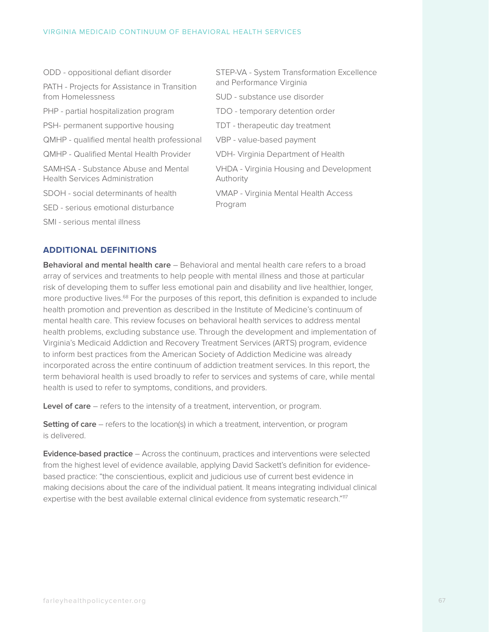#### VIRGINIA MEDICAID CONTINUUM OF BEHAVIORAL HEALTH SERVICES

| ODD - oppositional defiant disorder                                          | STEP-VA - System Transformation Excellence<br>and Performance Virginia |  |  |  |
|------------------------------------------------------------------------------|------------------------------------------------------------------------|--|--|--|
| PATH - Projects for Assistance in Transition                                 |                                                                        |  |  |  |
| from Homelessness                                                            | SUD - substance use disorder                                           |  |  |  |
| PHP - partial hospitalization program                                        | TDO - temporary detention order                                        |  |  |  |
| PSH- permanent supportive housing                                            | TDT - therapeutic day treatment                                        |  |  |  |
| QMHP - qualified mental health professional                                  | VBP - value-based payment                                              |  |  |  |
| <b>QMHP - Qualified Mental Health Provider</b>                               | <b>VDH- Virginia Department of Health</b>                              |  |  |  |
| SAMHSA - Substance Abuse and Mental<br><b>Health Services Administration</b> | <b>VHDA - Virginia Housing and Development</b><br>Authority            |  |  |  |
| SDOH - social determinants of health                                         | <b>VMAP - Virginia Mental Health Access</b><br>Program                 |  |  |  |
| SED - serious emotional disturbance                                          |                                                                        |  |  |  |
| SMI - serious mental illness                                                 |                                                                        |  |  |  |

#### **ADDITIONAL DEFINITIONS**

**Behavioral and mental health care** – Behavioral and mental health care refers to a broad array of services and treatments to help people with mental illness and those at particular risk of developing them to suffer less emotional pain and disability and live healthier, longer, more productive lives.<sup>68</sup> For the purposes of this report, this definition is expanded to include health promotion and prevention as described in the Institute of Medicine's continuum of mental health care. This review focuses on behavioral health services to address mental health problems, excluding substance use. Through the development and implementation of Virginia's Medicaid Addiction and Recovery Treatment Services (ARTS) program, evidence to inform best practices from the American Society of Addiction Medicine was already incorporated across the entire continuum of addiction treatment services. In this report, the term behavioral health is used broadly to refer to services and systems of care, while mental health is used to refer to symptoms, conditions, and providers.

**Level of care** – refers to the intensity of a treatment, intervention, or program.

**Setting of care** – refers to the location(s) in which a treatment, intervention, or program is delivered.

**Evidence-based practice** – Across the continuum, practices and interventions were selected from the highest level of evidence available, applying David Sackett's definition for evidencebased practice: "the conscientious, explicit and judicious use of current best evidence in making decisions about the care of the individual patient. It means integrating individual clinical expertise with the best available external clinical evidence from systematic research."<sup>117</sup>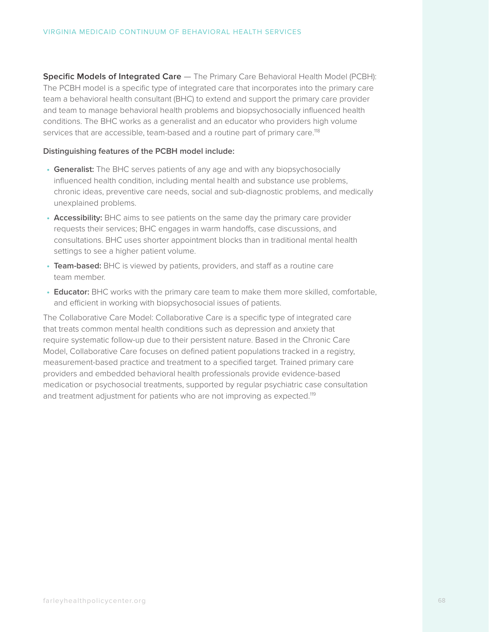**Specific Models of Integrated Care** — The Primary Care Behavioral Health Model (PCBH): The PCBH model is a specific type of integrated care that incorporates into the primary care team a behavioral health consultant (BHC) to extend and support the primary care provider and team to manage behavioral health problems and biopsychosocially influenced health conditions. The BHC works as a generalist and an educator who providers high volume services that are accessible, team-based and a routine part of primary care.<sup>118</sup>

#### **Distinguishing features of the PCBH model include:**

- **• Generalist:** The BHC serves patients of any age and with any biopsychosocially influenced health condition, including mental health and substance use problems, chronic ideas, preventive care needs, social and sub-diagnostic problems, and medically unexplained problems.
- **• Accessibility:** BHC aims to see patients on the same day the primary care provider requests their services; BHC engages in warm handoffs, case discussions, and consultations. BHC uses shorter appointment blocks than in traditional mental health settings to see a higher patient volume.
- **• Team-based:** BHC is viewed by patients, providers, and staff as a routine care team member.
- **• Educator:** BHC works with the primary care team to make them more skilled, comfortable, and efficient in working with biopsychosocial issues of patients.

The Collaborative Care Model: Collaborative Care is a specific type of integrated care that treats common mental health conditions such as depression and anxiety that require systematic follow-up due to their persistent nature. Based in the Chronic Care Model, Collaborative Care focuses on defined patient populations tracked in a registry, measurement-based practice and treatment to a specified target. Trained primary care providers and embedded behavioral health professionals provide evidence-based medication or psychosocial treatments, supported by regular psychiatric case consultation and treatment adjustment for patients who are not improving as expected.<sup>119</sup>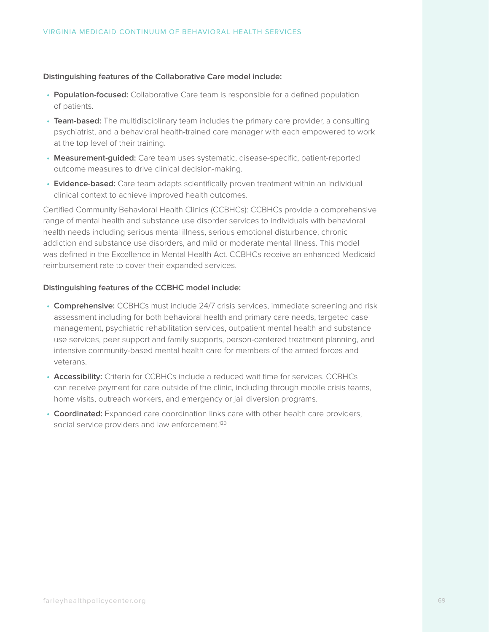#### **Distinguishing features of the Collaborative Care model include:**

- **• Population-focused:** Collaborative Care team is responsible for a defined population of patients.
- **• Team-based:** The multidisciplinary team includes the primary care provider, a consulting psychiatrist, and a behavioral health-trained care manager with each empowered to work at the top level of their training.
- **• Measurement-guided:** Care team uses systematic, disease-specific, patient-reported outcome measures to drive clinical decision-making.
- **• Evidence-based:** Care team adapts scientifically proven treatment within an individual clinical context to achieve improved health outcomes.

Certified Community Behavioral Health Clinics (CCBHCs): CCBHCs provide a comprehensive range of mental health and substance use disorder services to individuals with behavioral health needs including serious mental illness, serious emotional disturbance, chronic addiction and substance use disorders, and mild or moderate mental illness. This model was defined in the Excellence in Mental Health Act. CCBHCs receive an enhanced Medicaid reimbursement rate to cover their expanded services.

#### **Distinguishing features of the CCBHC model include:**

- **• Comprehensive:** CCBHCs must include 24/7 crisis services, immediate screening and risk assessment including for both behavioral health and primary care needs, targeted case management, psychiatric rehabilitation services, outpatient mental health and substance use services, peer support and family supports, person-centered treatment planning, and intensive community-based mental health care for members of the armed forces and veterans.
- **• Accessibility:** Criteria for CCBHCs include a reduced wait time for services. CCBHCs can receive payment for care outside of the clinic, including through mobile crisis teams, home visits, outreach workers, and emergency or jail diversion programs.
- **• Coordinated:** Expanded care coordination links care with other health care providers, social service providers and law enforcement.<sup>120</sup>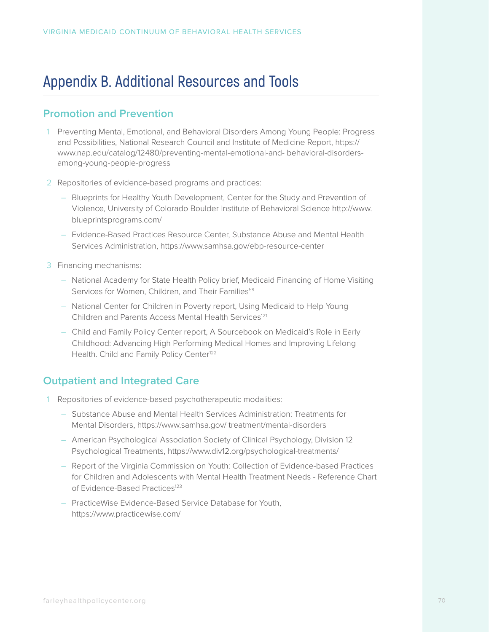## **Appendix B. Additional Resources and Tools**

## **Promotion and Prevention**

- 1 Preventing Mental, Emotional, and Behavioral Disorders Among Young People: Progress and Possibilities, National Research Council and Institute of Medicine Report, https:// www.nap.edu/catalog/12480/preventing-mental-emotional-and- behavioral-disordersamong-young-people-progress
- 2 Repositories of evidence-based programs and practices:
	- Blueprints for Healthy Youth Development, Center for the Study and Prevention of Violence, University of Colorado Boulder Institute of Behavioral Science http://www. blueprintsprograms.com/
	- Evidence-Based Practices Resource Center, Substance Abuse and Mental Health Services Administration, https://www.samhsa.gov/ebp-resource-center
- 3 Financing mechanisms:
	- National Academy for State Health Policy brief, Medicaid Financing of Home Visiting Services for Women, Children, and Their Families<sup>59</sup>
	- National Center for Children in Poverty report, Using Medicaid to Help Young Children and Parents Access Mental Health Services<sup>121</sup>
	- Child and Family Policy Center report, A Sourcebook on Medicaid's Role in Early Childhood: Advancing High Performing Medical Homes and Improving Lifelong Health. Child and Family Policy Center<sup>122</sup>

## **Outpatient and Integrated Care**

- 1 Repositories of evidence-based psychotherapeutic modalities:
	- Substance Abuse and Mental Health Services Administration: Treatments for Mental Disorders, https://www.samhsa.gov/ treatment/mental-disorders
	- American Psychological Association Society of Clinical Psychology, Division 12 Psychological Treatments, https://www.div12.org/psychological-treatments/
	- Report of the Virginia Commission on Youth: Collection of Evidence-based Practices for Children and Adolescents with Mental Health Treatment Needs - Reference Chart of Evidence-Based Practices<sup>123</sup>
	- PracticeWise Evidence-Based Service Database for Youth, https://www.practicewise.com/